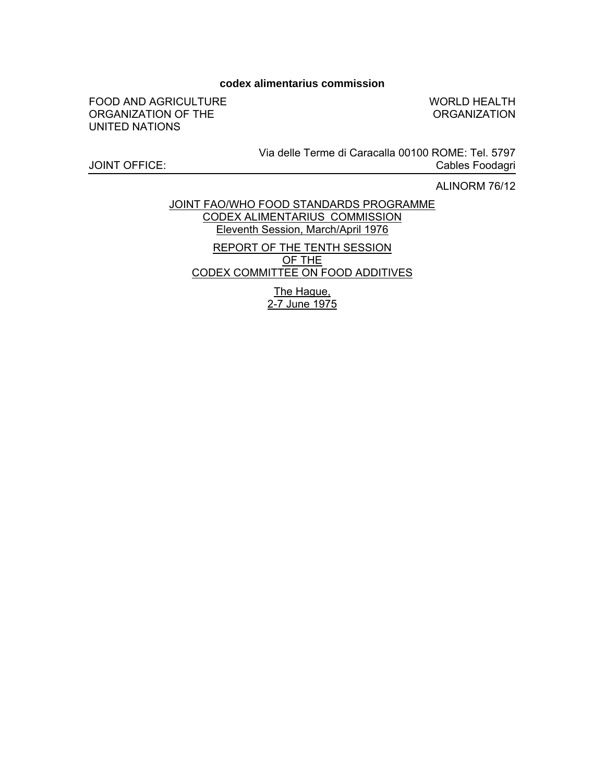#### **codex alimentarius commission**

FOOD AND AGRICULTURE ORGANIZATION OF THE UNITED NATIONS

WORLD HEALTH **ORGANIZATION** 

Via delle Terme di Caracalla 00100 ROME: Tel. 5797 Cables Foodagri

ALINORM 76/12

JOINT FAO/WHO FOOD STANDARDS PROGRAMME CODEX ALIMENTARIUS COMMISSION Eleventh Session, March/April 1976 REPORT OF THE TENTH SESSION OF THE CODEX COMMITTEE ON FOOD ADDITIVES The Hague, 2-7 June 1975

JOINT OFFICE: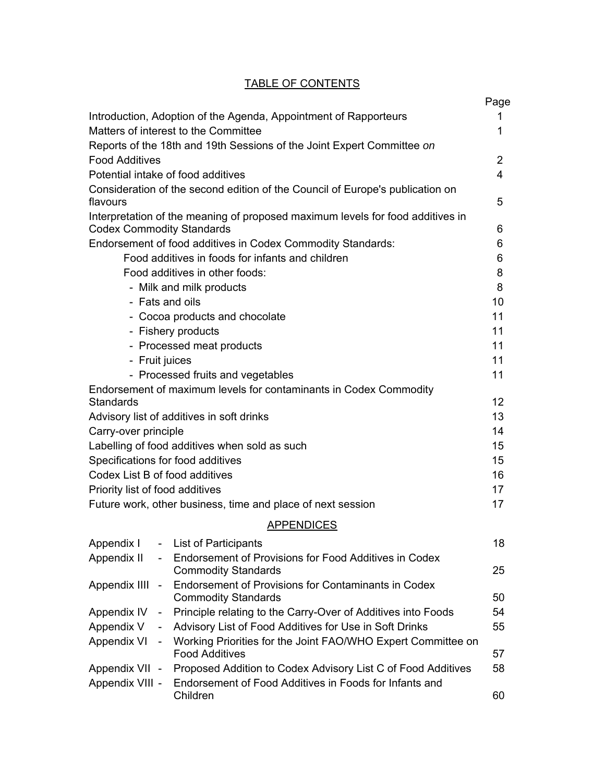# TABLE OF CONTENTS

|                                                                  |                          |                                                                                       | Page |
|------------------------------------------------------------------|--------------------------|---------------------------------------------------------------------------------------|------|
| Introduction, Adoption of the Agenda, Appointment of Rapporteurs |                          |                                                                                       |      |
|                                                                  |                          | Matters of interest to the Committee                                                  | 1    |
|                                                                  |                          | Reports of the 18th and 19th Sessions of the Joint Expert Committee on                |      |
| <b>Food Additives</b>                                            |                          |                                                                                       | 2    |
|                                                                  |                          | Potential intake of food additives                                                    | 4    |
|                                                                  |                          | Consideration of the second edition of the Council of Europe's publication on         |      |
| flavours                                                         |                          |                                                                                       | 5    |
|                                                                  |                          | Interpretation of the meaning of proposed maximum levels for food additives in        |      |
| <b>Codex Commodity Standards</b>                                 |                          |                                                                                       | 6    |
|                                                                  |                          | Endorsement of food additives in Codex Commodity Standards:                           | 6    |
|                                                                  |                          | Food additives in foods for infants and children                                      | 6    |
|                                                                  |                          | Food additives in other foods:                                                        | 8    |
|                                                                  |                          | - Milk and milk products                                                              | 8    |
|                                                                  |                          | - Fats and oils                                                                       | 10   |
|                                                                  |                          | - Cocoa products and chocolate                                                        | 11   |
|                                                                  |                          | - Fishery products                                                                    | 11   |
|                                                                  |                          | - Processed meat products                                                             | 11   |
| - Fruit juices                                                   |                          |                                                                                       | 11   |
|                                                                  |                          | - Processed fruits and vegetables                                                     | 11   |
| Standards                                                        |                          | Endorsement of maximum levels for contaminants in Codex Commodity                     | 12   |
|                                                                  |                          | Advisory list of additives in soft drinks                                             | 13   |
| Carry-over principle                                             |                          |                                                                                       | 14   |
|                                                                  |                          | Labelling of food additives when sold as such                                         | 15   |
|                                                                  |                          | Specifications for food additives                                                     | 15   |
| Codex List B of food additives                                   |                          |                                                                                       | 16   |
| Priority list of food additives                                  |                          |                                                                                       | 17   |
| Future work, other business, time and place of next session      |                          |                                                                                       | 17   |
|                                                                  |                          |                                                                                       |      |
|                                                                  |                          | <b>APPENDICES</b>                                                                     |      |
| Appendix I                                                       | $\overline{\phantom{a}}$ | <b>List of Participants</b>                                                           | 18   |
| Appendix II                                                      |                          | Endorsement of Provisions for Food Additives in Codex<br><b>Commodity Standards</b>   | 25   |
| Appendix IIII                                                    | $\sim$                   | Endorsement of Provisions for Contaminants in Codex<br><b>Commodity Standards</b>     | 50   |
| Appendix IV                                                      | $\sim$                   | Principle relating to the Carry-Over of Additives into Foods                          | 54   |
| Appendix V                                                       | $\sim 100$               | Advisory List of Food Additives for Use in Soft Drinks                                | 55   |
| Appendix VI                                                      | $\sim$                   | Working Priorities for the Joint FAO/WHO Expert Committee on<br><b>Food Additives</b> | 57   |
| Appendix VII -                                                   |                          | Proposed Addition to Codex Advisory List C of Food Additives                          | 58   |
|                                                                  |                          | Appendix VIII - Endorsement of Food Additives in Foods for Infants and<br>Children    | 60   |
|                                                                  |                          |                                                                                       |      |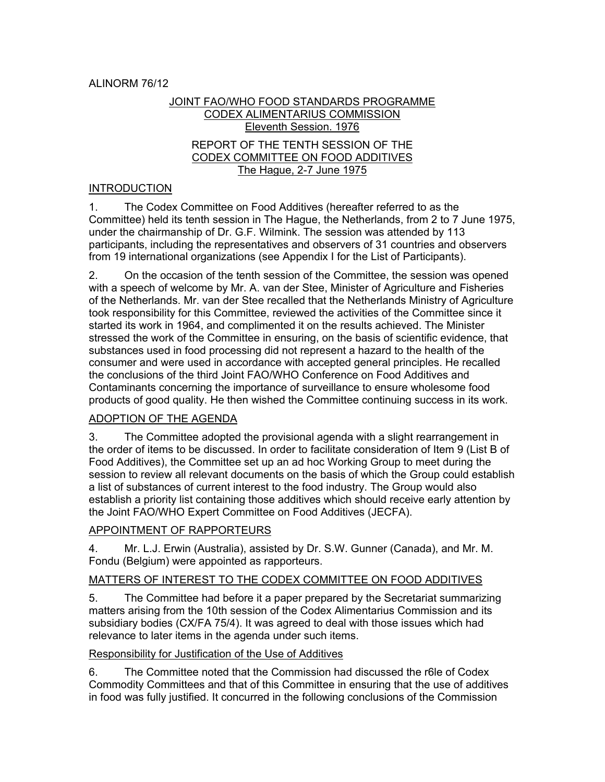# JOINT FAO/WHO FOOD STANDARDS PROGRAMME CODEX ALIMENTARIUS COMMISSION Eleventh Session. 1976 REPORT OF THE TENTH SESSION OF THE CODEX COMMITTEE ON FOOD ADDITIVES The Hague, 2-7 June 1975

## **INTRODUCTION**

1. The Codex Committee on Food Additives (hereafter referred to as the Committee) held its tenth session in The Hague, the Netherlands, from 2 to 7 June 1975, under the chairmanship of Dr. G.F. Wilmink. The session was attended by 113 participants, including the representatives and observers of 31 countries and observers from 19 international organizations (see Appendix I for the List of Participants).

2. On the occasion of the tenth session of the Committee, the session was opened with a speech of welcome by Mr. A. van der Stee, Minister of Agriculture and Fisheries of the Netherlands. Mr. van der Stee recalled that the Netherlands Ministry of Agriculture took responsibility for this Committee, reviewed the activities of the Committee since it started its work in 1964, and complimented it on the results achieved. The Minister stressed the work of the Committee in ensuring, on the basis of scientific evidence, that substances used in food processing did not represent a hazard to the health of the consumer and were used in accordance with accepted general principles. He recalled the conclusions of the third Joint FAO/WHO Conference on Food Additives and Contaminants concerning the importance of surveillance to ensure wholesome food products of good quality. He then wished the Committee continuing success in its work.

## ADOPTION OF THE AGENDA

3. The Committee adopted the provisional agenda with a slight rearrangement in the order of items to be discussed. In order to facilitate consideration of Item 9 (List B of Food Additives), the Committee set up an ad hoc Working Group to meet during the session to review all relevant documents on the basis of which the Group could establish a list of substances of current interest to the food industry. The Group would also establish a priority list containing those additives which should receive early attention by the Joint FAO/WHO Expert Committee on Food Additives (JECFA).

## APPOINTMENT OF RAPPORTEURS

4. Mr. L.J. Erwin (Australia), assisted by Dr. S.W. Gunner (Canada), and Mr. M. Fondu (Belgium) were appointed as rapporteurs.

## MATTERS OF INTEREST TO THE CODEX COMMITTEE ON FOOD ADDITIVES

5. The Committee had before it a paper prepared by the Secretariat summarizing matters arising from the 10th session of the Codex Alimentarius Commission and its subsidiary bodies (CX/FA 75/4). It was agreed to deal with those issues which had relevance to later items in the agenda under such items.

## Responsibility for Justification of the Use of Additives

6. The Committee noted that the Commission had discussed the r6le of Codex Commodity Committees and that of this Committee in ensuring that the use of additives in food was fully justified. It concurred in the following conclusions of the Commission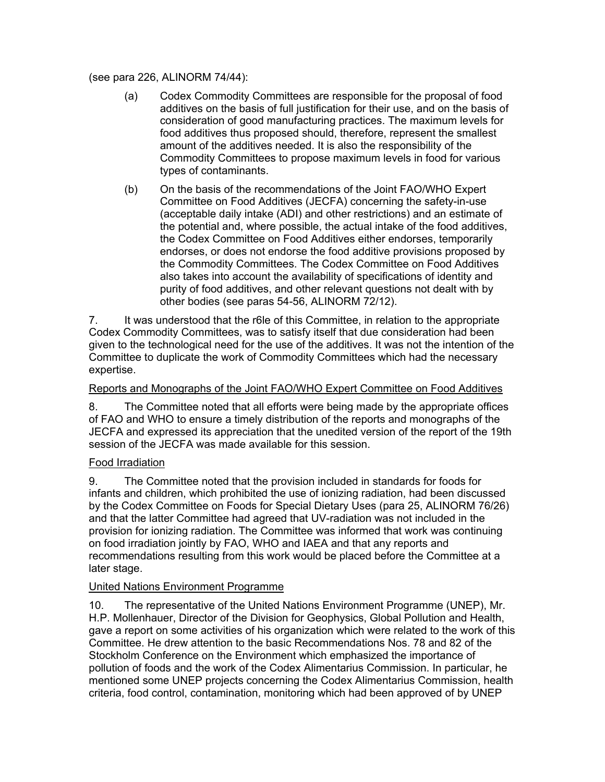## (see para 226, ALINORM 74/44):

- (a) Codex Commodity Committees are responsible for the proposal of food additives on the basis of full justification for their use, and on the basis of consideration of good manufacturing practices. The maximum levels for food additives thus proposed should, therefore, represent the smallest amount of the additives needed. It is also the responsibility of the Commodity Committees to propose maximum levels in food for various types of contaminants.
- (b) On the basis of the recommendations of the Joint FAO/WHO Expert Committee on Food Additives (JECFA) concerning the safety-in-use (acceptable daily intake (ADI) and other restrictions) and an estimate of the potential and, where possible, the actual intake of the food additives, the Codex Committee on Food Additives either endorses, temporarily endorses, or does not endorse the food additive provisions proposed by the Commodity Committees. The Codex Committee on Food Additives also takes into account the availability of specifications of identity and purity of food additives, and other relevant questions not dealt with by other bodies (see paras 54-56, ALINORM 72/12).

7. It was understood that the r6le of this Committee, in relation to the appropriate Codex Commodity Committees, was to satisfy itself that due consideration had been given to the technological need for the use of the additives. It was not the intention of the Committee to duplicate the work of Commodity Committees which had the necessary expertise.

## Reports and Monographs of the Joint FAO/WHO Expert Committee on Food Additives

8. The Committee noted that all efforts were being made by the appropriate offices of FAO and WHO to ensure a timely distribution of the reports and monographs of the JECFA and expressed its appreciation that the unedited version of the report of the 19th session of the JECFA was made available for this session.

# Food Irradiation

9. The Committee noted that the provision included in standards for foods for infants and children, which prohibited the use of ionizing radiation, had been discussed by the Codex Committee on Foods for Special Dietary Uses (para 25, ALINORM 76/26) and that the latter Committee had agreed that UV-radiation was not included in the provision for ionizing radiation. The Committee was informed that work was continuing on food irradiation jointly by FAO, WHO and IAEA and that any reports and recommendations resulting from this work would be placed before the Committee at a later stage.

## United Nations Environment Programme

10. The representative of the United Nations Environment Programme (UNEP), Mr. H.P. Mollenhauer, Director of the Division for Geophysics, Global Pollution and Health, gave a report on some activities of his organization which were related to the work of this Committee. He drew attention to the basic Recommendations Nos. 78 and 82 of the Stockholm Conference on the Environment which emphasized the importance of pollution of foods and the work of the Codex Alimentarius Commission. In particular, he mentioned some UNEP projects concerning the Codex Alimentarius Commission, health criteria, food control, contamination, monitoring which had been approved of by UNEP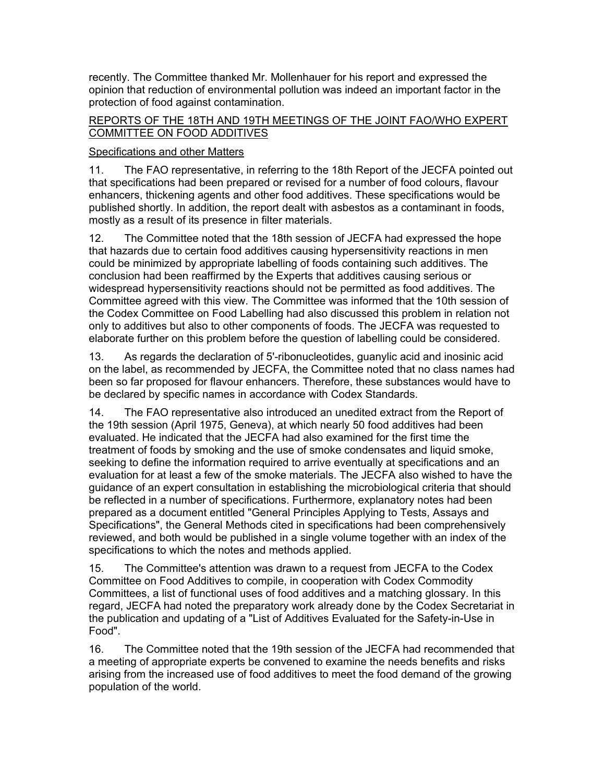recently. The Committee thanked Mr. Mollenhauer for his report and expressed the opinion that reduction of environmental pollution was indeed an important factor in the protection of food against contamination.

## REPORTS OF THE 18TH AND 19TH MEETINGS OF THE JOINT FAO/WHO EXPERT COMMITTEE ON FOOD ADDITIVES

# Specifications and other Matters

11. The FAO representative, in referring to the 18th Report of the JECFA pointed out that specifications had been prepared or revised for a number of food colours, flavour enhancers, thickening agents and other food additives. These specifications would be published shortly. In addition, the report dealt with asbestos as a contaminant in foods, mostly as a result of its presence in filter materials.

12. The Committee noted that the 18th session of JECFA had expressed the hope that hazards due to certain food additives causing hypersensitivity reactions in men could be minimized by appropriate labelling of foods containing such additives. The conclusion had been reaffirmed by the Experts that additives causing serious or widespread hypersensitivity reactions should not be permitted as food additives. The Committee agreed with this view. The Committee was informed that the 10th session of the Codex Committee on Food Labelling had also discussed this problem in relation not only to additives but also to other components of foods. The JECFA was requested to elaborate further on this problem before the question of labelling could be considered.

13. As regards the declaration of 5'-ribonucleotides, guanylic acid and inosinic acid on the label, as recommended by JECFA, the Committee noted that no class names had been so far proposed for flavour enhancers. Therefore, these substances would have to be declared by specific names in accordance with Codex Standards.

14. The FAO representative also introduced an unedited extract from the Report of the 19th session (April 1975, Geneva), at which nearly 50 food additives had been evaluated. He indicated that the JECFA had also examined for the first time the treatment of foods by smoking and the use of smoke condensates and liquid smoke, seeking to define the information required to arrive eventually at specifications and an evaluation for at least a few of the smoke materials. The JECFA also wished to have the guidance of an expert consultation in establishing the microbiological criteria that should be reflected in a number of specifications. Furthermore, explanatory notes had been prepared as a document entitled "General Principles Applying to Tests, Assays and Specifications", the General Methods cited in specifications had been comprehensively reviewed, and both would be published in a single volume together with an index of the specifications to which the notes and methods applied.

15. The Committee's attention was drawn to a request from JECFA to the Codex Committee on Food Additives to compile, in cooperation with Codex Commodity Committees, a list of functional uses of food additives and a matching glossary. In this regard, JECFA had noted the preparatory work already done by the Codex Secretariat in the publication and updating of a "List of Additives Evaluated for the Safety-in-Use in Food".

16. The Committee noted that the 19th session of the JECFA had recommended that a meeting of appropriate experts be convened to examine the needs benefits and risks arising from the increased use of food additives to meet the food demand of the growing population of the world.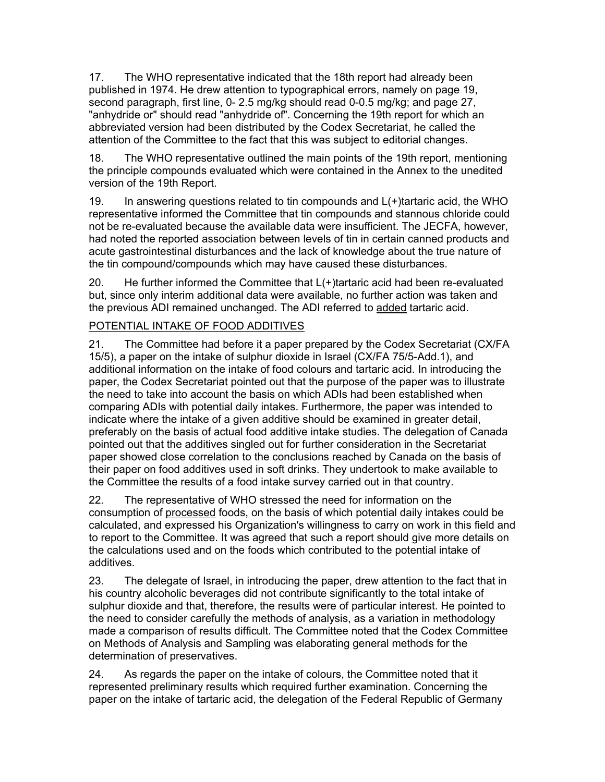17. The WHO representative indicated that the 18th report had already been published in 1974. He drew attention to typographical errors, namely on page 19, second paragraph, first line, 0- 2.5 mg/kg should read 0-0.5 mg/kg; and page 27, "anhydride or" should read "anhydride of". Concerning the 19th report for which an abbreviated version had been distributed by the Codex Secretariat, he called the attention of the Committee to the fact that this was subject to editorial changes.

18. The WHO representative outlined the main points of the 19th report, mentioning the principle compounds evaluated which were contained in the Annex to the unedited version of the 19th Report.

19. In answering questions related to tin compounds and L(+)tartaric acid, the WHO representative informed the Committee that tin compounds and stannous chloride could not be re-evaluated because the available data were insufficient. The JECFA, however, had noted the reported association between levels of tin in certain canned products and acute gastrointestinal disturbances and the lack of knowledge about the true nature of the tin compound/compounds which may have caused these disturbances.

20. He further informed the Committee that L(+)tartaric acid had been re-evaluated but, since only interim additional data were available, no further action was taken and the previous ADI remained unchanged. The ADI referred to added tartaric acid.

# POTENTIAL INTAKE OF FOOD ADDITIVES

21. The Committee had before it a paper prepared by the Codex Secretariat (CX/FA 15/5), a paper on the intake of sulphur dioxide in Israel (CX/FA 75/5-Add.1), and additional information on the intake of food colours and tartaric acid. In introducing the paper, the Codex Secretariat pointed out that the purpose of the paper was to illustrate the need to take into account the basis on which ADIs had been established when comparing ADIs with potential daily intakes. Furthermore, the paper was intended to indicate where the intake of a given additive should be examined in greater detail, preferably on the basis of actual food additive intake studies. The delegation of Canada pointed out that the additives singled out for further consideration in the Secretariat paper showed close correlation to the conclusions reached by Canada on the basis of their paper on food additives used in soft drinks. They undertook to make available to the Committee the results of a food intake survey carried out in that country.

22. The representative of WHO stressed the need for information on the consumption of processed foods, on the basis of which potential daily intakes could be calculated, and expressed his Organization's willingness to carry on work in this field and to report to the Committee. It was agreed that such a report should give more details on the calculations used and on the foods which contributed to the potential intake of additives.

23. The delegate of Israel, in introducing the paper, drew attention to the fact that in his country alcoholic beverages did not contribute significantly to the total intake of sulphur dioxide and that, therefore, the results were of particular interest. He pointed to the need to consider carefully the methods of analysis, as a variation in methodology made a comparison of results difficult. The Committee noted that the Codex Committee on Methods of Analysis and Sampling was elaborating general methods for the determination of preservatives.

24. As regards the paper on the intake of colours, the Committee noted that it represented preliminary results which required further examination. Concerning the paper on the intake of tartaric acid, the delegation of the Federal Republic of Germany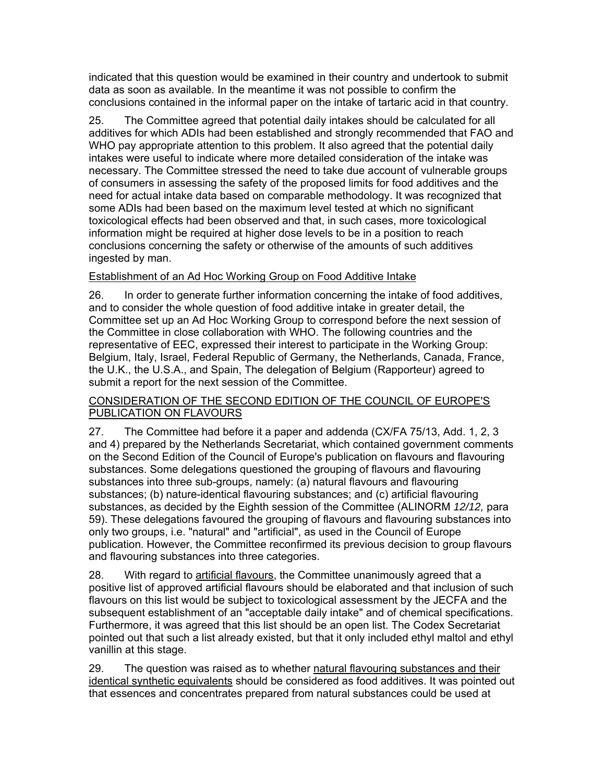indicated that this question would be examined in their country and undertook to submit data as soon as available. In the meantime it was not possible to confirm the conclusions contained in the informal paper on the intake of tartaric acid in that country.

25. The Committee agreed that potential daily intakes should be calculated for all additives for which ADIs had been established and strongly recommended that FAO and WHO pay appropriate attention to this problem. It also agreed that the potential daily intakes were useful to indicate where more detailed consideration of the intake was necessary. The Committee stressed the need to take due account of vulnerable groups of consumers in assessing the safety of the proposed limits for food additives and the need for actual intake data based on comparable methodology. It was recognized that some ADIs had been based on the maximum level tested at which no significant toxicological effects had been observed and that, in such cases, more toxicological information might be required at higher dose levels to be in a position to reach conclusions concerning the safety or otherwise of the amounts of such additives ingested by man.

# Establishment of an Ad Hoc Working Group on Food Additive Intake

26. In order to generate further information concerning the intake of food additives, and to consider the whole question of food additive intake in greater detail, the Committee set up an Ad Hoc Working Group to correspond before the next session of the Committee in close collaboration with WHO. The following countries and the representative of EEC, expressed their interest to participate in the Working Group: Belgium, Italy, Israel, Federal Republic of Germany, the Netherlands, Canada, France, the U.K., the U.S.A., and Spain, The delegation of Belgium (Rapporteur) agreed to submit a report for the next session of the Committee.

## CONSIDERATION OF THE SECOND EDITION OF THE COUNCIL OF EUROPE'S PUBLICATION ON FLAVOURS

27. The Committee had before it a paper and addenda (CX/FA 75/13, Add. 1, 2, 3 and 4) prepared by the Netherlands Secretariat, which contained government comments on the Second Edition of the Council of Europe's publication on flavours and flavouring substances. Some delegations questioned the grouping of flavours and flavouring substances into three sub-groups, namely: (a) natural flavours and flavouring substances; (b) nature-identical flavouring substances; and (c) artificial flavouring substances, as decided by the Eighth session of the Committee (ALINORM *12/12,* para 59). These delegations favoured the grouping of flavours and flavouring substances into only two groups, i.e. "natural" and "artificial", as used in the Council of Europe publication. However, the Committee reconfirmed its previous decision to group flavours and flavouring substances into three categories.

28. With regard to artificial flavours, the Committee unanimously agreed that a positive list of approved artificial flavours should be elaborated and that inclusion of such flavours on this list would be subject to toxicological assessment by the JECFA and the subsequent establishment of an "acceptable daily intake" and of chemical specifications. Furthermore, it was agreed that this list should be an open list. The Codex Secretariat pointed out that such a list already existed, but that it only included ethyl maltol and ethyl vanillin at this stage.

29. The question was raised as to whether natural flavouring substances and their identical synthetic equivalents should be considered as food additives. It was pointed out that essences and concentrates prepared from natural substances could be used at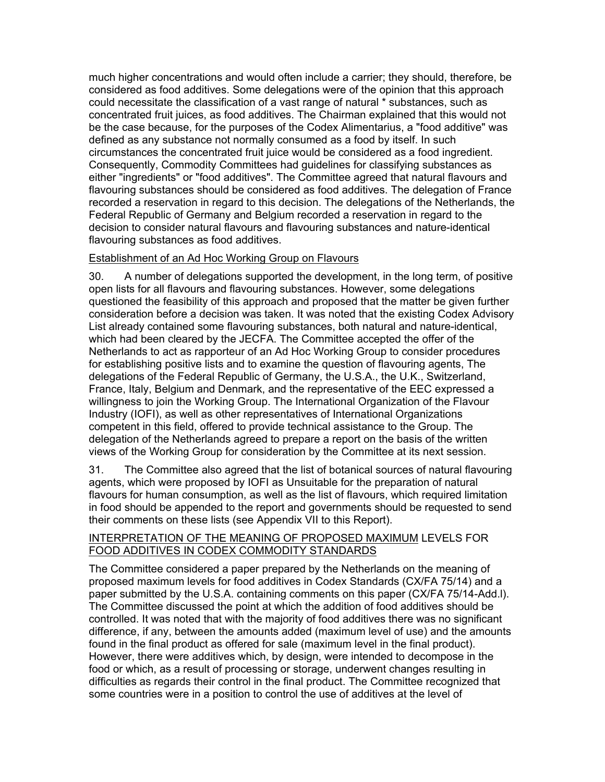much higher concentrations and would often include a carrier; they should, therefore, be considered as food additives. Some delegations were of the opinion that this approach could necessitate the classification of a vast range of natural \* substances, such as concentrated fruit juices, as food additives. The Chairman explained that this would not be the case because, for the purposes of the Codex Alimentarius, a "food additive" was defined as any substance not normally consumed as a food by itself. In such circumstances the concentrated fruit juice would be considered as a food ingredient. Consequently, Commodity Committees had guidelines for classifying substances as either "ingredients" or "food additives". The Committee agreed that natural flavours and flavouring substances should be considered as food additives. The delegation of France recorded a reservation in regard to this decision. The delegations of the Netherlands, the Federal Republic of Germany and Belgium recorded a reservation in regard to the decision to consider natural flavours and flavouring substances and nature-identical flavouring substances as food additives.

## Establishment of an Ad Hoc Working Group on Flavours

30. A number of delegations supported the development, in the long term, of positive open lists for all flavours and flavouring substances. However, some delegations questioned the feasibility of this approach and proposed that the matter be given further consideration before a decision was taken. It was noted that the existing Codex Advisory List already contained some flavouring substances, both natural and nature-identical, which had been cleared by the JECFA. The Committee accepted the offer of the Netherlands to act as rapporteur of an Ad Hoc Working Group to consider procedures for establishing positive lists and to examine the question of flavouring agents, The delegations of the Federal Republic of Germany, the U.S.A., the U.K., Switzerland, France, Italy, Belgium and Denmark, and the representative of the EEC expressed a willingness to join the Working Group. The International Organization of the Flavour Industry (IOFI), as well as other representatives of International Organizations competent in this field, offered to provide technical assistance to the Group. The delegation of the Netherlands agreed to prepare a report on the basis of the written views of the Working Group for consideration by the Committee at its next session.

31. The Committee also agreed that the list of botanical sources of natural flavouring agents, which were proposed by IOFI as Unsuitable for the preparation of natural flavours for human consumption, as well as the list of flavours, which required limitation in food should be appended to the report and governments should be requested to send their comments on these lists (see Appendix VII to this Report).

## INTERPRETATION OF THE MEANING OF PROPOSED MAXIMUM LEVELS FOR FOOD ADDITIVES IN CODEX COMMODITY STANDARDS

The Committee considered a paper prepared by the Netherlands on the meaning of proposed maximum levels for food additives in Codex Standards (CX/FA 75/14) and a paper submitted by the U.S.A. containing comments on this paper (CX/FA 75/14-Add.l). The Committee discussed the point at which the addition of food additives should be controlled. It was noted that with the majority of food additives there was no significant difference, if any, between the amounts added (maximum level of use) and the amounts found in the final product as offered for sale (maximum level in the final product). However, there were additives which, by design, were intended to decompose in the food or which, as a result of processing or storage, underwent changes resulting in difficulties as regards their control in the final product. The Committee recognized that some countries were in a position to control the use of additives at the level of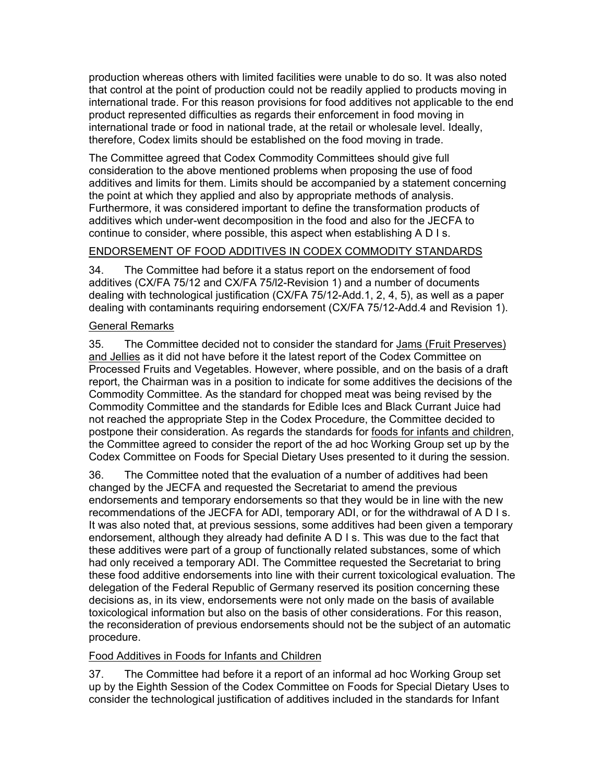production whereas others with limited facilities were unable to do so. It was also noted that control at the point of production could not be readily applied to products moving in international trade. For this reason provisions for food additives not applicable to the end product represented difficulties as regards their enforcement in food moving in international trade or food in national trade, at the retail or wholesale level. Ideally, therefore, Codex limits should be established on the food moving in trade.

The Committee agreed that Codex Commodity Committees should give full consideration to the above mentioned problems when proposing the use of food additives and limits for them. Limits should be accompanied by a statement concerning the point at which they applied and also by appropriate methods of analysis. Furthermore, it was considered important to define the transformation products of additives which under-went decomposition in the food and also for the JECFA to continue to consider, where possible, this aspect when establishing A D I s.

## ENDORSEMENT OF FOOD ADDITIVES IN CODEX COMMODITY STANDARDS

34. The Committee had before it a status report on the endorsement of food additives (CX/FA 75/12 and CX/FA 75/l2-Revision 1) and a number of documents dealing with technological justification (CX/FA 75/12-Add.1, 2, 4, 5), as well as a paper dealing with contaminants requiring endorsement (CX/FA 75/12-Add.4 and Revision 1).

## General Remarks

35. The Committee decided not to consider the standard for Jams (Fruit Preserves) and Jellies as it did not have before it the latest report of the Codex Committee on Processed Fruits and Vegetables. However, where possible, and on the basis of a draft report, the Chairman was in a position to indicate for some additives the decisions of the Commodity Committee. As the standard for chopped meat was being revised by the Commodity Committee and the standards for Edible Ices and Black Currant Juice had not reached the appropriate Step in the Codex Procedure, the Committee decided to postpone their consideration. As regards the standards for foods for infants and children, the Committee agreed to consider the report of the ad hoc Working Group set up by the Codex Committee on Foods for Special Dietary Uses presented to it during the session.

36. The Committee noted that the evaluation of a number of additives had been changed by the JECFA and requested the Secretariat to amend the previous endorsements and temporary endorsements so that they would be in line with the new recommendations of the JECFA for ADI, temporary ADI, or for the withdrawal of A D I s. It was also noted that, at previous sessions, some additives had been given a temporary endorsement, although they already had definite A D I s. This was due to the fact that these additives were part of a group of functionally related substances, some of which had only received a temporary ADI. The Committee requested the Secretariat to bring these food additive endorsements into line with their current toxicological evaluation. The delegation of the Federal Republic of Germany reserved its position concerning these decisions as, in its view, endorsements were not only made on the basis of available toxicological information but also on the basis of other considerations. For this reason, the reconsideration of previous endorsements should not be the subject of an automatic procedure.

# Food Additives in Foods for Infants and Children

37. The Committee had before it a report of an informal ad hoc Working Group set up by the Eighth Session of the Codex Committee on Foods for Special Dietary Uses to consider the technological justification of additives included in the standards for Infant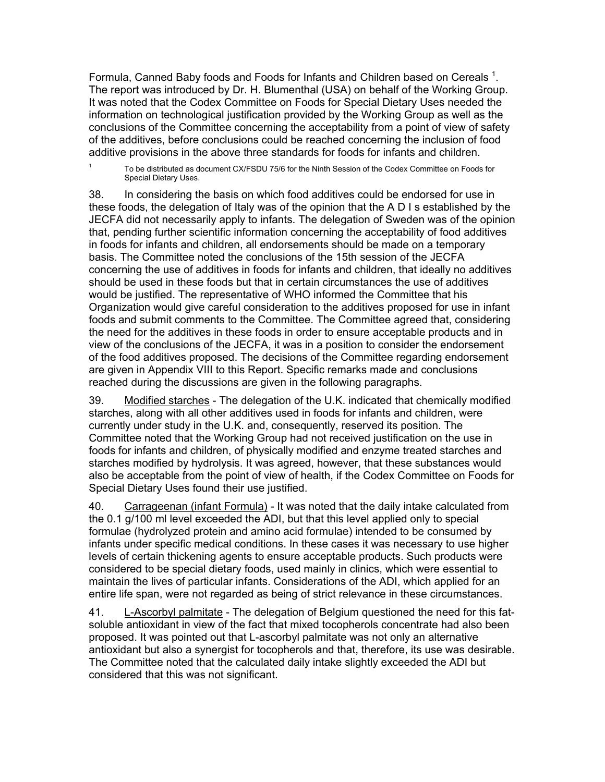Formula, Canned Baby foods and Foods for Infants and Children based on Cereals  $^1$ . The report was introduced by Dr. H. Blumenthal (USA) on behalf of the Working Group. It was noted that the Codex Committee on Foods for Special Dietary Uses needed the information on technological justification provided by the Working Group as well as the conclusions of the Committee concerning the acceptability from a point of view of safety of the additives, before conclusions could be reached concerning the inclusion of food additive provisions in the above three standards for foods for infants and children.

To be distributed as document CX/FSDU 75/6 for the Ninth Session of the Codex Committee on Foods for Special Dietary Uses.

38. In considering the basis on which food additives could be endorsed for use in these foods, the delegation of Italy was of the opinion that the A D I s established by the JECFA did not necessarily apply to infants. The delegation of Sweden was of the opinion that, pending further scientific information concerning the acceptability of food additives in foods for infants and children, all endorsements should be made on a temporary basis. The Committee noted the conclusions of the 15th session of the JECFA concerning the use of additives in foods for infants and children, that ideally no additives should be used in these foods but that in certain circumstances the use of additives would be justified. The representative of WHO informed the Committee that his Organization would give careful consideration to the additives proposed for use in infant foods and submit comments to the Committee. The Committee agreed that, considering the need for the additives in these foods in order to ensure acceptable products and in view of the conclusions of the JECFA, it was in a position to consider the endorsement of the food additives proposed. The decisions of the Committee regarding endorsement are given in Appendix VIII to this Report. Specific remarks made and conclusions reached during the discussions are given in the following paragraphs.

39. Modified starches - The delegation of the U.K. indicated that chemically modified starches, along with all other additives used in foods for infants and children, were currently under study in the U.K. and, consequently, reserved its position. The Committee noted that the Working Group had not received justification on the use in foods for infants and children, of physically modified and enzyme treated starches and starches modified by hydrolysis. It was agreed, however, that these substances would also be acceptable from the point of view of health, if the Codex Committee on Foods for Special Dietary Uses found their use justified.

40. Carrageenan (infant Formula) - It was noted that the daily intake calculated from the 0.1 g/100 ml level exceeded the ADI, but that this level applied only to special formulae (hydrolyzed protein and amino acid formulae) intended to be consumed by infants under specific medical conditions. In these cases it was necessary to use higher levels of certain thickening agents to ensure acceptable products. Such products were considered to be special dietary foods, used mainly in clinics, which were essential to maintain the lives of particular infants. Considerations of the ADI, which applied for an entire life span, were not regarded as being of strict relevance in these circumstances.

41. L-Ascorbyl palmitate - The delegation of Belgium questioned the need for this fatsoluble antioxidant in view of the fact that mixed tocopherols concentrate had also been proposed. It was pointed out that L-ascorbyl palmitate was not only an alternative antioxidant but also a synergist for tocopherols and that, therefore, its use was desirable. The Committee noted that the calculated daily intake slightly exceeded the ADI but considered that this was not significant.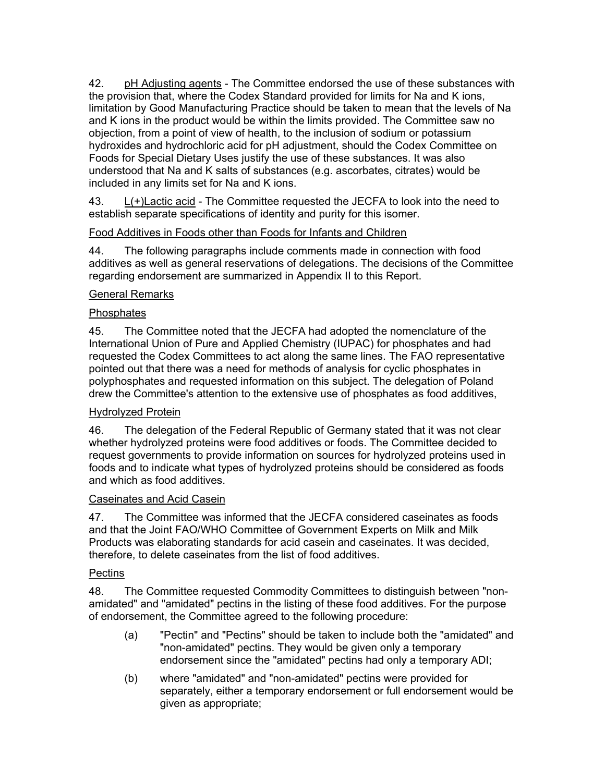42. pH Adjusting agents - The Committee endorsed the use of these substances with the provision that, where the Codex Standard provided for limits for Na and K ions, limitation by Good Manufacturing Practice should be taken to mean that the levels of Na and K ions in the product would be within the limits provided. The Committee saw no objection, from a point of view of health, to the inclusion of sodium or potassium hydroxides and hydrochloric acid for pH adjustment, should the Codex Committee on Foods for Special Dietary Uses justify the use of these substances. It was also understood that Na and K salts of substances (e.g. ascorbates, citrates) would be included in any limits set for Na and K ions.

43. L(+)Lactic acid - The Committee requested the JECFA to look into the need to establish separate specifications of identity and purity for this isomer.

# Food Additives in Foods other than Foods for Infants and Children

44. The following paragraphs include comments made in connection with food additives as well as general reservations of delegations. The decisions of the Committee regarding endorsement are summarized in Appendix II to this Report.

## General Remarks

## **Phosphates**

45. The Committee noted that the JECFA had adopted the nomenclature of the International Union of Pure and Applied Chemistry (IUPAC) for phosphates and had requested the Codex Committees to act along the same lines. The FAO representative pointed out that there was a need for methods of analysis for cyclic phosphates in polyphosphates and requested information on this subject. The delegation of Poland drew the Committee's attention to the extensive use of phosphates as food additives,

## Hydrolyzed Protein

46. The delegation of the Federal Republic of Germany stated that it was not clear whether hydrolyzed proteins were food additives or foods. The Committee decided to request governments to provide information on sources for hydrolyzed proteins used in foods and to indicate what types of hydrolyzed proteins should be considered as foods and which as food additives.

## Caseinates and Acid Casein

47. The Committee was informed that the JECFA considered caseinates as foods and that the Joint FAO/WHO Committee of Government Experts on Milk and Milk Products was elaborating standards for acid casein and caseinates. It was decided, therefore, to delete caseinates from the list of food additives.

## **Pectins**

48. The Committee requested Commodity Committees to distinguish between "nonamidated" and "amidated" pectins in the listing of these food additives. For the purpose of endorsement, the Committee agreed to the following procedure:

- (a) "Pectin" and "Pectins" should be taken to include both the "amidated" and "non-amidated" pectins. They would be given only a temporary endorsement since the "amidated" pectins had only a temporary ADI;
- (b) where "amidated" and "non-amidated" pectins were provided for separately, either a temporary endorsement or full endorsement would be given as appropriate;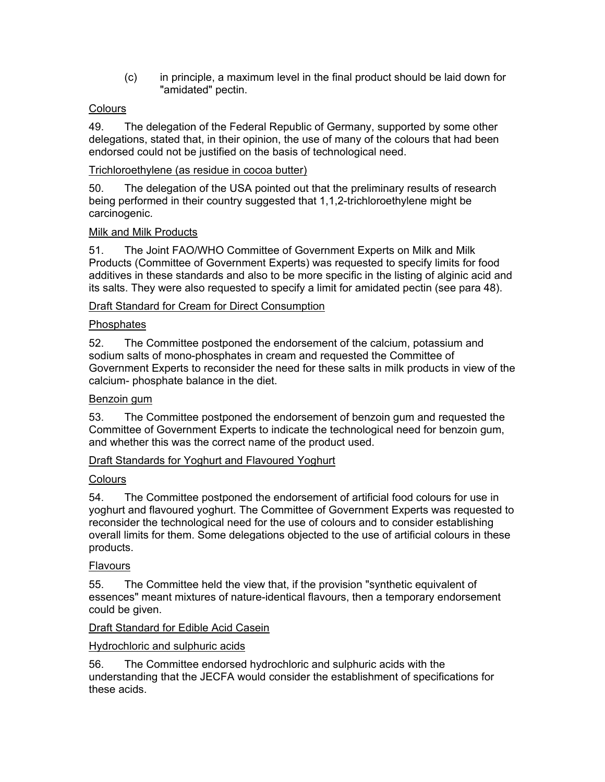(c) in principle, a maximum level in the final product should be laid down for "amidated" pectin.

# **Colours**

49. The delegation of the Federal Republic of Germany, supported by some other delegations, stated that, in their opinion, the use of many of the colours that had been endorsed could not be justified on the basis of technological need.

#### Trichloroethylene (as residue in cocoa butter)

50. The delegation of the USA pointed out that the preliminary results of research being performed in their country suggested that 1,1,2-trichloroethylene might be carcinogenic.

#### Milk and Milk Products

51. The Joint FAO/WHO Committee of Government Experts on Milk and Milk Products (Committee of Government Experts) was requested to specify limits for food additives in these standards and also to be more specific in the listing of alginic acid and its salts. They were also requested to specify a limit for amidated pectin (see para 48).

## Draft Standard for Cream for Direct Consumption

#### **Phosphates**

52. The Committee postponed the endorsement of the calcium, potassium and sodium salts of mono-phosphates in cream and requested the Committee of Government Experts to reconsider the need for these salts in milk products in view of the calcium- phosphate balance in the diet.

#### Benzoin gum

53. The Committee postponed the endorsement of benzoin gum and requested the Committee of Government Experts to indicate the technological need for benzoin gum, and whether this was the correct name of the product used.

## Draft Standards for Yoghurt and Flavoured Yoghurt

#### Colours

54. The Committee postponed the endorsement of artificial food colours for use in yoghurt and flavoured yoghurt. The Committee of Government Experts was requested to reconsider the technological need for the use of colours and to consider establishing overall limits for them. Some delegations objected to the use of artificial colours in these products.

#### Flavours

55. The Committee held the view that, if the provision "synthetic equivalent of essences" meant mixtures of nature-identical flavours, then a temporary endorsement could be given.

#### Draft Standard for Edible Acid Casein

#### Hydrochloric and sulphuric acids

56. The Committee endorsed hydrochloric and sulphuric acids with the understanding that the JECFA would consider the establishment of specifications for these acids.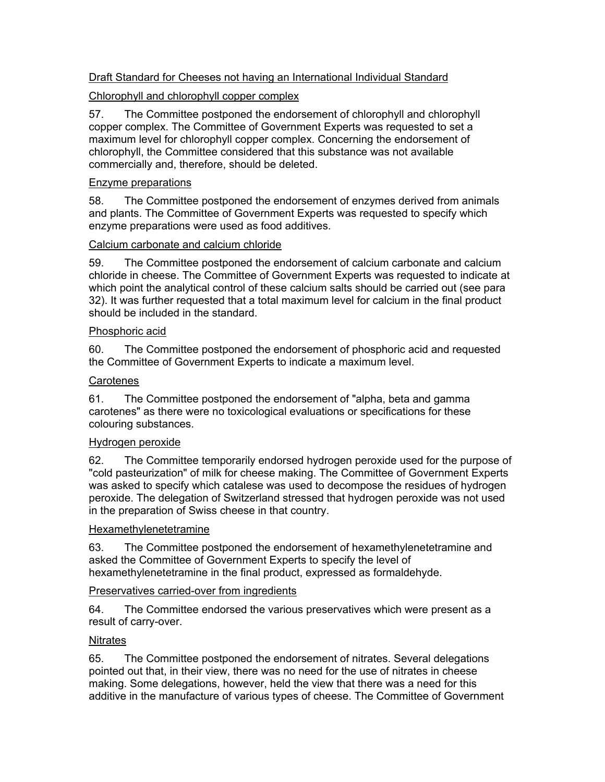# Draft Standard for Cheeses not having an International Individual Standard

# Chlorophyll and chlorophyll copper complex

57. The Committee postponed the endorsement of chlorophyll and chlorophyll copper complex. The Committee of Government Experts was requested to set a maximum level for chlorophyll copper complex. Concerning the endorsement of chlorophyll, the Committee considered that this substance was not available commercially and, therefore, should be deleted.

# Enzyme preparations

58. The Committee postponed the endorsement of enzymes derived from animals and plants. The Committee of Government Experts was requested to specify which enzyme preparations were used as food additives.

## Calcium carbonate and calcium chloride

59. The Committee postponed the endorsement of calcium carbonate and calcium chloride in cheese. The Committee of Government Experts was requested to indicate at which point the analytical control of these calcium salts should be carried out (see para 32). It was further requested that a total maximum level for calcium in the final product should be included in the standard.

## Phosphoric acid

60. The Committee postponed the endorsement of phosphoric acid and requested the Committee of Government Experts to indicate a maximum level.

## **Carotenes**

61. The Committee postponed the endorsement of "alpha, beta and gamma carotenes" as there were no toxicological evaluations or specifications for these colouring substances.

## Hydrogen peroxide

62. The Committee temporarily endorsed hydrogen peroxide used for the purpose of "cold pasteurization" of milk for cheese making. The Committee of Government Experts was asked to specify which catalese was used to decompose the residues of hydrogen peroxide. The delegation of Switzerland stressed that hydrogen peroxide was not used in the preparation of Swiss cheese in that country.

## Hexamethylenetetramine

63. The Committee postponed the endorsement of hexamethylenetetramine and asked the Committee of Government Experts to specify the level of hexamethylenetetramine in the final product, expressed as formaldehyde.

## Preservatives carried-over from ingredients

64. The Committee endorsed the various preservatives which were present as a result of carry-over.

## **Nitrates**

65. The Committee postponed the endorsement of nitrates. Several delegations pointed out that, in their view, there was no need for the use of nitrates in cheese making. Some delegations, however, held the view that there was a need for this additive in the manufacture of various types of cheese. The Committee of Government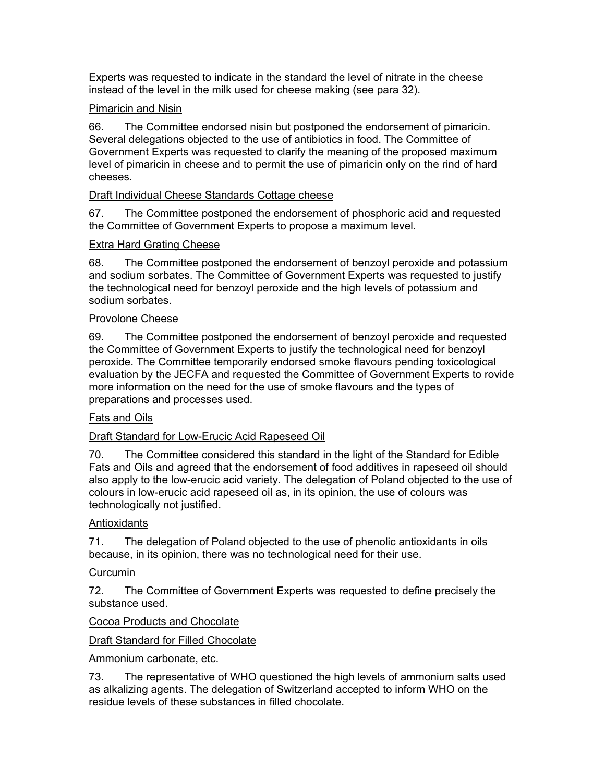Experts was requested to indicate in the standard the level of nitrate in the cheese instead of the level in the milk used for cheese making (see para 32).

## Pimaricin and Nisin

66. The Committee endorsed nisin but postponed the endorsement of pimaricin. Several delegations objected to the use of antibiotics in food. The Committee of Government Experts was requested to clarify the meaning of the proposed maximum level of pimaricin in cheese and to permit the use of pimaricin only on the rind of hard cheeses.

## Draft Individual Cheese Standards Cottage cheese

67. The Committee postponed the endorsement of phosphoric acid and requested the Committee of Government Experts to propose a maximum level.

## Extra Hard Grating Cheese

68. The Committee postponed the endorsement of benzoyl peroxide and potassium and sodium sorbates. The Committee of Government Experts was requested to justify the technological need for benzoyl peroxide and the high levels of potassium and sodium sorbates.

## Provolone Cheese

69. The Committee postponed the endorsement of benzoyl peroxide and requested the Committee of Government Experts to justify the technological need for benzoyl peroxide. The Committee temporarily endorsed smoke flavours pending toxicological evaluation by the JECFA and requested the Committee of Government Experts to rovide more information on the need for the use of smoke flavours and the types of preparations and processes used.

# **Fats and Oils**

# Draft Standard for Low-Erucic Acid Rapeseed Oil

70. The Committee considered this standard in the light of the Standard for Edible Fats and Oils and agreed that the endorsement of food additives in rapeseed oil should also apply to the low-erucic acid variety. The delegation of Poland objected to the use of colours in low-erucic acid rapeseed oil as, in its opinion, the use of colours was technologically not justified.

## Antioxidants

71. The delegation of Poland objected to the use of phenolic antioxidants in oils because, in its opinion, there was no technological need for their use.

## Curcumin

72. The Committee of Government Experts was requested to define precisely the substance used.

## Cocoa Products and Chocolate

Draft Standard for Filled Chocolate

## Ammonium carbonate, etc.

73. The representative of WHO questioned the high levels of ammonium salts used as alkalizing agents. The delegation of Switzerland accepted to inform WHO on the residue levels of these substances in filled chocolate.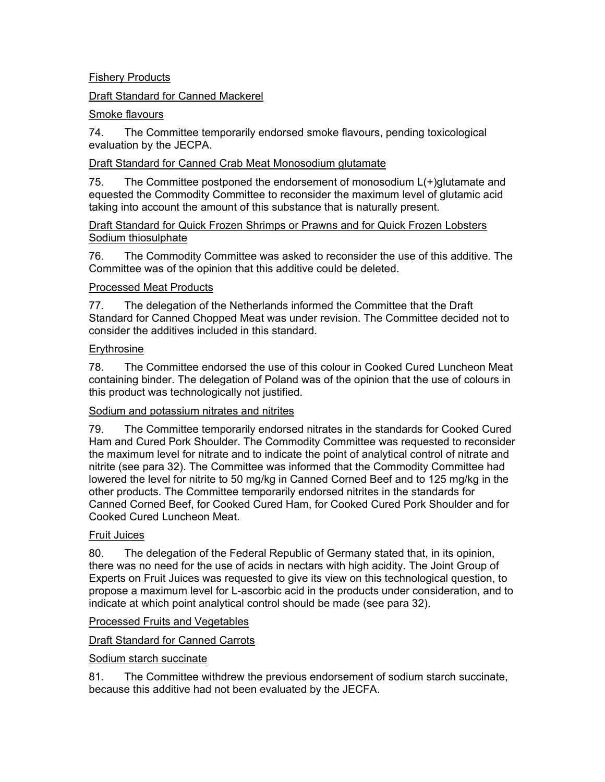# Fishery Products

## Draft Standard for Canned Mackerel

## Smoke flavours

74. The Committee temporarily endorsed smoke flavours, pending toxicological evaluation by the JECPA.

## Draft Standard for Canned Crab Meat Monosodium glutamate

75. The Committee postponed the endorsement of monosodium L(+)glutamate and equested the Commodity Committee to reconsider the maximum level of glutamic acid taking into account the amount of this substance that is naturally present.

Draft Standard for Quick Frozen Shrimps or Prawns and for Quick Frozen Lobsters Sodium thiosulphate

76. The Commodity Committee was asked to reconsider the use of this additive. The Committee was of the opinion that this additive could be deleted.

## Processed Meat Products

77. The delegation of the Netherlands informed the Committee that the Draft Standard for Canned Chopped Meat was under revision. The Committee decided not to consider the additives included in this standard.

## **Ervthrosine**

78. The Committee endorsed the use of this colour in Cooked Cured Luncheon Meat containing binder. The delegation of Poland was of the opinion that the use of colours in this product was technologically not justified.

## Sodium and potassium nitrates and nitrites

79. The Committee temporarily endorsed nitrates in the standards for Cooked Cured Ham and Cured Pork Shoulder. The Commodity Committee was requested to reconsider the maximum level for nitrate and to indicate the point of analytical control of nitrate and nitrite (see para 32). The Committee was informed that the Commodity Committee had lowered the level for nitrite to 50 mg/kg in Canned Corned Beef and to 125 mg/kg in the other products. The Committee temporarily endorsed nitrites in the standards for Canned Corned Beef, for Cooked Cured Ham, for Cooked Cured Pork Shoulder and for Cooked Cured Luncheon Meat.

## Fruit Juices

80. The delegation of the Federal Republic of Germany stated that, in its opinion, there was no need for the use of acids in nectars with high acidity. The Joint Group of Experts on Fruit Juices was requested to give its view on this technological question, to propose a maximum level for L-ascorbic acid in the products under consideration, and to indicate at which point analytical control should be made (see para 32).

## Processed Fruits and Vegetables

## Draft Standard for Canned Carrots

## Sodium starch succinate

81. The Committee withdrew the previous endorsement of sodium starch succinate, because this additive had not been evaluated by the JECFA.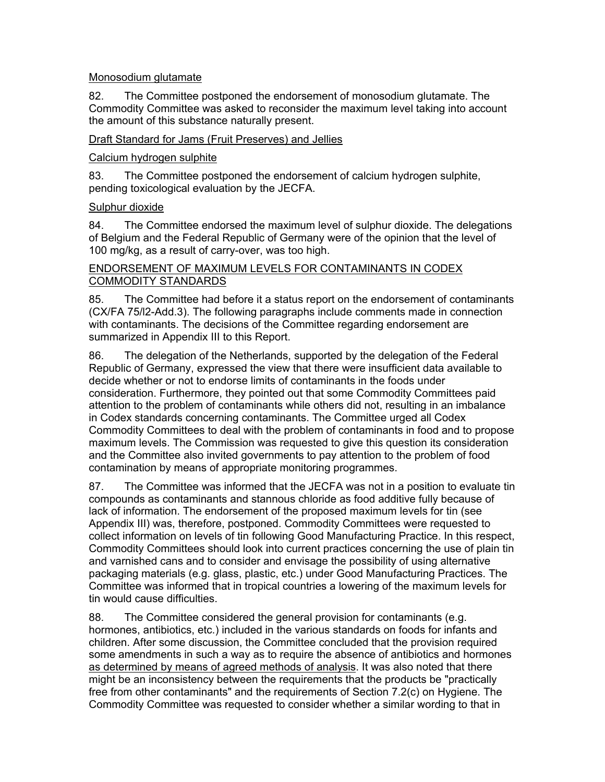## Monosodium glutamate

82. The Committee postponed the endorsement of monosodium glutamate. The Commodity Committee was asked to reconsider the maximum level taking into account the amount of this substance naturally present.

#### Draft Standard for Jams (Fruit Preserves) and Jellies

#### Calcium hydrogen sulphite

83. The Committee postponed the endorsement of calcium hydrogen sulphite, pending toxicological evaluation by the JECFA.

#### Sulphur dioxide

84. The Committee endorsed the maximum level of sulphur dioxide. The delegations of Belgium and the Federal Republic of Germany were of the opinion that the level of 100 mg/kg, as a result of carry-over, was too high.

## ENDORSEMENT OF MAXIMUM LEVELS FOR CONTAMINANTS IN CODEX COMMODITY STANDARDS

85. The Committee had before it a status report on the endorsement of contaminants (CX/FA 75/l2-Add.3). The following paragraphs include comments made in connection with contaminants. The decisions of the Committee regarding endorsement are summarized in Appendix III to this Report.

86. The delegation of the Netherlands, supported by the delegation of the Federal Republic of Germany, expressed the view that there were insufficient data available to decide whether or not to endorse limits of contaminants in the foods under consideration. Furthermore, they pointed out that some Commodity Committees paid attention to the problem of contaminants while others did not, resulting in an imbalance in Codex standards concerning contaminants. The Committee urged all Codex Commodity Committees to deal with the problem of contaminants in food and to propose maximum levels. The Commission was requested to give this question its consideration and the Committee also invited governments to pay attention to the problem of food contamination by means of appropriate monitoring programmes.

87. The Committee was informed that the JECFA was not in a position to evaluate tin compounds as contaminants and stannous chloride as food additive fully because of lack of information. The endorsement of the proposed maximum levels for tin (see Appendix III) was, therefore, postponed. Commodity Committees were requested to collect information on levels of tin following Good Manufacturing Practice. In this respect, Commodity Committees should look into current practices concerning the use of plain tin and varnished cans and to consider and envisage the possibility of using alternative packaging materials (e.g. glass, plastic, etc.) under Good Manufacturing Practices. The Committee was informed that in tropical countries a lowering of the maximum levels for tin would cause difficulties.

88. The Committee considered the general provision for contaminants (e.g. hormones, antibiotics, etc.) included in the various standards on foods for infants and children. After some discussion, the Committee concluded that the provision required some amendments in such a way as to require the absence of antibiotics and hormones as determined by means of agreed methods of analysis. It was also noted that there might be an inconsistency between the requirements that the products be "practically free from other contaminants" and the requirements of Section 7.2(c) on Hygiene. The Commodity Committee was requested to consider whether a similar wording to that in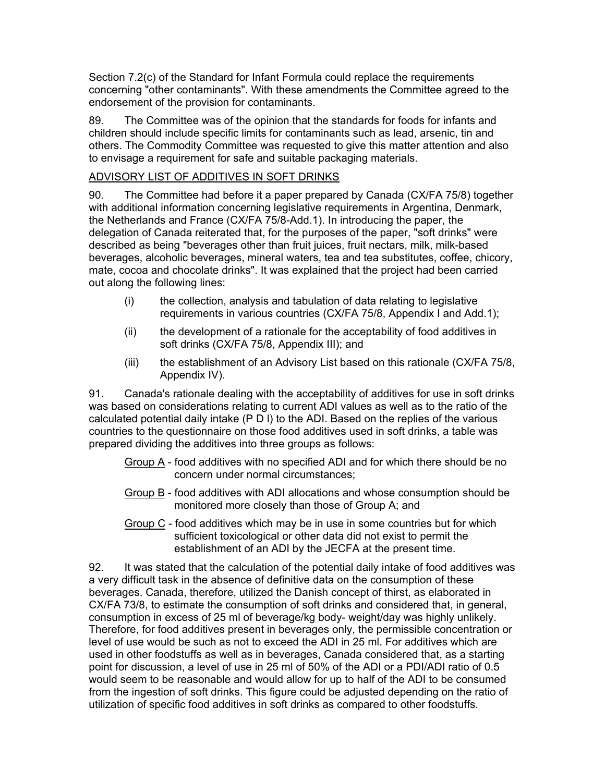Section 7.2(c) of the Standard for Infant Formula could replace the requirements concerning "other contaminants". With these amendments the Committee agreed to the endorsement of the provision for contaminants.

89. The Committee was of the opinion that the standards for foods for infants and children should include specific limits for contaminants such as lead, arsenic, tin and others. The Commodity Committee was requested to give this matter attention and also to envisage a requirement for safe and suitable packaging materials.

## ADVISORY LIST OF ADDITIVES IN SOFT DRINKS

90. The Committee had before it a paper prepared by Canada (CX/FA 75/8) together with additional information concerning legislative requirements in Argentina, Denmark, the Netherlands and France (CX/FA 75/8-Add.1). In introducing the paper, the delegation of Canada reiterated that, for the purposes of the paper, "soft drinks" were described as being "beverages other than fruit juices, fruit nectars, milk, milk-based beverages, alcoholic beverages, mineral waters, tea and tea substitutes, coffee, chicory, mate, cocoa and chocolate drinks". It was explained that the project had been carried out along the following lines:

- (i) the collection, analysis and tabulation of data relating to legislative requirements in various countries (CX/FA 75/8, Appendix I and Add.1);
- (ii) the development of a rationale for the acceptability of food additives in soft drinks (CX/FA 75/8, Appendix III); and
- (iii) the establishment of an Advisory List based on this rationale (CX/FA 75/8, Appendix IV).

91. Canada's rationale dealing with the acceptability of additives for use in soft drinks was based on considerations relating to current ADI values as well as to the ratio of the calculated potential daily intake ( $P \overline{D}$  I) to the ADI. Based on the replies of the various countries to the questionnaire on those food additives used in soft drinks, a table was prepared dividing the additives into three groups as follows:

- Group A food additives with no specified ADI and for which there should be no concern under normal circumstances;
- Group B food additives with ADI allocations and whose consumption should be monitored more closely than those of Group A; and
- Group C food additives which may be in use in some countries but for which sufficient toxicological or other data did not exist to permit the establishment of an ADI by the JECFA at the present time.

92. It was stated that the calculation of the potential daily intake of food additives was a very difficult task in the absence of definitive data on the consumption of these beverages. Canada, therefore, utilized the Danish concept of thirst, as elaborated in CX/FA 73/8, to estimate the consumption of soft drinks and considered that, in general, consumption in excess of 25 ml of beverage/kg body- weight/day was highly unlikely. Therefore, for food additives present in beverages only, the permissible concentration or level of use would be such as not to exceed the ADI in 25 ml. For additives which are used in other foodstuffs as well as in beverages, Canada considered that, as a starting point for discussion, a level of use in 25 ml of 50% of the ADI or a PDI/ADI ratio of 0.5 would seem to be reasonable and would allow for up to half of the ADI to be consumed from the ingestion of soft drinks. This figure could be adjusted depending on the ratio of utilization of specific food additives in soft drinks as compared to other foodstuffs.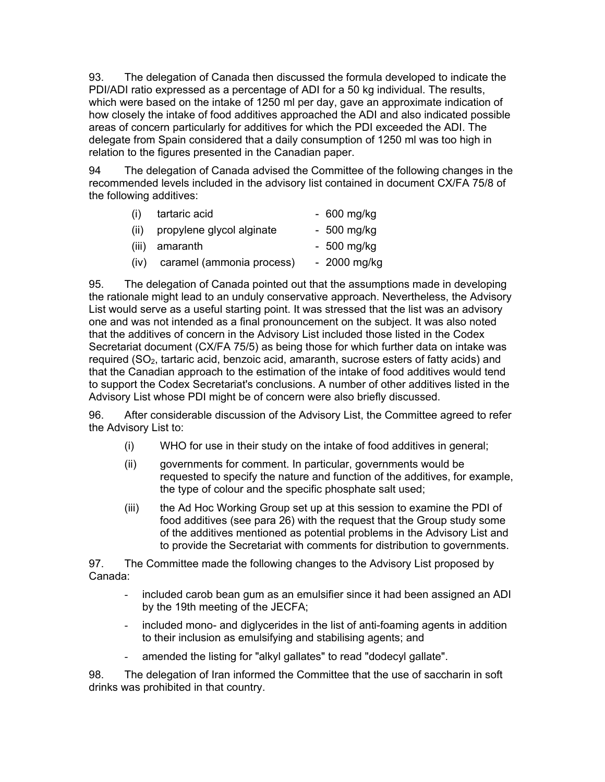93. The delegation of Canada then discussed the formula developed to indicate the PDI/ADI ratio expressed as a percentage of ADI for a 50 kg individual. The results, which were based on the intake of 1250 ml per day, gave an approximate indication of how closely the intake of food additives approached the ADI and also indicated possible areas of concern particularly for additives for which the PDI exceeded the ADI. The delegate from Spain considered that a daily consumption of 1250 ml was too high in relation to the figures presented in the Canadian paper.

94 The delegation of Canada advised the Committee of the following changes in the recommended levels included in the advisory list contained in document CX/FA 75/8 of the following additives:

| (i)  | tartaric acid             | $-600$ mg/kg  |
|------|---------------------------|---------------|
| (ii) | propylene glycol alginate | $-500$ mg/kg  |
|      | (iii) amaranth            | $-500$ mg/kg  |
| (iv) | caramel (ammonia process) | $-2000$ mg/kg |

95. The delegation of Canada pointed out that the assumptions made in developing the rationale might lead to an unduly conservative approach. Nevertheless, the Advisory List would serve as a useful starting point. It was stressed that the list was an advisory one and was not intended as a final pronouncement on the subject. It was also noted that the additives of concern in the Advisory List included those listed in the Codex Secretariat document (CX/FA 75/5) as being those for which further data on intake was required  $(SO<sub>2</sub>)$ , tartaric acid, benzoic acid, amaranth, sucrose esters of fatty acids) and that the Canadian approach to the estimation of the intake of food additives would tend to support the Codex Secretariat's conclusions. A number of other additives listed in the Advisory List whose PDI might be of concern were also briefly discussed.

96. After considerable discussion of the Advisory List, the Committee agreed to refer the Advisory List to:

- (i) WHO for use in their study on the intake of food additives in general;
- (ii) governments for comment. In particular, governments would be requested to specify the nature and function of the additives, for example, the type of colour and the specific phosphate salt used;
- (iii) the Ad Hoc Working Group set up at this session to examine the PDI of food additives (see para 26) with the request that the Group study some of the additives mentioned as potential problems in the Advisory List and to provide the Secretariat with comments for distribution to governments.

97. The Committee made the following changes to the Advisory List proposed by Canada:

- included carob bean gum as an emulsifier since it had been assigned an ADI by the 19th meeting of the JECFA;
- included mono- and diglycerides in the list of anti-foaming agents in addition to their inclusion as emulsifying and stabilising agents; and
- amended the listing for "alkyl gallates" to read "dodecyl gallate".

98. The delegation of Iran informed the Committee that the use of saccharin in soft drinks was prohibited in that country.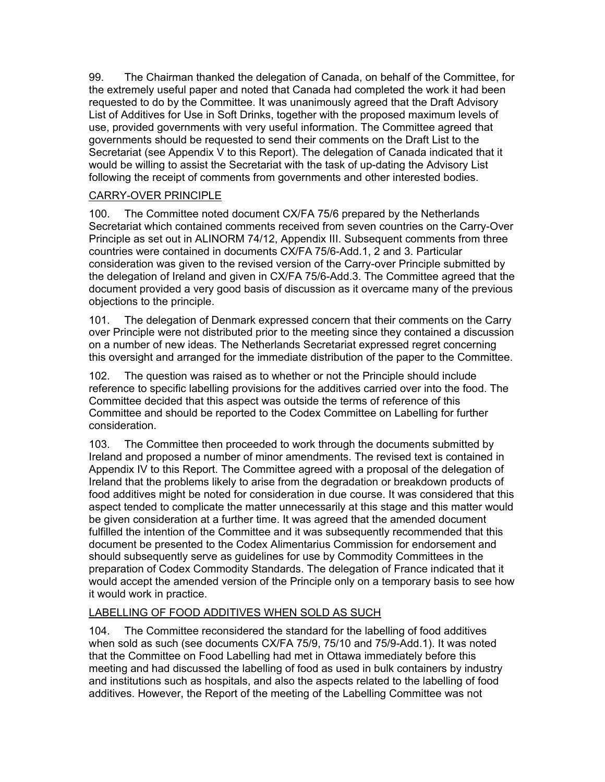99. The Chairman thanked the delegation of Canada, on behalf of the Committee, for the extremely useful paper and noted that Canada had completed the work it had been requested to do by the Committee. It was unanimously agreed that the Draft Advisory List of Additives for Use in Soft Drinks, together with the proposed maximum levels of use, provided governments with very useful information. The Committee agreed that governments should be requested to send their comments on the Draft List to the Secretariat (see Appendix V to this Report). The delegation of Canada indicated that it would be willing to assist the Secretariat with the task of up-dating the Advisory List following the receipt of comments from governments and other interested bodies.

# CARRY-OVER PRINCIPLE

100. The Committee noted document CX/FA 75/6 prepared by the Netherlands Secretariat which contained comments received from seven countries on the Carry-Over Principle as set out in ALINORM 74/12, Appendix III. Subsequent comments from three countries were contained in documents CX/FA 75/6-Add.1, 2 and 3. Particular consideration was given to the revised version of the Carry-over Principle submitted by the delegation of Ireland and given in CX/FA 75/6-Add.3. The Committee agreed that the document provided a very good basis of discussion as it overcame many of the previous objections to the principle.

101. The delegation of Denmark expressed concern that their comments on the Carry over Principle were not distributed prior to the meeting since they contained a discussion on a number of new ideas. The Netherlands Secretariat expressed regret concerning this oversight and arranged for the immediate distribution of the paper to the Committee.

102. The question was raised as to whether or not the Principle should include reference to specific labelling provisions for the additives carried over into the food. The Committee decided that this aspect was outside the terms of reference of this Committee and should be reported to the Codex Committee on Labelling for further consideration.

103. The Committee then proceeded to work through the documents submitted by Ireland and proposed a number of minor amendments. The revised text is contained in Appendix IV to this Report. The Committee agreed with a proposal of the delegation of Ireland that the problems likely to arise from the degradation or breakdown products of food additives might be noted for consideration in due course. It was considered that this aspect tended to complicate the matter unnecessarily at this stage and this matter would be given consideration at a further time. It was agreed that the amended document fulfilled the intention of the Committee and it was subsequently recommended that this document be presented to the Codex Alimentarius Commission for endorsement and should subsequently serve as guidelines for use by Commodity Committees in the preparation of Codex Commodity Standards. The delegation of France indicated that it would accept the amended version of the Principle only on a temporary basis to see how it would work in practice.

# LABELLING OF FOOD ADDITIVES WHEN SOLD AS SUCH

104. The Committee reconsidered the standard for the labelling of food additives when sold as such (see documents CX/FA 75/9, 75/10 and 75/9-Add.1). It was noted that the Committee on Food Labelling had met in Ottawa immediately before this meeting and had discussed the labelling of food as used in bulk containers by industry and institutions such as hospitals, and also the aspects related to the labelling of food additives. However, the Report of the meeting of the Labelling Committee was not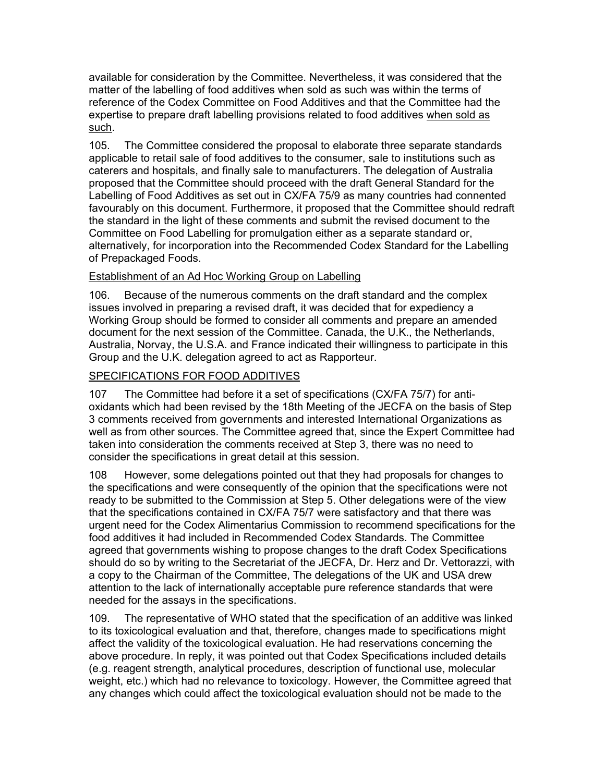available for consideration by the Committee. Nevertheless, it was considered that the matter of the labelling of food additives when sold as such was within the terms of reference of the Codex Committee on Food Additives and that the Committee had the expertise to prepare draft labelling provisions related to food additives when sold as such.

105. The Committee considered the proposal to elaborate three separate standards applicable to retail sale of food additives to the consumer, sale to institutions such as caterers and hospitals, and finally sale to manufacturers. The delegation of Australia proposed that the Committee should proceed with the draft General Standard for the Labelling of Food Additives as set out in CX/FA 75/9 as many countries had connented favourably on this document. Furthermore, it proposed that the Committee should redraft the standard in the light of these comments and submit the revised document to the Committee on Food Labelling for promulgation either as a separate standard or, alternatively, for incorporation into the Recommended Codex Standard for the Labelling of Prepackaged Foods.

## Establishment of an Ad Hoc Working Group on Labelling

106. Because of the numerous comments on the draft standard and the complex issues involved in preparing a revised draft, it was decided that for expediency a Working Group should be formed to consider all comments and prepare an amended document for the next session of the Committee. Canada, the U.K., the Netherlands, Australia, Norvay, the U.S.A. and France indicated their willingness to participate in this Group and the U.K. delegation agreed to act as Rapporteur.

## SPECIFICATIONS FOR FOOD ADDITIVES

107 The Committee had before it a set of specifications (CX/FA 75/7) for antioxidants which had been revised by the 18th Meeting of the JECFA on the basis of Step 3 comments received from governments and interested International Organizations as well as from other sources. The Committee agreed that, since the Expert Committee had taken into consideration the comments received at Step 3, there was no need to consider the specifications in great detail at this session.

108 However, some delegations pointed out that they had proposals for changes to the specifications and were consequently of the opinion that the specifications were not ready to be submitted to the Commission at Step 5. Other delegations were of the view that the specifications contained in CX/FA 75/7 were satisfactory and that there was urgent need for the Codex Alimentarius Commission to recommend specifications for the food additives it had included in Recommended Codex Standards. The Committee agreed that governments wishing to propose changes to the draft Codex Specifications should do so by writing to the Secretariat of the JECFA, Dr. Herz and Dr. Vettorazzi, with a copy to the Chairman of the Committee, The delegations of the UK and USA drew attention to the lack of internationally acceptable pure reference standards that were needed for the assays in the specifications.

109. The representative of WHO stated that the specification of an additive was linked to its toxicological evaluation and that, therefore, changes made to specifications might affect the validity of the toxicological evaluation. He had reservations concerning the above procedure. In reply, it was pointed out that Codex Specifications included details (e.g. reagent strength, analytical procedures, description of functional use, molecular weight, etc.) which had no relevance to toxicology. However, the Committee agreed that any changes which could affect the toxicological evaluation should not be made to the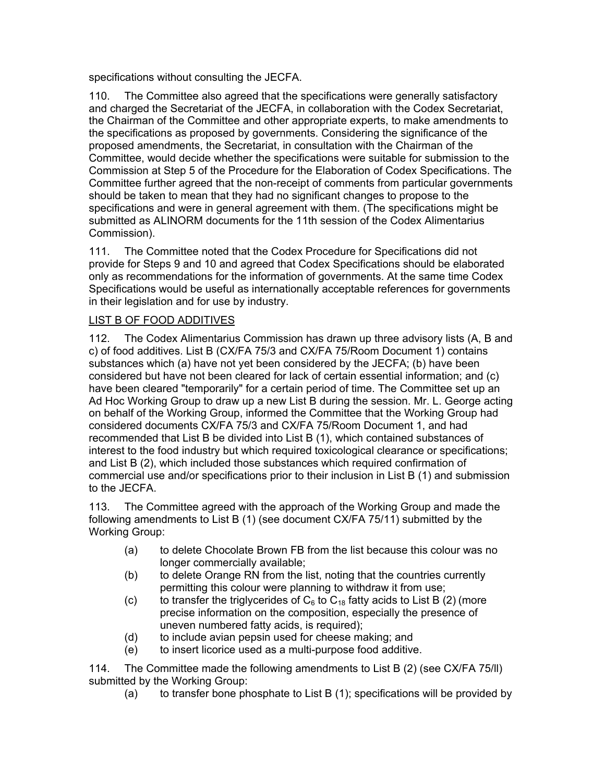specifications without consulting the JECFA.

110. The Committee also agreed that the specifications were generally satisfactory and charged the Secretariat of the JECFA, in collaboration with the Codex Secretariat, the Chairman of the Committee and other appropriate experts, to make amendments to the specifications as proposed by governments. Considering the significance of the proposed amendments, the Secretariat, in consultation with the Chairman of the Committee, would decide whether the specifications were suitable for submission to the Commission at Step 5 of the Procedure for the Elaboration of Codex Specifications. The Committee further agreed that the non-receipt of comments from particular governments should be taken to mean that they had no significant changes to propose to the specifications and were in general agreement with them. (The specifications might be submitted as ALINORM documents for the 11th session of the Codex Alimentarius Commission).

111. The Committee noted that the Codex Procedure for Specifications did not provide for Steps 9 and 10 and agreed that Codex Specifications should be elaborated only as recommendations for the information of governments. At the same time Codex Specifications would be useful as internationally acceptable references for governments in their legislation and for use by industry.

# LIST B OF FOOD ADDITIVES

112. The Codex Alimentarius Commission has drawn up three advisory lists (A, B and c) of food additives. List B (CX/FA 75/3 and CX/FA 75/Room Document 1) contains substances which (a) have not yet been considered by the JECFA; (b) have been considered but have not been cleared for lack of certain essential information; and (c) have been cleared "temporarily" for a certain period of time. The Committee set up an Ad Hoc Working Group to draw up a new List B during the session. Mr. L. George acting on behalf of the Working Group, informed the Committee that the Working Group had considered documents CX/FA 75/3 and CX/FA 75/Room Document 1, and had recommended that List B be divided into List B (1), which contained substances of interest to the food industry but which required toxicological clearance or specifications; and List B (2), which included those substances which required confirmation of commercial use and/or specifications prior to their inclusion in List B (1) and submission to the JECFA.

113. The Committee agreed with the approach of the Working Group and made the following amendments to List B (1) (see document CX/FA 75/11) submitted by the Working Group:

- (a) to delete Chocolate Brown FB from the list because this colour was no longer commercially available;
- (b) to delete Orange RN from the list, noting that the countries currently permitting this colour were planning to withdraw it from use;
- (c) to transfer the triglycerides of  $C_6$  to  $C_{18}$  fatty acids to List B (2) (more precise information on the composition, especially the presence of uneven numbered fatty acids, is required);
- (d) to include avian pepsin used for cheese making; and
- (e) to insert licorice used as a multi-purpose food additive.

114. The Committee made the following amendments to List B (2) (see CX/FA 75/ll) submitted by the Working Group:

(a) to transfer bone phosphate to List B  $(1)$ ; specifications will be provided by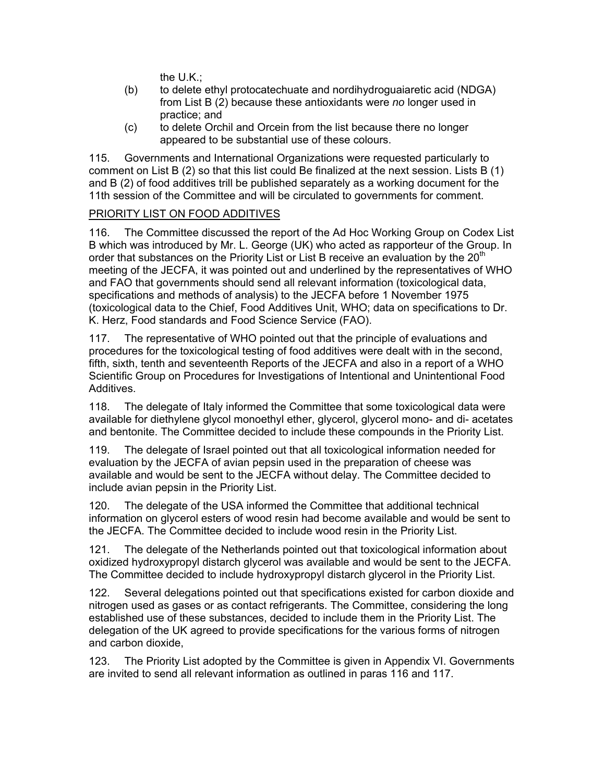the U.K.;

- (b) to delete ethyl protocatechuate and nordihydroguaiaretic acid (NDGA) from List B (2) because these antioxidants were *no* longer used in practice; and
- (c) to delete Orchil and Orcein from the list because there no longer appeared to be substantial use of these colours.

115. Governments and International Organizations were requested particularly to comment on List B (2) so that this list could Be finalized at the next session. Lists B (1) and B (2) of food additives trill be published separately as a working document for the 11th session of the Committee and will be circulated to governments for comment.

## PRIORITY LIST ON FOOD ADDITIVES

116. The Committee discussed the report of the Ad Hoc Working Group on Codex List B which was introduced by Mr. L. George (UK) who acted as rapporteur of the Group. In order that substances on the Priority List or List B receive an evaluation by the  $20<sup>th</sup>$ meeting of the JECFA, it was pointed out and underlined by the representatives of WHO and FAO that governments should send all relevant information (toxicological data, specifications and methods of analysis) to the JECFA before 1 November 1975 (toxicological data to the Chief, Food Additives Unit, WHO; data on specifications to Dr. K. Herz, Food standards and Food Science Service (FAO).

117. The representative of WHO pointed out that the principle of evaluations and procedures for the toxicological testing of food additives were dealt with in the second, fifth, sixth, tenth and seventeenth Reports of the JECFA and also in a report of a WHO Scientific Group on Procedures for Investigations of Intentional and Unintentional Food Additives.

118. The delegate of Italy informed the Committee that some toxicological data were available for diethylene glycol monoethyl ether, glycerol, glycerol mono- and di- acetates and bentonite. The Committee decided to include these compounds in the Priority List.

119. The delegate of Israel pointed out that all toxicological information needed for evaluation by the JECFA of avian pepsin used in the preparation of cheese was available and would be sent to the JECFA without delay. The Committee decided to include avian pepsin in the Priority List.

120. The delegate of the USA informed the Committee that additional technical information on glycerol esters of wood resin had become available and would be sent to the JECFA. The Committee decided to include wood resin in the Priority List.

121. The delegate of the Netherlands pointed out that toxicological information about oxidized hydroxypropyl distarch glycerol was available and would be sent to the JECFA. The Committee decided to include hydroxypropyl distarch glycerol in the Priority List.

122. Several delegations pointed out that specifications existed for carbon dioxide and nitrogen used as gases or as contact refrigerants. The Committee, considering the long established use of these substances, decided to include them in the Priority List. The delegation of the UK agreed to provide specifications for the various forms of nitrogen and carbon dioxide,

123. The Priority List adopted by the Committee is given in Appendix VI. Governments are invited to send all relevant information as outlined in paras 116 and 117.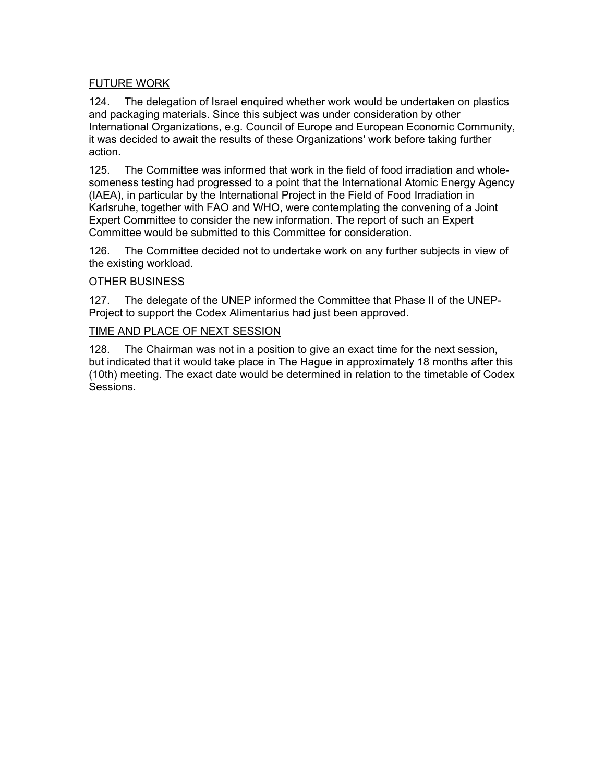# FUTURE WORK

124. The delegation of Israel enquired whether work would be undertaken on plastics and packaging materials. Since this subject was under consideration by other International Organizations, e.g. Council of Europe and European Economic Community, it was decided to await the results of these Organizations' work before taking further action.

125. The Committee was informed that work in the field of food irradiation and wholesomeness testing had progressed to a point that the International Atomic Energy Agency (IAEA), in particular by the International Project in the Field of Food Irradiation in Karlsruhe, together with FAO and WHO, were contemplating the convening of a Joint Expert Committee to consider the new information. The report of such an Expert Committee would be submitted to this Committee for consideration.

126. The Committee decided not to undertake work on any further subjects in view of the existing workload.

## OTHER BUSINESS

127. The delegate of the UNEP informed the Committee that Phase II of the UNEP-Project to support the Codex Alimentarius had just been approved.

## TIME AND PLACE OF NEXT SESSION

128. The Chairman was not in a position to give an exact time for the next session, but indicated that it would take place in The Hague in approximately 18 months after this (10th) meeting. The exact date would be determined in relation to the timetable of Codex Sessions.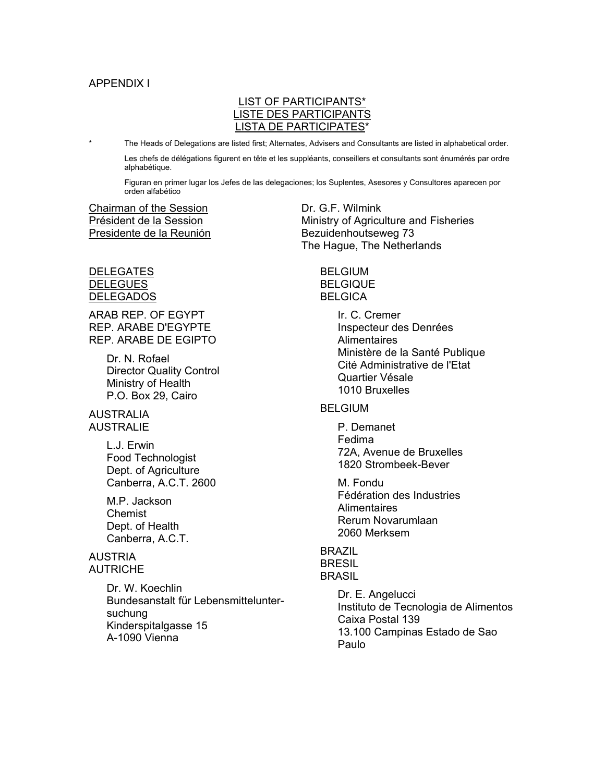#### APPENDIX I

#### LIST OF PARTICIPANTS\* LISTE DES PARTICIPANTS LISTA DE PARTICIPATES<sup>\*</sup>

The Heads of Delegations are listed first; Alternates, Advisers and Consultants are listed in alphabetical order.

Les chefs de délégations figurent en tête et les suppléants, conseillers et consultants sont énumérés par ordre alphabétique.

Figuran en primer lugar los Jefes de las delegaciones; los Suplentes, Asesores y Consultores aparecen por orden alfabético

#### Chairman of the Session Président de la Session Presidente de la Reunión

Dr. G.F. Wilmink Ministry of Agriculture and Fisheries Bezuidenhoutseweg 73 The Hague, The Netherlands

#### **DELEGATES DELEGUES** DELEGADOS

ARAB REP. OF EGYPT REP. ARABE D'EGYPTE REP. ARABE DE EGIPTO

> Dr. N. Rofael Director Quality Control Ministry of Health P.O. Box 29, Cairo

#### AUSTRALIA AUSTRALIE

L.J. Erwin Food Technologist Dept. of Agriculture Canberra, A.C.T. 2600

M.P. Jackson Chemist Dept. of Health Canberra, A.C.T.

#### AUSTRIA AUTRICHE

Dr. W. Koechlin Bundesanstalt für Lebensmitteluntersuchung Kinderspitalgasse 15 A-1090 Vienna

#### BELGIUM **BELGIQUE BELGICA**

Ir. C. Cremer Inspecteur des Denrées **Alimentaires** Ministère de la Santé Publique Cité Administrative de l'Etat Quartier Vésale 1010 Bruxelles

#### **BELGIUM**

P. Demanet Fedima 72A, Avenue de Bruxelles 1820 Strombeek-Bever

M. Fondu Fédération des Industries Alimentaires Rerum Novarumlaan 2060 Merksem

#### BRAZIL **BRESIL** BRASIL

Dr. E. Angelucci Instituto de Tecnologia de Alimentos Caixa Postal 139 13.100 Campinas Estado de Sao Paulo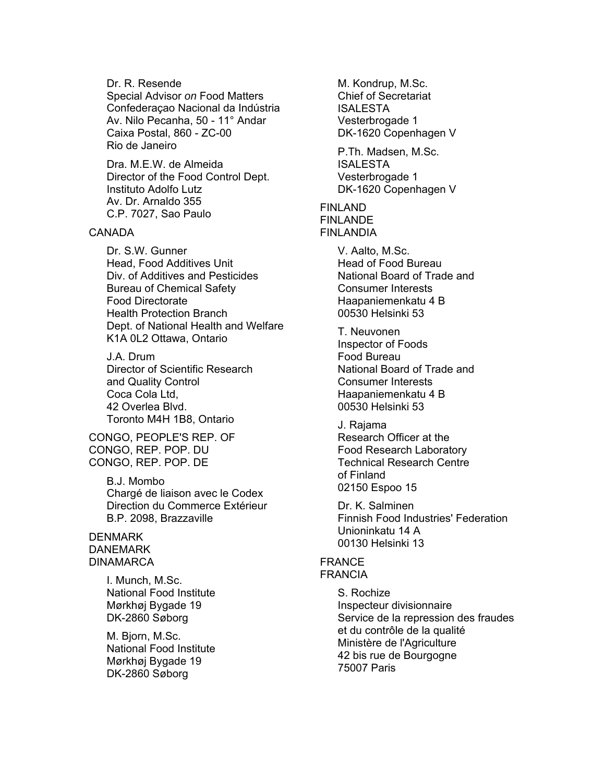Dr. R. Resende Special Advisor *on* Food Matters Confederaçao Nacional da Indústria Av. Nilo Pecanha, 50 - 11° Andar Caixa Postal, 860 - ZC-00 Rio de Janeiro

Dra. M.E.W. de Almeida Director of the Food Control Dept. Instituto Adolfo Lutz Av. Dr. Arnaldo 355 C.P. 7027, Sao Paulo

#### CANADA

Dr. S.W. Gunner Head, Food Additives Unit Div. of Additives and Pesticides Bureau of Chemical Safety Food Directorate Health Protection Branch Dept. of National Health and Welfare K1A 0L2 Ottawa, Ontario

J.A. Drum Director of Scientific Research and Quality Control Coca Cola Ltd, 42 Overlea Blvd. Toronto M4H 1B8, Ontario

CONGO, PEOPLE'S REP. OF CONGO, REP. POP. DU CONGO, REP. POP. DE

> B.J. Mombo Chargé de liaison avec le Codex Direction du Commerce Extérieur B.P. 2098, Brazzaville

#### DENMARK DANEMARK DINAMARCA

I. Munch, M.Sc. National Food Institute Mørkhøj Bygade 19 DK-2860 Søborg

M. Bjorn, M.Sc. National Food Institute Mørkhøj Bygade 19 DK-2860 Søborg

M. Kondrup, M.Sc. Chief of Secretariat ISALESTA Vesterbrogade 1 DK-1620 Copenhagen V

P.Th. Madsen, M.Sc. ISALESTA Vesterbrogade 1 DK-1620 Copenhagen V

#### FINLAND FINLANDE FINLANDIA

V. Aalto, M.Sc. Head of Food Bureau National Board of Trade and Consumer Interests Haapaniemenkatu 4 B 00530 Helsinki 53

T. Neuvonen Inspector of Foods Food Bureau National Board of Trade and Consumer Interests Haapaniemenkatu 4 B 00530 Helsinki 53

J. Rajama Research Officer at the Food Research Laboratory Technical Research Centre of Finland 02150 Espoo 15

Dr. K. Salminen Finnish Food Industries' Federation Unioninkatu 14 A 00130 Helsinki 13

# FRANCE

FRANCIA

S. Rochize Inspecteur divisionnaire Service de la repression des fraudes et du contrôle de la qualité Ministère de l'Agriculture 42 bis rue de Bourgogne 75007 Paris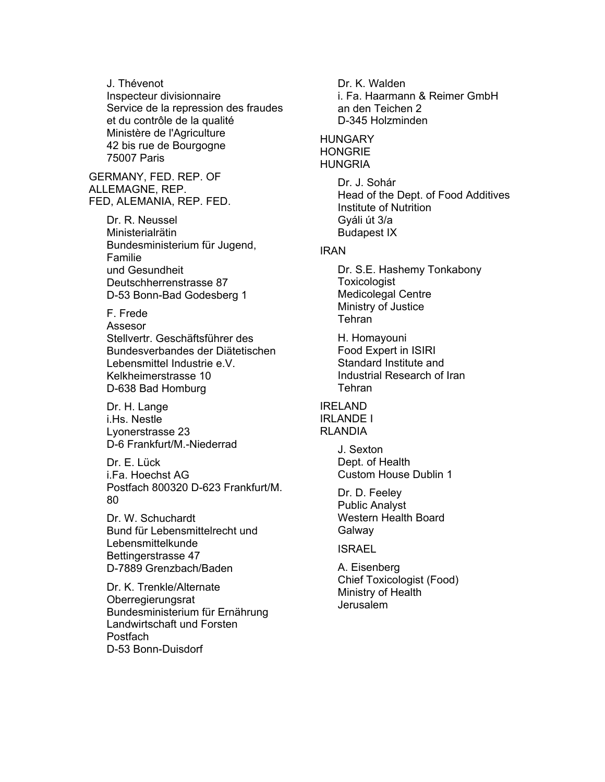J. Thévenot Inspecteur divisionnaire Service de la repression des fraudes et du contrôle de la qualité Ministère de l'Agriculture 42 bis rue de Bourgogne 75007 Paris

GERMANY, FED. REP. OF ALLEMAGNE, REP. FED, ALEMANIA, REP. FED.

> Dr. R. Neussel Ministerialrätin Bundesministerium für Jugend, Familie und Gesundheit Deutschherrenstrasse 87 D-53 Bonn-Bad Godesberg 1

F. Frede Assesor Stellvertr. Geschäftsführer des Bundesverbandes der Diätetischen Lebensmittel Industrie e.V. Kelkheimerstrasse 10 D-638 Bad Homburg

Dr. H. Lange i.Hs. Nestle Lyonerstrasse 23 D-6 Frankfurt/M.-Niederrad

Dr. E. Lück i.Fa. Hoechst AG Postfach 800320 D-623 Frankfurt/M. 80

Dr. W. Schuchardt Bund für Lebensmittelrecht und Lebensmittelkunde Bettingerstrasse 47 D-7889 Grenzbach/Baden

Dr. K. Trenkle/Alternate Oberregierungsrat Bundesministerium für Ernährung Landwirtschaft und Forsten Postfach D-53 Bonn-Duisdorf

Dr. K. Walden i. Fa. Haarmann & Reimer GmbH an den Teichen 2 D-345 Holzminden **HUNGARY** HONGRIE **HUNGRIA** Dr. J. Sohár Head of the Dept. of Food Additives Institute of Nutrition Gyáli út 3/a Budapest IX IRAN Dr. S.E. Hashemy Tonkabony **Toxicologist** Medicolegal Centre Ministry of Justice Tehran H. Homayouni Food Expert in ISIRI Standard Institute and Industrial Research of Iran Tehran IRELAND IRLANDE I RI ANDIA J. Sexton Dept. of Health Custom House Dublin 1 Dr. D. Feeley Public Analyst Western Health Board **Galway** ISRAEL A. Eisenberg Chief Toxicologist (Food) Ministry of Health Jerusalem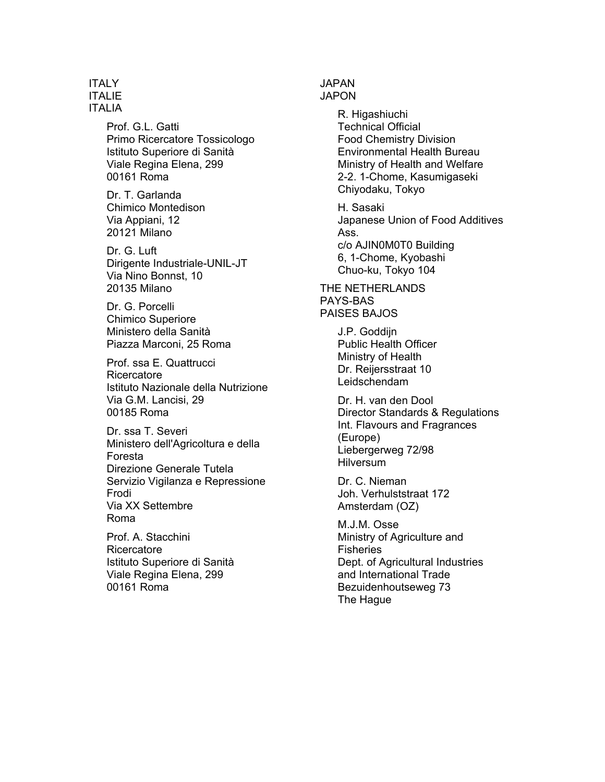#### ITALY ITALIE ITALIA

Prof. G.L. Gatti Primo Ricercatore Tossicologo Istituto Superiore di Sanità Viale Regina Elena, 299 00161 Roma

Dr. T. Garlanda Chimico Montedison Via Appiani, 12 20121 Milano

Dr. G. Luft Dirigente Industriale-UNIL-JT Via Nino Bonnst, 10 20135 Milano

Dr. G. Porcelli Chimico Superiore Ministero della Sanità Piazza Marconi, 25 Roma

Prof. ssa E. Quattrucci **Ricercatore** Istituto Nazionale della Nutrizione Via G.M. Lancisi, 29 00185 Roma

Dr. ssa T. Severi Ministero dell'Agricoltura e della Foresta Direzione Generale Tutela Servizio Vigilanza e Repressione Frodi Via XX Settembre Roma

Prof. A. Stacchini **Ricercatore** Istituto Superiore di Sanità Viale Regina Elena, 299 00161 Roma

#### JAPAN JAPON

R. Higashiuchi Technical Official Food Chemistry Division Environmental Health Bureau Ministry of Health and Welfare 2-2. 1-Chome, Kasumigaseki Chiyodaku, Tokyo H. Sasaki Japanese Union of Food Additives Ass. c/o AJIN0M0T0 Building 6, 1-Chome, Kyobashi Chuo-ku, Tokyo 104 THE NETHERLANDS PAYS-BAS PAISES BAJOS J.P. Goddijn Public Health Officer Ministry of Health Dr. Reijersstraat 10 Leidschendam Dr. H. van den Dool Director Standards & Regulations Int. Flavours and Fragrances (Europe) Liebergerweg 72/98 **Hilversum** Dr. C. Nieman Joh. Verhulststraat 172 Amsterdam (OZ)

M.J.M. Osse Ministry of Agriculture and Fisheries Dept. of Agricultural Industries and International Trade Bezuidenhoutseweg 73 The Hague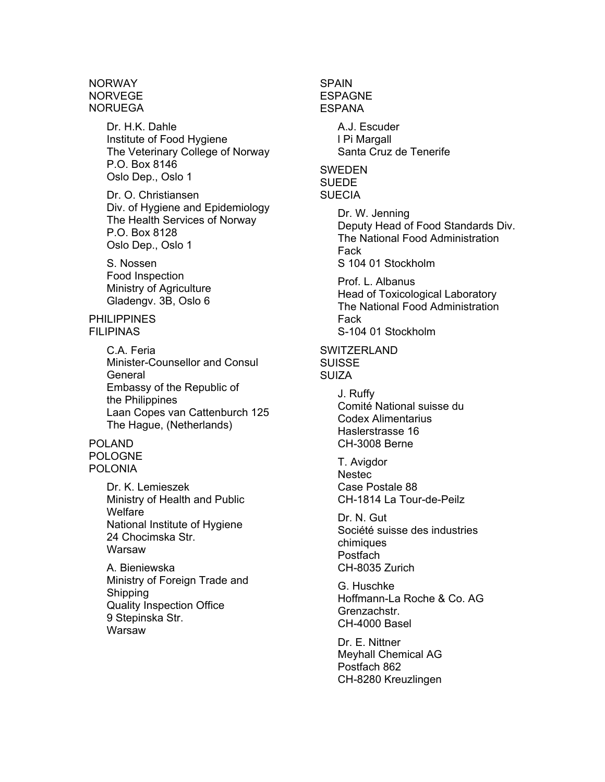NORWAY NORVEGE NORUEGA

> Dr. H.K. Dahle Institute of Food Hygiene The Veterinary College of Norway P.O. Box 8146 Oslo Dep., Oslo 1

> Dr. O. Christiansen Div. of Hygiene and Epidemiology The Health Services of Norway P.O. Box 8128 Oslo Dep., Oslo 1

S. Nossen Food Inspection Ministry of Agriculture Gladengv. 3B, Oslo 6

PHILIPPINES FILIPINAS

> C.A. Feria Minister-Counsellor and Consul General Embassy of the Republic of the Philippines Laan Copes van Cattenburch 125 The Hague, (Netherlands)

POLAND POLOGNE POLONIA

> Dr. K. Lemieszek Ministry of Health and Public **Welfare** National Institute of Hygiene 24 Chocimska Str. Warsaw

> A. Bieniewska Ministry of Foreign Trade and Shipping Quality Inspection Office 9 Stepinska Str. **Warsaw**

SPAIN ESPAGNE **ESPANA** A.J. Escuder l Pi Margall Santa Cruz de Tenerife **SWEDEN** SUEDE **SUECIA** Dr. W. Jenning Deputy Head of Food Standards Div. The National Food Administration Fack S 104 01 Stockholm Prof. L. Albanus Head of Toxicological Laboratory The National Food Administration Fack S-104 01 Stockholm SWITZERLAND SUISSE SUIZA J. Ruffy Comité National suisse du Codex Alimentarius Haslerstrasse 16 CH-3008 Berne T. Avigdor Nestec Case Postale 88 CH-1814 La Tour-de-Peilz Dr. N. Gut Société suisse des industries chimiques **Postfach** CH-8035 Zurich G. Huschke Hoffmann-La Roche & Co. AG Grenzachstr. CH-4000 Basel Dr. E. Nittner Meyhall Chemical AG Postfach 862 CH-8280 Kreuzlingen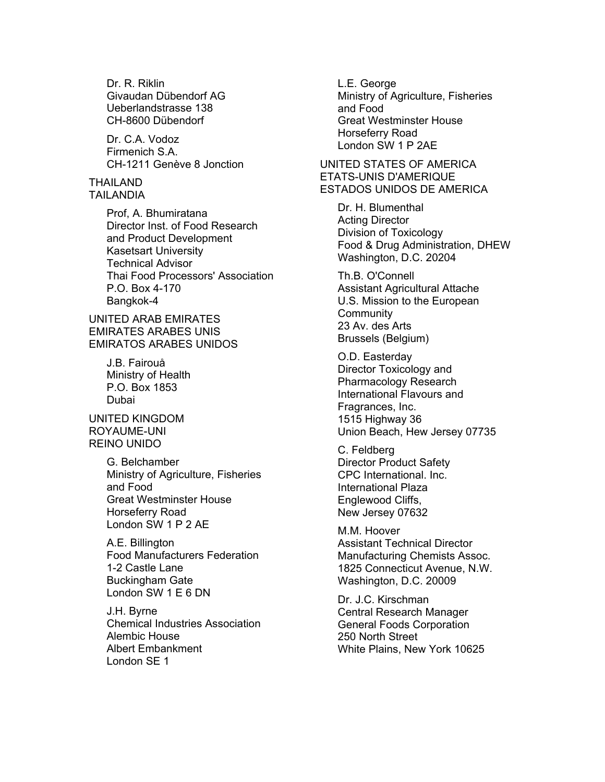Dr. R. Riklin Givaudan Dübendorf AG Ueberlandstrasse 138 CH-8600 Dübendorf

Dr. C.A. Vodoz Firmenich S.A. CH-1211 Genève 8 Jonction

THAILAND TAILANDIA

> Prof, A. Bhumiratana Director Inst. of Food Research and Product Development Kasetsart University Technical Advisor Thai Food Processors' Association P.O. Box 4-170 Bangkok-4

UNITED ARAB EMIRATES EMIRATES ARABES UNIS EMIRATOS ARABES UNIDOS

> J.B. Fairouå Ministry of Health P.O. Box 1853 Dubai

UNITED KINGDOM ROYAUME-UNI REINO UNIDO

> G. Belchamber Ministry of Agriculture, Fisheries and Food Great Westminster House Horseferry Road London SW 1 P 2 AE

A.E. Billington Food Manufacturers Federation 1-2 Castle Lane Buckingham Gate London SW 1 E 6 DN

J.H. Byrne Chemical Industries Association Alembic House Albert Embankment London SE 1

L.E. George Ministry of Agriculture, Fisheries and Food Great Westminster House Horseferry Road London SW 1 P 2AE

UNITED STATES OF AMERICA ETATS-UNIS D'AMERIQUE ESTADOS UNIDOS DE AMERICA

Dr. H. Blumenthal Acting Director Division of Toxicology Food & Drug Administration, DHEW Washington, D.C. 20204

Th.B. O'Connell Assistant Agricultural Attache U.S. Mission to the European **Community** 23 Av. des Arts Brussels (Belgium)

O.D. Easterday Director Toxicology and Pharmacology Research International Flavours and Fragrances, Inc. 1515 Highway 36 Union Beach, Hew Jersey 07735

C. Feldberg Director Product Safety CPC International. Inc. International Plaza Englewood Cliffs, New Jersey 07632

M.M. Hoover Assistant Technical Director Manufacturing Chemists Assoc. 1825 Connecticut Avenue, N.W. Washington, D.C. 20009

Dr. J.C. Kirschman Central Research Manager General Foods Corporation 250 North Street White Plains, New York 10625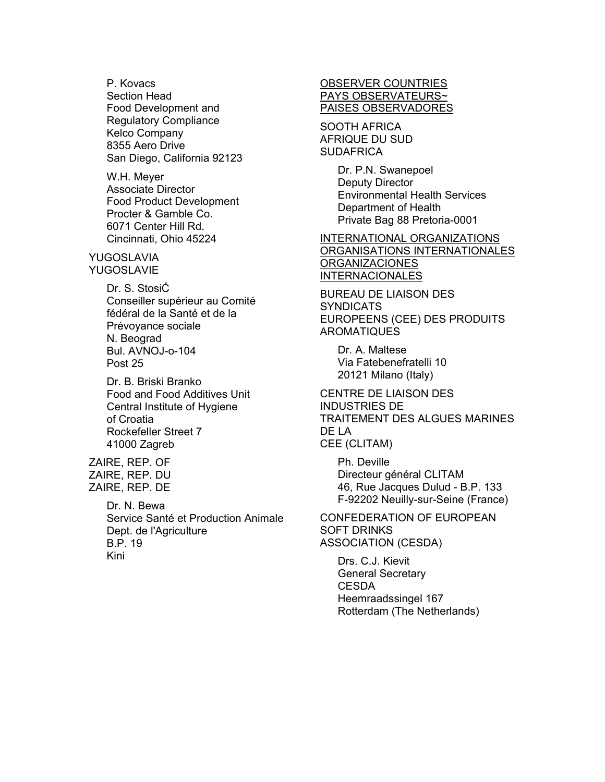P. Kovacs Section Head Food Development and Regulatory Compliance Kelco Company 8355 Aero Drive San Diego, California 92123

W.H. Meyer Associate Director Food Product Development Procter & Gamble Co. 6071 Center Hill Rd. Cincinnati, Ohio 45224

YUGOSLAVIA YUGOSLAVIE

> Dr. S. StosiĆ Conseiller supérieur au Comité fédéral de la Santé et de la Prévoyance sociale N. Beograd Bul. AVNOJ-o-104 Post 25

Dr. B. Briski Branko Food and Food Additives Unit Central Institute of Hygiene of Croatia Rockefeller Street 7 41000 Zagreb

ZAIRE, REP. OF ZAIRE, REP. DU ZAIRE, REP. DE

> Dr. N. Bewa Service Santé et Production Animale Dept. de l'Agriculture B.P. 19 Kini

#### OBSERVER COUNTRIES PAYS OBSERVATEURS~ PAISES OBSERVADORES

SOOTH AFRICA AFRIQUE DU SUD **SUDAFRICA** 

> Dr. P.N. Swanepoel Deputy Director Environmental Health Services Department of Health Private Bag 88 Pretoria-0001

INTERNATIONAL ORGANIZATIONS ORGANISATIONS INTERNATIONALES ORGANIZACIONES INTERNACIONALES

BUREAU DE LIAISON DES **SYNDICATS** EUROPEENS (CEE) DES PRODUITS AROMATIQUES

Dr. A. Maltese Via Fatebenefratelli 10 20121 Milano (Italy)

CENTRE DE LIAISON DES INDUSTRIES DE TRAITEMENT DES ALGUES MARINES DE LA CEE (CLITAM)

Ph. Deville Directeur général CLITAM 46, Rue Jacques Dulud - B.P. 133 F-92202 Neuilly-sur-Seine (France)

CONFEDERATION OF EUROPEAN SOFT DRINKS ASSOCIATION (CESDA)

Drs. C.J. Kievit General Secretary CESDA Heemraadssingel 167 Rotterdam (The Netherlands)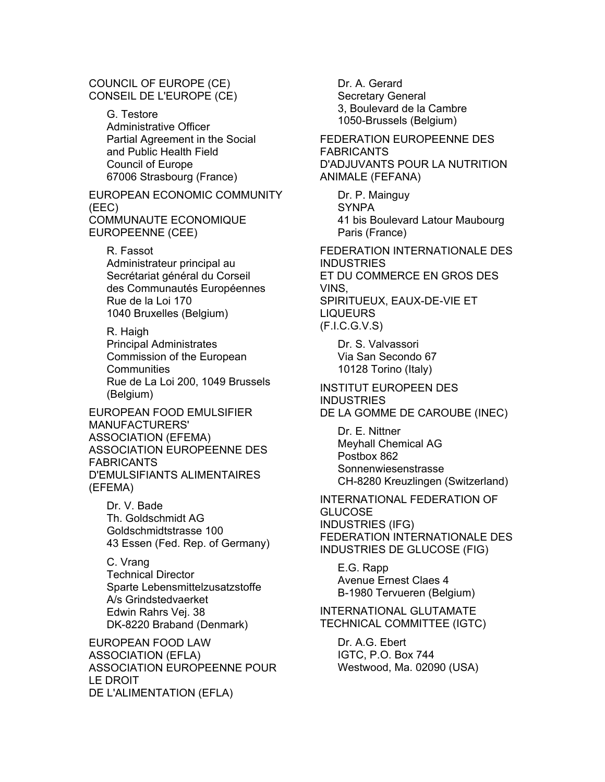COUNCIL OF EUROPE (CE) CONSEIL DE L'EUROPE (CE)

> G. Testore Administrative Officer Partial Agreement in the Social and Public Health Field Council of Europe 67006 Strasbourg (France)

EUROPEAN ECONOMIC COMMUNITY (EEC) COMMUNAUTE ECONOMIQUE EUROPEENNE (CEE)

R. Fassot Administrateur principal au Secrétariat général du Corseil des Communautés Européennes Rue de la Loi 170 1040 Bruxelles (Belgium)

R. Haigh Principal Administrates Commission of the European **Communities** Rue de La Loi 200, 1049 Brussels (Belgium)

EUROPEAN FOOD EMULSIFIER MANUFACTURERS' ASSOCIATION (EFEMA) ASSOCIATION EUROPEENNE DES FABRICANTS D'EMULSIFIANTS ALIMENTAIRES (EFEMA)

Dr. V. Bade Th. Goldschmidt AG Goldschmidtstrasse 100 43 Essen (Fed. Rep. of Germany)

C. Vrang Technical Director Sparte Lebensmittelzusatzstoffe A/s Grindstedvaerket Edwin Rahrs Vej. 38 DK-8220 Braband (Denmark)

EUROPEAN FOOD LAW ASSOCIATION (EFLA) ASSOCIATION EUROPEENNE POUR LE DROIT DE L'ALIMENTATION (EFLA)

Dr. A. Gerard Secretary General 3, Boulevard de la Cambre 1050-Brussels (Belgium)

FEDERATION EUROPEENNE DES FABRICANTS D'ADJUVANTS POUR LA NUTRITION ANIMALE (FEFANA)

Dr. P. Mainguy **SYNPA** 41 bis Boulevard Latour Maubourg Paris (France)

FEDERATION INTERNATIONALE DES **INDUSTRIES** ET DU COMMERCE EN GROS DES VINS, SPIRITUEUX, EAUX-DE-VIE ET LIQUEURS (F.I.C.G.V.S)

Dr. S. Valvassori Via San Secondo 67 10128 Torino (Italy)

INSTITUT EUROPEEN DES INDUSTRIES DE LA GOMME DE CAROUBE (INEC)

Dr. E. Nittner Meyhall Chemical AG Postbox 862 Sonnenwiesenstrasse CH-8280 Kreuzlingen (Switzerland)

INTERNATIONAL FEDERATION OF **GLUCOSE** INDUSTRIES (IFG) FEDERATION INTERNATIONALE DES INDUSTRIES DE GLUCOSE (FIG)

E.G. Rapp Avenue Ernest Claes 4 B-1980 Tervueren (Belgium)

INTERNATIONAL GLUTAMATE TECHNICAL COMMITTEE (IGTC)

> Dr. A.G. Ebert IGTC, P.O. Box 744 Westwood, Ma. 02090 (USA)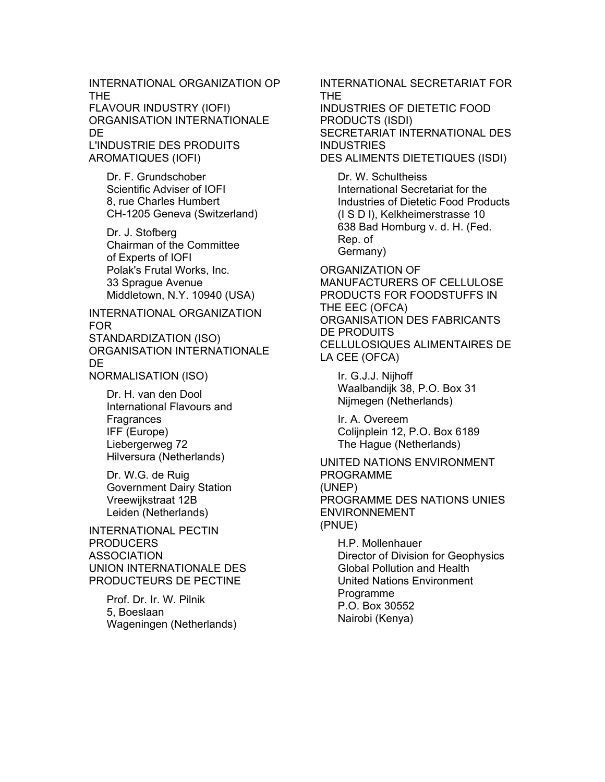INTERNATIONAL ORGANIZATION OP THE FLAVOUR INDUSTRY (IOFI) ORGANISATION INTERNATIONALE DE L'INDUSTRIE DES PRODUITS AROMATIQUES (IOFI)

Dr. F. Grundschober Scientific Adviser of IOFI 8, rue Charles Humbert CH-1205 Geneva (Switzerland)

Dr. J. Stofberg Chairman of the Committee of Experts of IOFI Polak's Frutal Works, Inc. 33 Sprague Avenue Middletown, N.Y. 10940 (USA)

INTERNATIONAL ORGANIZATION FOR STANDARDIZATION (ISO) ORGANISATION INTERNATIONALE DE

NORMALISATION (ISO)

Dr. H. van den Dool International Flavours and **Fragrances** IFF (Europe) Liebergerweg 72 Hilversura (Netherlands)

Dr. W.G. de Ruig Government Dairy Station Vreewijkstraat 12B Leiden (Netherlands)

INTERNATIONAL PECTIN **PRODUCERS** ASSOCIATION UNION INTERNATIONALE DES PRODUCTEURS DE PECTINE

> Prof. Dr. Ir. W. Pilnik 5, Boeslaan Wageningen (Netherlands)

INTERNATIONAL SECRETARIAT FOR THE INDUSTRIES OF DIETETIC FOOD PRODUCTS (ISDI) SECRETARIAT INTERNATIONAL DES INDUSTRIES DES ALIMENTS DIETETIQUES (ISDI) Dr. W. Schultheiss International Secretariat for the Industries of Dietetic Food Products (I S D l), Kelkheimerstrasse 10 638 Bad Homburg v. d. H. (Fed. Rep. of Germany)

ORGANIZATION OF MANUFACTURERS OF CELLULOSE PRODUCTS FOR FOODSTUFFS IN THE EEC (OFCA) ORGANISATION DES FABRICANTS DE PRODUITS CELLULOSIQUES ALIMENTAIRES DE LA CEE (OFCA)

Ir. G.J.J. Nijhoff Waalbandijk 38, P.O. Box 31 Nijmegen (Netherlands)

Ir. A. Overeem Colijnplein 12, P.O. Box 6189 The Hague (Netherlands)

UNITED NATIONS ENVIRONMENT PROGRAMME (UNEP) PROGRAMME DES NATIONS UNIES ENVIRONNEMENT (PNUE)

H.P. Mollenhauer Director of Division for Geophysics Global Pollution and Health United Nations Environment Programme P.O. Box 30552 Nairobi (Kenya)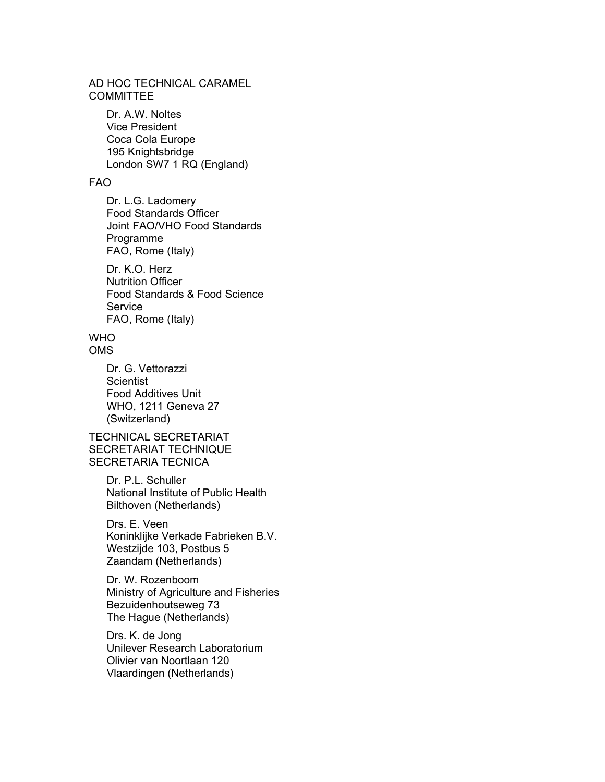AD HOC TECHNICAL CARAMEL **COMMITTEE** 

> Dr. A.W. Noltes Vice President Coca Cola Europe 195 Knightsbridge London SW7 1 RQ (England)

#### FAO

Dr. L.G. Ladomery Food Standards Officer Joint FAO/VHO Food Standards Programme FAO, Rome (Italy)

Dr. K.O. Herz Nutrition Officer Food Standards & Food Science Service FAO, Rome (Italy)

WHO OMS

> Dr. G. Vettorazzi **Scientist** Food Additives Unit WHO, 1211 Geneva 27 (Switzerland)

TECHNICAL SECRETARIAT SECRETARIAT TECHNIQUE SECRETARIA TECNICA

> Dr. P.L. Schuller National Institute of Public Health Bilthoven (Netherlands)

Drs. E. Veen Koninklijke Verkade Fabrieken B.V. Westzijde 103, Postbus 5 Zaandam (Netherlands)

Dr. W. Rozenboom Ministry of Agriculture and Fisheries Bezuidenhoutseweg 73 The Hague (Netherlands)

Drs. K. de Jong Unilever Research Laboratorium Olivier van Noortlaan 120 Vlaardingen (Netherlands)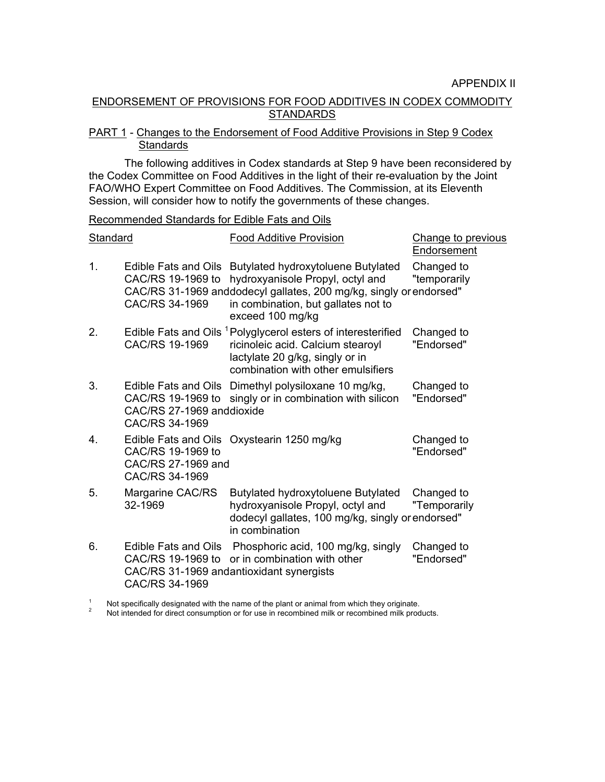# ENDORSEMENT OF PROVISIONS FOR FOOD ADDITIVES IN CODEX COMMODITY **STANDARDS**

#### PART 1 - Changes to the Endorsement of Food Additive Provisions in Step 9 Codex **Standards**

The following additives in Codex standards at Step 9 have been reconsidered by the Codex Committee on Food Additives in the light of their re-evaluation by the Joint FAO/WHO Expert Committee on Food Additives. The Commission, at its Eleventh Session, will consider how to notify the governments of these changes.

#### Recommended Standards for Edible Fats and Oils

| <b>Standard</b> |                                                             | <b>Food Additive Provision</b>                                                                                                                                                                                               | Change to previous<br><b>Endorsement</b> |
|-----------------|-------------------------------------------------------------|------------------------------------------------------------------------------------------------------------------------------------------------------------------------------------------------------------------------------|------------------------------------------|
| 1.              | CAC/RS 19-1969 to<br>CAC/RS 34-1969                         | Edible Fats and Oils Butylated hydroxytoluene Butylated<br>hydroxyanisole Propyl, octyl and<br>CAC/RS 31-1969 anddodecyl gallates, 200 mg/kg, singly or endorsed"<br>in combination, but gallates not to<br>exceed 100 mg/kg | Changed to<br>"temporarily               |
| 2.              | CAC/RS 19-1969                                              | Edible Fats and Oils <sup>1</sup> Polyglycerol esters of interesterified<br>ricinoleic acid. Calcium stearoyl<br>lactylate 20 g/kg, singly or in<br>combination with other emulsifiers                                       | Changed to<br>"Endorsed"                 |
| 3.              | CAC/RS 27-1969 anddioxide<br>CAC/RS 34-1969                 | Edible Fats and Oils Dimethyl polysiloxane 10 mg/kg,<br>CAC/RS 19-1969 to singly or in combination with silicon                                                                                                              | Changed to<br>"Endorsed"                 |
| 4.              | CAC/RS 19-1969 to<br>CAC/RS 27-1969 and<br>CAC/RS 34-1969   | Edible Fats and Oils Oxystearin 1250 mg/kg                                                                                                                                                                                   | Changed to<br>"Endorsed"                 |
| 5.              | Margarine CAC/RS<br>32-1969                                 | Butylated hydroxytoluene Butylated<br>hydroxyanisole Propyl, octyl and<br>dodecyl gallates, 100 mg/kg, singly or endorsed"<br>in combination                                                                                 | Changed to<br>"Temporarily               |
| 6.              | Edible Fats and Oils<br>CAC/RS 19-1969 to<br>CAC/RS 34-1969 | Phosphoric acid, 100 mg/kg, singly<br>or in combination with other<br>CAC/RS 31-1969 andantioxidant synergists                                                                                                               | Changed to<br>"Endorsed"                 |

<sup>1</sup> Not specifically designated with the name of the plant or animal from which they originate.<br><sup>2</sup> Not intended for direct consumption or for use in recombined milk or recombined milk products.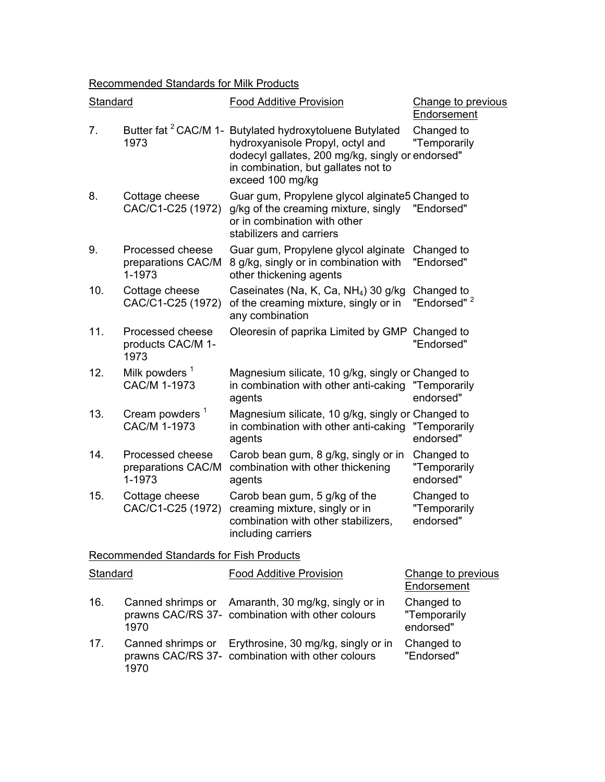Recommended Standards for Milk Products

| Standard |                                                  | <b>Food Additive Provision</b>                                                                                                                                                                                         | <b>Change to previous</b><br>Endorsement |
|----------|--------------------------------------------------|------------------------------------------------------------------------------------------------------------------------------------------------------------------------------------------------------------------------|------------------------------------------|
| 7.       | 1973                                             | Butter fat <sup>2</sup> CAC/M 1- Butylated hydroxytoluene Butylated<br>hydroxyanisole Propyl, octyl and<br>dodecyl gallates, 200 mg/kg, singly or endorsed"<br>in combination, but gallates not to<br>exceed 100 mg/kg | Changed to<br>"Temporarily               |
| 8.       | Cottage cheese<br>CAC/C1-C25 (1972)              | Guar gum, Propylene glycol alginate5 Changed to<br>g/kg of the creaming mixture, singly<br>or in combination with other<br>stabilizers and carriers                                                                    | "Endorsed"                               |
| 9.       | Processed cheese<br>preparations CAC/M<br>1-1973 | Guar gum, Propylene glycol alginate<br>8 g/kg, singly or in combination with<br>other thickening agents                                                                                                                | Changed to<br>"Endorsed"                 |
| 10.      | Cottage cheese<br>CAC/C1-C25 (1972)              | Caseinates (Na, K, Ca, NH <sub>4</sub> ) 30 g/kg<br>of the creaming mixture, singly or in<br>any combination                                                                                                           | Changed to<br>"Endorsed" <sup>2</sup>    |
| 11.      | Processed cheese<br>products CAC/M 1-<br>1973    | Oleoresin of paprika Limited by GMP                                                                                                                                                                                    | Changed to<br>"Endorsed"                 |
| 12.      | Milk powders <sup>1</sup><br>CAC/M 1-1973        | Magnesium silicate, 10 g/kg, singly or Changed to<br>in combination with other anti-caking<br>agents                                                                                                                   | "Temporarily<br>endorsed"                |
| 13.      | Cream powders <sup>1</sup><br>CAC/M 1-1973       | Magnesium silicate, 10 g/kg, singly or Changed to<br>in combination with other anti-caking<br>agents                                                                                                                   | "Temporarily<br>endorsed"                |
| 14.      | Processed cheese<br>preparations CAC/M<br>1-1973 | Carob bean gum, 8 g/kg, singly or in<br>combination with other thickening<br>agents                                                                                                                                    | Changed to<br>"Temporarily<br>endorsed"  |
| 15.      | Cottage cheese<br>CAC/C1-C25 (1972)              | Carob bean gum, 5 g/kg of the<br>creaming mixture, singly or in<br>combination with other stabilizers,<br>including carriers                                                                                           | Changed to<br>"Temporarily<br>endorsed"  |
|          | Recommended Standards for Fish Products          |                                                                                                                                                                                                                        |                                          |

| Standard |      | <b>Food Additive Provision</b>                                                                            | Change to previous<br>Endorsement       |
|----------|------|-----------------------------------------------------------------------------------------------------------|-----------------------------------------|
| 16.      | 1970 | Canned shrimps or Amaranth, 30 mg/kg, singly or in<br>prawns CAC/RS 37- combination with other colours    | Changed to<br>"Temporarily<br>endorsed" |
| 17.      | 1970 | Canned shrimps or Erythrosine, 30 mg/kg, singly or in<br>prawns CAC/RS 37- combination with other colours | Changed to<br>"Endorsed"                |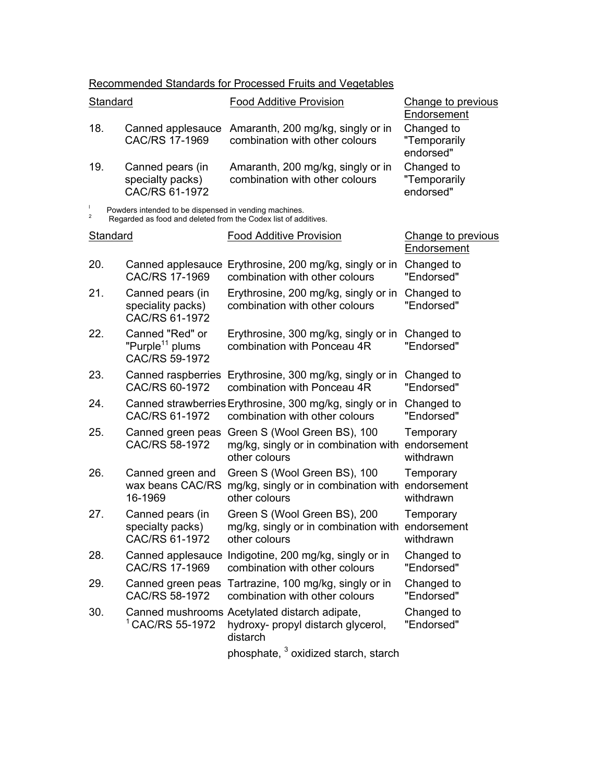# Recommended Standards for Processed Fruits and Vegetables

| Standard        |                                                                  | <b>Food Additive Provision</b>                                                                    | <b>Change to previous</b><br><b>Endorsement</b> |
|-----------------|------------------------------------------------------------------|---------------------------------------------------------------------------------------------------|-------------------------------------------------|
| 18.             | Canned applesauce<br>CAC/RS 17-1969                              | Amaranth, 200 mg/kg, singly or in<br>combination with other colours                               | Changed to<br>"Temporarily<br>endorsed"         |
| 19.             | Canned pears (in<br>specialty packs)<br>CAC/RS 61-1972           | Amaranth, 200 mg/kg, singly or in<br>combination with other colours                               | Changed to<br>"Temporarily<br>endorsed"         |
| Ţ<br>$\sqrt{2}$ | Powders intended to be dispensed in vending machines.            | Regarded as food and deleted from the Codex list of additives.                                    |                                                 |
| <b>Standard</b> |                                                                  | <b>Food Additive Provision</b>                                                                    | Change to previous<br>Endorsement               |
| 20.             | CAC/RS 17-1969                                                   | Canned applesauce Erythrosine, 200 mg/kg, singly or in<br>combination with other colours          | Changed to<br>"Endorsed"                        |
| 21.             | Canned pears (in<br>speciality packs)<br>CAC/RS 61-1972          | Erythrosine, 200 mg/kg, singly or in<br>combination with other colours                            | Changed to<br>"Endorsed"                        |
| 22.             | Canned "Red" or<br>"Purple <sup>11</sup> plums<br>CAC/RS 59-1972 | Erythrosine, 300 mg/kg, singly or in<br>combination with Ponceau 4R                               | Changed to<br>"Endorsed"                        |
| 23.             | Canned raspberries<br>CAC/RS 60-1972                             | Erythrosine, 300 mg/kg, singly or in<br>combination with Ponceau 4R                               | Changed to<br>"Endorsed"                        |
| 24.             | CAC/RS 61-1972                                                   | Canned strawberries Erythrosine, 300 mg/kg, singly or in<br>combination with other colours        | Changed to<br>"Endorsed"                        |
| 25.             | Canned green peas<br>CAC/RS 58-1972                              | Green S (Wool Green BS), 100<br>mg/kg, singly or in combination with endorsement<br>other colours | Temporary<br>withdrawn                          |
| 26.             | Canned green and<br>wax beans CAC/RS<br>16-1969                  | Green S (Wool Green BS), 100<br>mg/kg, singly or in combination with endorsement<br>other colours | Temporary<br>withdrawn                          |
| 27.             | Canned pears (in<br>specialty packs)<br>CAC/RS 61-1972           | Green S (Wool Green BS), 200<br>mg/kg, singly or in combination with endorsement<br>other colours | Temporary<br>withdrawn                          |
| 28.             | CAC/RS 17-1969                                                   | Canned applesauce Indigotine, 200 mg/kg, singly or in<br>combination with other colours           | Changed to<br>"Endorsed"                        |
| 29.             | Canned green peas<br>CAC/RS 58-1972                              | Tartrazine, 100 mg/kg, singly or in<br>combination with other colours                             | Changed to<br>"Endorsed"                        |
| 30.             | $1$ CAC/RS 55-1972                                               | Canned mushrooms Acetylated distarch adipate,<br>hydroxy- propyl distarch glycerol,<br>distarch   | Changed to<br>"Endorsed"                        |
|                 |                                                                  | phosphate, <sup>3</sup> oxidized starch, starch                                                   |                                                 |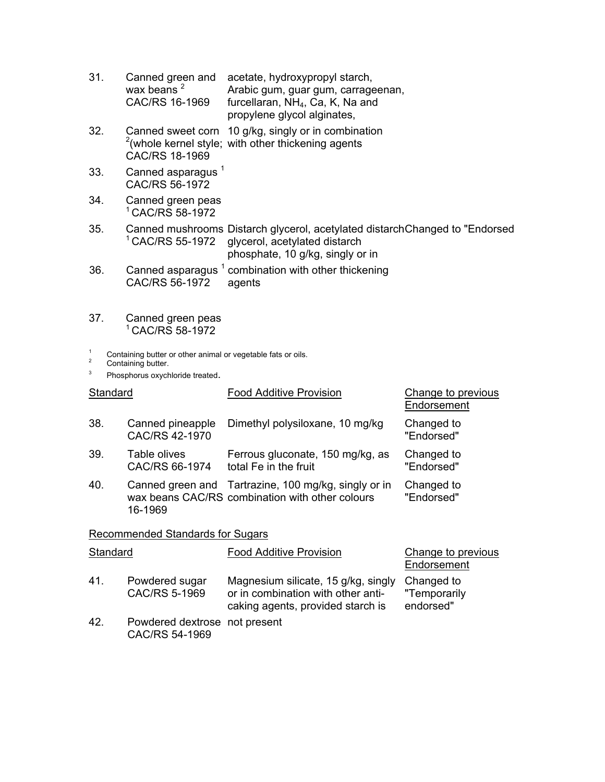| 31. | Canned green and<br>wax beans $2$<br>CAC/RS 16-1969 | acetate, hydroxypropyl starch,<br>Arabic gum, guar gum, carrageenan,<br>furcellaran, NH <sub>4</sub> , Ca, K, Na and<br>propylene glycol alginates,                   |
|-----|-----------------------------------------------------|-----------------------------------------------------------------------------------------------------------------------------------------------------------------------|
| 32. | CAC/RS 18-1969                                      | Canned sweet corn 10 g/kg, singly or in combination<br>$2$ (whole kernel style; with other thickening agents                                                          |
| 33. | Canned asparagus <sup>1</sup><br>CAC/RS 56-1972     |                                                                                                                                                                       |
| 34. | Canned green peas<br>$1$ CAC/RS 58-1972             |                                                                                                                                                                       |
| 35. |                                                     | Canned mushrooms Distarch glycerol, acetylated distarch Changed to "Endorsed"<br>$1$ CAC/RS 55-1972 glycerol, acetylated distarch<br>phosphate, 10 g/kg, singly or in |
| 36. | CAC/RS 56-1972                                      | Canned asparagus <sup>1</sup> combination with other thickening<br>agents                                                                                             |

- 37. Canned green peas  $1^1$ CAC/RS 58-1972
- <sup>1</sup> Containing butter or other animal or vegetable fats or oils.<br><sup>2</sup> Containing butter.
- 
- 3 Phosphorus oxychloride treated.

| Standard |                                    | <b>Food Additive Provision</b>                                                                          | Change to previous<br>Endorsement |
|----------|------------------------------------|---------------------------------------------------------------------------------------------------------|-----------------------------------|
| 38.      | Canned pineapple<br>CAC/RS 42-1970 | Dimethyl polysiloxane, 10 mg/kg                                                                         | Changed to<br>"Endorsed"          |
| 39.      | Table olives<br>CAC/RS 66-1974     | Ferrous gluconate, 150 mg/kg, as<br>total Fe in the fruit                                               | Changed to<br>"Endorsed"          |
| 40.      | 16-1969                            | Canned green and Tartrazine, 100 mg/kg, singly or in<br>wax beans CAC/RS combination with other colours | Changed to<br>"Endorsed"          |
|          | Recommended Standards for Sugars   |                                                                                                         |                                   |
| Standard |                                    | <b>Food Additive Provision</b>                                                                          | Change to previous<br>Endorsement |

- 41. Powdered sugar CAC/RS 5-1969 Magnesium silicate, 15 g/kg, singly or in combination with other anticaking agents, provided starch is Changed to "Temporarily endorsed"
- 42. Powdered dextrose not present CAC/RS 54-1969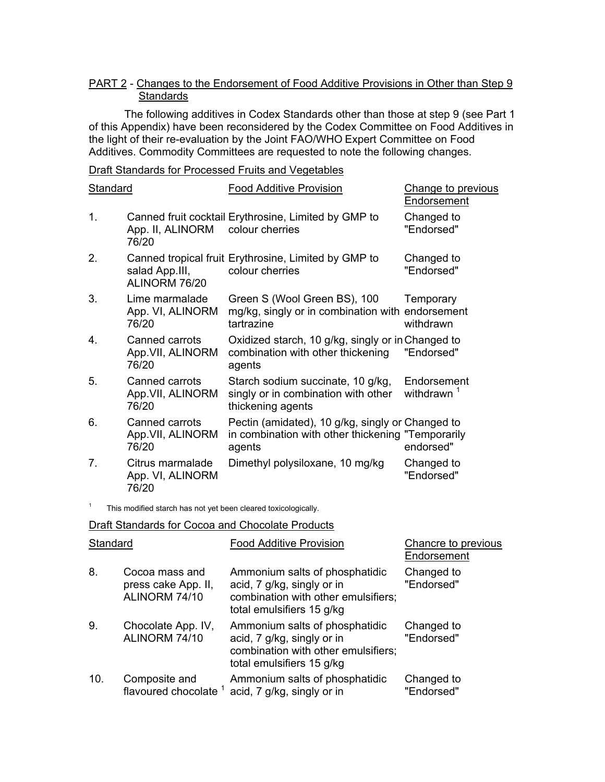# PART 2 - Changes to the Endorsement of Food Additive Provisions in Other than Step 9 **Standards**

The following additives in Codex Standards other than those at step 9 (see Part 1 of this Appendix) have been reconsidered by the Codex Committee on Food Additives in the light of their re-evaluation by the Joint FAO/WHO Expert Committee on Food Additives. Commodity Committees are requested to note the following changes.

#### Draft Standards for Processed Fruits and Vegetables

| Standard |                                               | <b>Food Additive Provision</b>                                                                                  | Change to previous<br>Endorsement     |
|----------|-----------------------------------------------|-----------------------------------------------------------------------------------------------------------------|---------------------------------------|
| 1.       | App. II, ALINORM colour cherries<br>76/20     | Canned fruit cocktail Erythrosine, Limited by GMP to                                                            | Changed to<br>"Endorsed"              |
| 2.       | salad App.III,<br>ALINORM 76/20               | Canned tropical fruit Erythrosine, Limited by GMP to<br>colour cherries                                         | Changed to<br>"Endorsed"              |
| 3.       | Lime marmalade<br>App. VI, ALINORM<br>76/20   | Green S (Wool Green BS), 100<br>mg/kg, singly or in combination with endorsement<br>tartrazine                  | Temporary<br>withdrawn                |
| 4.       | Canned carrots<br>App.VII, ALINORM<br>76/20   | Oxidized starch, 10 g/kg, singly or in Changed to<br>combination with other thickening<br>agents                | "Endorsed"                            |
| 5.       | Canned carrots<br>App.VII, ALINORM<br>76/20   | Starch sodium succinate, 10 g/kg,<br>singly or in combination with other<br>thickening agents                   | Endorsement<br>withdrawn <sup>1</sup> |
| 6.       | Canned carrots<br>App.VII, ALINORM<br>76/20   | Pectin (amidated), 10 g/kg, singly or Changed to<br>in combination with other thickening "Temporarily<br>agents | endorsed"                             |
| 7.       | Citrus marmalade<br>App. VI, ALINORM<br>76/20 | Dimethyl polysiloxane, 10 mg/kg                                                                                 | Changed to<br>"Endorsed"              |

1 This modified starch has not yet been cleared toxicologically.

#### Draft Standards for Cocoa and Chocolate Products

| Standard |                                                        | <b>Food Additive Provision</b>                                                                                                   | Chancre to previous<br>Endorsement |
|----------|--------------------------------------------------------|----------------------------------------------------------------------------------------------------------------------------------|------------------------------------|
| 8.       | Cocoa mass and<br>press cake App. II,<br>ALINORM 74/10 | Ammonium salts of phosphatidic<br>acid, 7 g/kg, singly or in<br>combination with other emulsifiers;<br>total emulsifiers 15 g/kg | Changed to<br>"Endorsed"           |
| 9.       | Chocolate App. IV,<br>ALINORM 74/10                    | Ammonium salts of phosphatidic<br>acid, 7 g/kg, singly or in<br>combination with other emulsifiers;<br>total emulsifiers 15 g/kg | Changed to<br>"Endorsed"           |
| 10.      | Composite and<br>flavoured chocolate                   | Ammonium salts of phosphatidic<br>acid, 7 g/kg, singly or in                                                                     | Changed to<br>"Endorsed"           |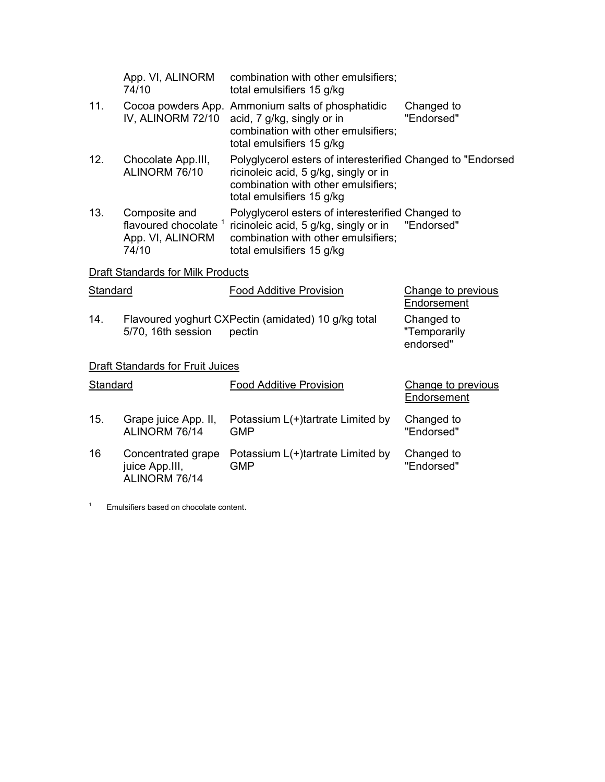|                 | App. VI, ALINORM<br>74/10                                                      | combination with other emulsifiers;<br>total emulsifiers 15 g/kg                                                                                                          |                                          |
|-----------------|--------------------------------------------------------------------------------|---------------------------------------------------------------------------------------------------------------------------------------------------------------------------|------------------------------------------|
| 11.             | IV, ALINORM 72/10                                                              | Cocoa powders App. Ammonium salts of phosphatidic<br>acid, 7 g/kg, singly or in<br>combination with other emulsifiers;<br>total emulsifiers 15 g/kg                       | Changed to<br>"Endorsed"                 |
| 12.             | Chocolate App.III,<br>ALINORM 76/10                                            | Polyglycerol esters of interesterified Changed to "Endorsed"<br>ricinoleic acid, 5 g/kg, singly or in<br>combination with other emulsifiers;<br>total emulsifiers 15 g/kg |                                          |
| 13.             | Composite and<br>flavoured chocolate <sup>1</sup><br>App. VI, ALINORM<br>74/10 | Polyglycerol esters of interesterified Changed to<br>ricinoleic acid, 5 g/kg, singly or in<br>combination with other emulsifiers;<br>total emulsifiers 15 g/kg            | "Endorsed"                               |
|                 | <b>Draft Standards for Milk Products</b>                                       |                                                                                                                                                                           |                                          |
| <b>Standard</b> |                                                                                | <b>Food Additive Provision</b>                                                                                                                                            | Change to previous<br><b>Endorsement</b> |
| 14.             | 5/70, 16th session                                                             | Flavoured yoghurt CXPectin (amidated) 10 g/kg total<br>pectin                                                                                                             | Changed to<br>"Temporarily<br>endorsed"  |
|                 | <b>Draft Standards for Fruit Juices</b>                                        |                                                                                                                                                                           |                                          |
| Standard        |                                                                                | <b>Food Additive Provision</b>                                                                                                                                            | Change to previous<br>Endorsement        |
| 15.             | Grape juice App. II,<br>ALINORM 76/14                                          | Potassium L(+)tartrate Limited by<br><b>GMP</b>                                                                                                                           | Changed to<br>"Endorsed"                 |
| 16              | Concentrated grape<br>juice App.III,                                           | Potassium L(+)tartrate Limited by<br><b>GMP</b>                                                                                                                           | Changed to<br>"Endorsed"                 |

 $1$  Emulsifiers based on chocolate content.

ALINORM 76/14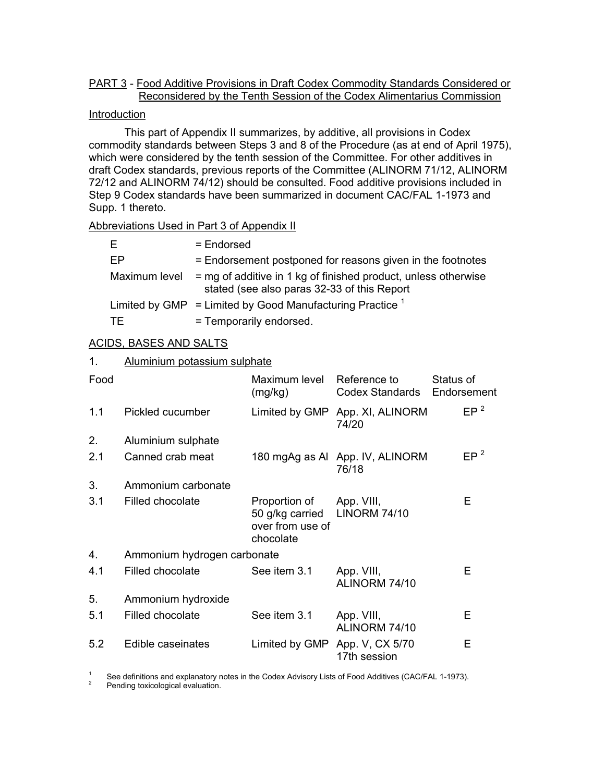# PART 3 - Food Additive Provisions in Draft Codex Commodity Standards Considered or Reconsidered by the Tenth Session of the Codex Alimentarius Commission

## **Introduction**

This part of Appendix II summarizes, by additive, all provisions in Codex commodity standards between Steps 3 and 8 of the Procedure (as at end of April 1975), which were considered by the tenth session of the Committee. For other additives in draft Codex standards, previous reports of the Committee (ALINORM 71/12, ALINORM 72/12 and ALINORM 74/12) should be consulted. Food additive provisions included in Step 9 Codex standards have been summarized in document CAC/FAL 1-1973 and Supp. 1 thereto.

# Abbreviations Used in Part 3 of Appendix II

| E             | = Endorsed                                                                                                      |
|---------------|-----------------------------------------------------------------------------------------------------------------|
| EP.           | = Endorsement postponed for reasons given in the footnotes                                                      |
| Maximum level | $=$ mg of additive in 1 kg of finished product, unless otherwise<br>stated (see also paras 32-33 of this Report |
|               | Limited by GMP = Limited by Good Manufacturing Practice <sup>1</sup>                                            |
| TE.           | = Temporarily endorsed.                                                                                         |

# ACIDS, BASES AND SALTS

### 1. Aluminium potassium sulphate

| Food |                             | Maximum level Reference to<br>(mg/kg)                                                     | Codex Standards Endorsement                    | Status of       |
|------|-----------------------------|-------------------------------------------------------------------------------------------|------------------------------------------------|-----------------|
| 1.1  | Pickled cucumber            |                                                                                           | Limited by GMP App. XI, ALINORM<br>74/20       | EP <sup>2</sup> |
| 2.   | Aluminium sulphate          |                                                                                           |                                                |                 |
| 2.1  | Canned crab meat            |                                                                                           | 180 mgAg as Al App. IV, ALINORM<br>76/18       | EP <sup>2</sup> |
| 3.   | Ammonium carbonate          |                                                                                           |                                                |                 |
| 3.1  | Filled chocolate            | Proportion of App. VIII,<br>50 g/kg carried LINORM 74/10<br>over from use of<br>chocolate |                                                | E               |
| 4.   | Ammonium hydrogen carbonate |                                                                                           |                                                |                 |
| 4.1  | Filled chocolate            | See item 3.1                                                                              | App. VIII,<br>ALINORM 74/10                    | Е               |
| 5.   | Ammonium hydroxide          |                                                                                           |                                                |                 |
| 5.1  | Filled chocolate            | See item 3.1                                                                              | App. VIII,<br>ALINORM 74/10                    | Е               |
| 5.2  | Edible caseinates           |                                                                                           | Limited by GMP App. V, CX 5/70<br>17th session | E               |

1  $\frac{1}{2}$  See definitions and explanatory notes in the Codex Advisory Lists of Food Additives (CAC/FAL 1-1973). Pending toxicological evaluation.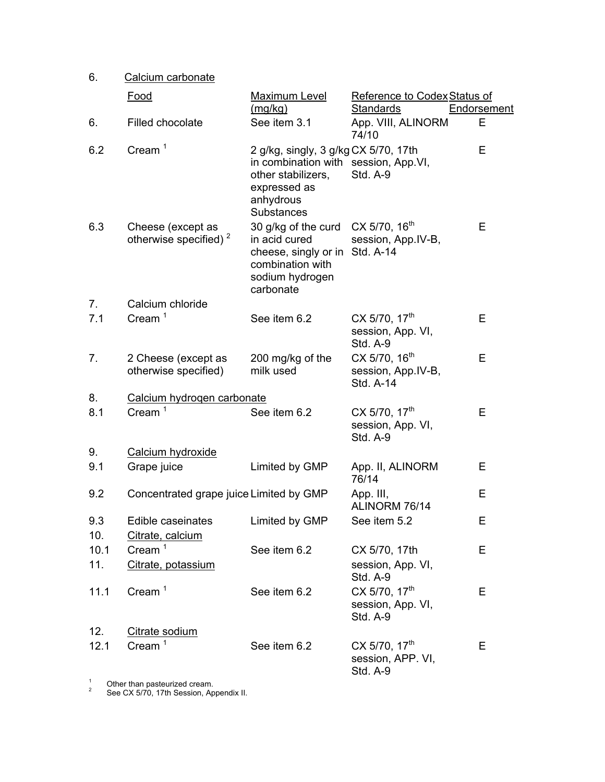| 6.   | Calcium carbonate                                      |                                                                                                                                                        |                                                              |             |
|------|--------------------------------------------------------|--------------------------------------------------------------------------------------------------------------------------------------------------------|--------------------------------------------------------------|-------------|
|      | <u>Food</u>                                            | <b>Maximum Level</b><br>(mq/kg)                                                                                                                        | Reference to Codex Status of<br><b>Standards</b>             | Endorsement |
| 6.   | Filled chocolate                                       | See item 3.1                                                                                                                                           | App. VIII, ALINORM<br>74/10                                  | Е           |
| 6.2  | Cream $1$                                              | 2 g/kg, singly, 3 g/kg CX 5/70, 17th<br>in combination with session, App.VI,<br>other stabilizers,<br>expressed as<br>anhydrous<br><b>Substances</b>   | Std. A-9                                                     | Е           |
| 6.3  | Cheese (except as<br>otherwise specified) <sup>2</sup> | 30 g/kg of the curd $CX$ 5/70, 16 <sup>th</sup><br>in acid cured<br>cheese, singly or in Std. A-14<br>combination with<br>sodium hydrogen<br>carbonate | session, App.IV-B,                                           | E           |
| 7.   | Calcium chloride                                       |                                                                                                                                                        |                                                              |             |
| 7.1  | Cream $1$                                              | See item 6.2                                                                                                                                           | CX 5/70, 17 <sup>th</sup><br>session, App. VI,<br>Std. A-9   | E           |
| 7.   | 2 Cheese (except as<br>otherwise specified)            | 200 mg/kg of the<br>milk used                                                                                                                          | CX 5/70, 16 <sup>th</sup><br>session, App.IV-B,<br>Std. A-14 | Е           |
| 8.   | Calcium hydrogen carbonate                             |                                                                                                                                                        |                                                              |             |
| 8.1  | Cream $1$                                              | See item 6.2                                                                                                                                           | CX 5/70, 17 <sup>th</sup><br>session, App. VI,<br>Std. A-9   | E           |
| 9.   | Calcium hydroxide                                      |                                                                                                                                                        |                                                              |             |
| 9.1  | Grape juice                                            | Limited by GMP                                                                                                                                         | App. II, ALINORM<br>76/14                                    | Е           |
| 9.2  | Concentrated grape juice Limited by GMP                |                                                                                                                                                        | App. III,<br>ALINORM 76/14                                   | Е           |
| 9.3  | Edible caseinates                                      | Limited by GMP                                                                                                                                         | See item 5.2                                                 | Е           |
| 10.  | Citrate, calcium                                       |                                                                                                                                                        |                                                              |             |
| 10.1 | Cream $1$                                              | See item 6.2                                                                                                                                           | CX 5/70, 17th                                                | Е           |
| 11.  | Citrate, potassium                                     |                                                                                                                                                        | session, App. VI,<br>Std. A-9                                |             |
| 11.1 | Cream $1$                                              | See item 6.2                                                                                                                                           | CX 5/70, 17 <sup>th</sup><br>session, App. VI,<br>Std. A-9   | Е           |
| 12.  | Citrate sodium                                         |                                                                                                                                                        |                                                              |             |
| 12.1 | Cream $1$                                              | See item 6.2                                                                                                                                           | CX 5/70, 17 <sup>th</sup><br>session, APP. VI,<br>Std. A-9   | E           |

<sup>1</sup> Other than pasteurized cream.<br><sup>2</sup> See CX 5/70, 17th Session, Appendix II.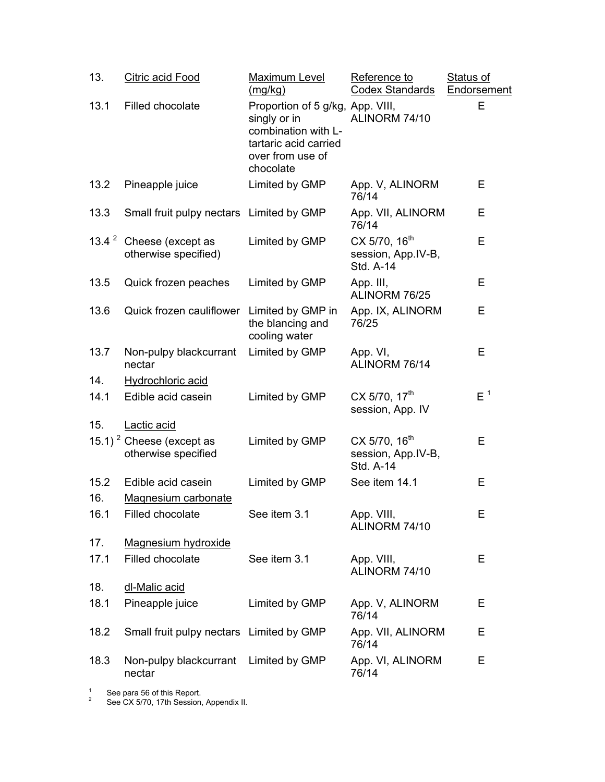| 13.         | <b>Citric acid Food</b>                            | <b>Maximum Level</b><br>(mg/kg)                                                                                                   | Reference to<br><b>Codex Standards</b>                              | Status of<br>Endorsement |
|-------------|----------------------------------------------------|-----------------------------------------------------------------------------------------------------------------------------------|---------------------------------------------------------------------|--------------------------|
| 13.1        | Filled chocolate                                   | Proportion of 5 g/kg, App. VIII,<br>singly or in<br>combination with L-<br>tartaric acid carried<br>over from use of<br>chocolate | ALINORM 74/10                                                       | Е                        |
| 13.2        | Pineapple juice                                    | Limited by GMP                                                                                                                    | App. V, ALINORM<br>76/14                                            | Е                        |
| 13.3        | Small fruit pulpy nectars Limited by GMP           |                                                                                                                                   | App. VII, ALINORM<br>76/14                                          | Е                        |
| 13.4 $^{2}$ | Cheese (except as<br>otherwise specified)          | Limited by GMP                                                                                                                    | CX 5/70, 16 <sup>th</sup><br>session, App.IV-B,<br><b>Std. A-14</b> | Е                        |
| 13.5        | Quick frozen peaches                               | Limited by GMP                                                                                                                    | App. III,<br>ALINORM 76/25                                          | E                        |
| 13.6        | Quick frozen cauliflower Limited by GMP in         | the blancing and<br>cooling water                                                                                                 | App. IX, ALINORM<br>76/25                                           | Е                        |
| 13.7        | Non-pulpy blackcurrant<br>nectar                   | Limited by GMP                                                                                                                    | App. VI,<br>ALINORM 76/14                                           | Е                        |
| 14.         | Hydrochloric acid                                  |                                                                                                                                   |                                                                     |                          |
| 14.1        | Edible acid casein                                 | Limited by GMP                                                                                                                    | CX 5/70, 17 <sup>th</sup><br>session, App. IV                       | E <sup>1</sup>           |
| 15.         | Lactic acid                                        |                                                                                                                                   |                                                                     |                          |
|             | 15.1) $2$ Cheese (except as<br>otherwise specified | Limited by GMP                                                                                                                    | CX 5/70, 16 <sup>th</sup><br>session, App.IV-B,<br>Std. A-14        | Е                        |
| 15.2        | Edible acid casein                                 | Limited by GMP                                                                                                                    | See item 14.1                                                       | Е                        |
| 16.         | Magnesium carbonate                                |                                                                                                                                   |                                                                     |                          |
| 16.1        | Filled chocolate                                   | See item 3.1                                                                                                                      | App. VIII,<br>ALINORM 74/10                                         | Ε                        |
| 17.         | Magnesium hydroxide                                |                                                                                                                                   |                                                                     |                          |
| 17.1        | Filled chocolate                                   | See item 3.1                                                                                                                      | App. VIII,<br>ALINORM 74/10                                         | Е                        |
| 18.         | dl-Malic acid                                      |                                                                                                                                   |                                                                     |                          |
| 18.1        | Pineapple juice                                    | Limited by GMP                                                                                                                    | App. V, ALINORM<br>76/14                                            | Е                        |
| 18.2        | Small fruit pulpy nectars Limited by GMP           |                                                                                                                                   | App. VII, ALINORM<br>76/14                                          | Е                        |
| 18.3        | Non-pulpy blackcurrant Limited by GMP<br>nectar    |                                                                                                                                   | App. VI, ALINORM<br>76/14                                           | Е                        |

1 See para 56 of this Report.

2 See CX 5/70, 17th Session, Appendix II.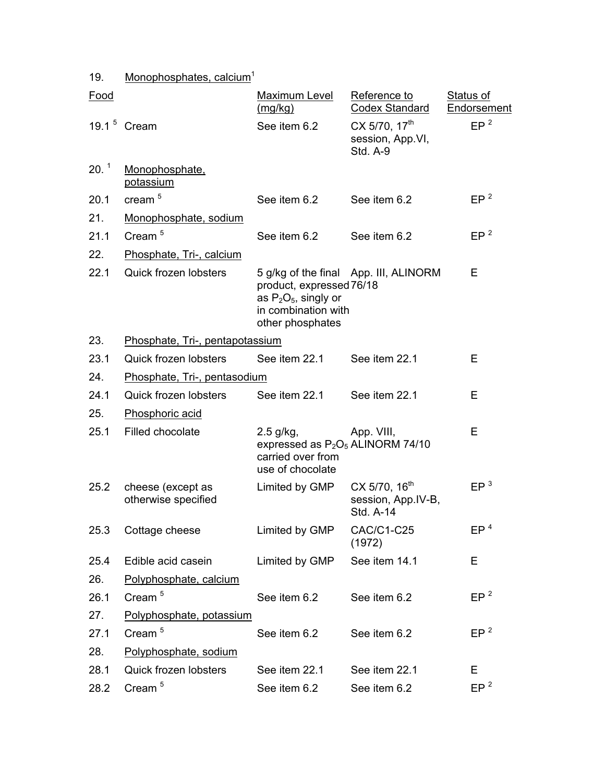19. Monophosphates, calcium<sup>1</sup>

| <u>Food</u> |                                          | <b>Maximum Level</b><br>(mg/kg)                                                                | Reference to<br><b>Codex Standard</b>                        | Status of<br>Endorsement |
|-------------|------------------------------------------|------------------------------------------------------------------------------------------------|--------------------------------------------------------------|--------------------------|
|             | 19.1 $5$ Cream                           | See item 6.2                                                                                   | CX 5/70, 17 <sup>th</sup><br>session, App.VI,<br>Std. A-9    | EP <sup>2</sup>          |
| 20.1        | Monophosphate.<br>potassium              |                                                                                                |                                                              |                          |
| 20.1        | cream <sup>5</sup>                       | See item 6.2                                                                                   | See item 6.2                                                 | EP <sup>2</sup>          |
| 21.         | Monophosphate, sodium                    |                                                                                                |                                                              |                          |
| 21.1        | Cream <sup>5</sup>                       | See item 6.2                                                                                   | See item 6.2                                                 | EP <sup>2</sup>          |
| 22.         | Phosphate, Tri-, calcium                 |                                                                                                |                                                              |                          |
| 22.1        | <b>Quick frozen lobsters</b>             | product, expressed 76/18<br>as $P_2O_5$ , singly or<br>in combination with<br>other phosphates | 5 g/kg of the final App. III, ALINORM                        | Е                        |
| 23.         | Phosphate, Tri-, pentapotassium          |                                                                                                |                                                              |                          |
| 23.1        | Quick frozen lobsters                    | See item 22.1                                                                                  | See item 22.1                                                | Е                        |
| 24.         | Phosphate, Tri-, pentasodium             |                                                                                                |                                                              |                          |
| 24.1        | Quick frozen lobsters                    | See item 22.1                                                                                  | See item 22.1                                                | E                        |
| 25.         | Phosphoric acid                          |                                                                                                |                                                              |                          |
| 25.1        | Filled chocolate                         | 2.5 g/kg,<br>expressed as $P_2O_5$ ALINORM 74/10<br>carried over from<br>use of chocolate      | App. VIII,                                                   | E                        |
| 25.2        | cheese (except as<br>otherwise specified | Limited by GMP                                                                                 | CX 5/70, 16 <sup>th</sup><br>session, App.IV-B,<br>Std. A-14 | EP <sup>3</sup>          |
|             | 25.3 Cottage cheese                      | Limited by GMP                                                                                 | CAC/C1-C25<br>(1972)                                         | EP <sup>4</sup>          |
| 25.4        | Edible acid casein                       | Limited by GMP                                                                                 | See item 14.1                                                | Е                        |
| 26.         | Polyphosphate, calcium                   |                                                                                                |                                                              |                          |
| 26.1        | Cream $5$                                | See item 6.2                                                                                   | See item 6.2                                                 | EP <sup>2</sup>          |
| 27.         | Polyphosphate, potassium                 |                                                                                                |                                                              |                          |
| 27.1        | Cream <sup>5</sup>                       | See item 6.2                                                                                   | See item 6.2                                                 | EP <sup>2</sup>          |
| 28.         | Polyphosphate, sodium                    |                                                                                                |                                                              |                          |
| 28.1        | Quick frozen lobsters                    | See item 22.1                                                                                  | See item 22.1                                                | Е                        |
| 28.2        | Cream <sup>5</sup>                       | See item 6.2                                                                                   | See item 6.2                                                 | EP <sup>2</sup>          |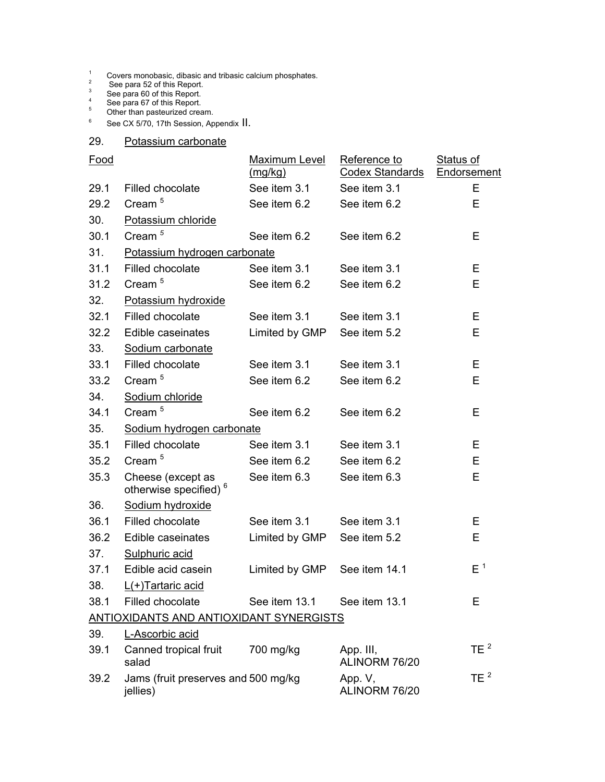- $\frac{1}{2}$  Covers monobasic, dibasic and tribasic calcium phosphates.
- 
- 
- <sup>2</sup> See para 52 of this Report.<br>
<sup>3</sup> See para 60 of this Report.<br>
<sup>4</sup> See para 67 of this Report.<br>
5 Other than pasteurized cream.
- 6 See CX 5/70, 17th Session, Appendix II.

# 29. Potassium carbonate

| <u>Food</u> |                                                        | Maximum Level<br>(mg/kg) | Reference to<br><b>Codex Standards</b> | Status of<br>Endorsement |
|-------------|--------------------------------------------------------|--------------------------|----------------------------------------|--------------------------|
| 29.1        | Filled chocolate                                       | See item 3.1             | See item 3.1                           | Е                        |
| 29.2        | Cream <sup>5</sup>                                     | See item 6.2             | See item 6.2                           | E                        |
| 30.         | Potassium chloride                                     |                          |                                        |                          |
| 30.1        | Cream <sup>5</sup>                                     | See item 6.2             | See item 6.2                           | Е                        |
| 31.         | Potassium hydrogen carbonate                           |                          |                                        |                          |
| 31.1        | Filled chocolate                                       | See item 3.1             | See item 3.1                           | Е                        |
| 31.2        | Cream <sup>5</sup>                                     | See item 6.2             | See item 6.2                           | E                        |
| 32.         | Potassium hydroxide                                    |                          |                                        |                          |
| 32.1        | Filled chocolate                                       | See item 3.1             | See item 3.1                           | Е                        |
| 32.2        | Edible caseinates                                      | Limited by GMP           | See item 5.2                           | E                        |
| 33.         | Sodium carbonate                                       |                          |                                        |                          |
| 33.1        | Filled chocolate                                       | See item 3.1             | See item 3.1                           | E                        |
| 33.2        | Cream <sup>5</sup>                                     | See item 6.2             | See item 6.2                           | Е                        |
| 34.         | Sodium chloride                                        |                          |                                        |                          |
| 34.1        | Cream <sup>5</sup>                                     | See item 6.2             | See item 6.2                           | E                        |
| 35.         | Sodium hydrogen carbonate                              |                          |                                        |                          |
| 35.1        | Filled chocolate                                       | See item 3.1             | See item 3.1                           | Е                        |
| 35.2        | Cream <sup>5</sup>                                     | See item 6.2             | See item 6.2                           | E                        |
| 35.3        | Cheese (except as<br>otherwise specified) <sup>6</sup> | See item 6.3             | See item 6.3                           | Е                        |
| 36.         | Sodium hydroxide                                       |                          |                                        |                          |
| 36.1        | Filled chocolate                                       | See item 3.1             | See item 3.1                           | Е                        |
| 36.2        | Edible caseinates                                      | Limited by GMP           | See item 5.2                           | E                        |
| 37.         | Sulphuric acid                                         |                          |                                        |                          |
| 37.1        | Edible acid casein                                     | Limited by GMP           | See item 14.1                          | E <sup>1</sup>           |
| 38.         | $L(+)$ Tartaric acid                                   |                          |                                        |                          |
| 38.1        | Filled chocolate                                       | See item 13.1            | See item 13.1                          | Е                        |
|             | <b>ANTIOXIDANTS AND ANTIOXIDANT SYNERGISTS</b>         |                          |                                        |                          |
| 39.         | L-Ascorbic acid                                        |                          |                                        |                          |
| 39.1        | Canned tropical fruit<br>salad                         | 700 mg/kg                | App. III,<br>ALINORM 76/20             | $TE^2$                   |
| 39.2        | Jams (fruit preserves and 500 mg/kg<br>jellies)        |                          | App. V,<br>ALINORM 76/20               | $TE^2$                   |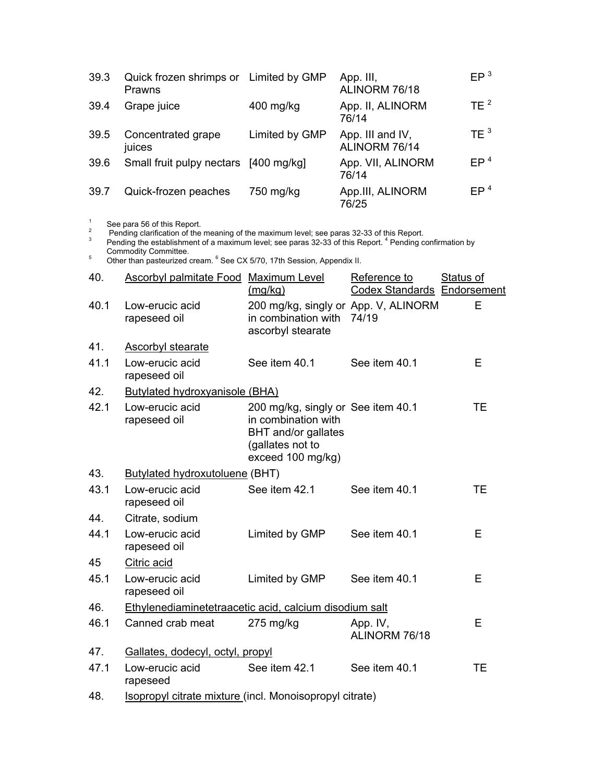| 39.3 | Quick frozen shrimps or Limited by GMP<br>Prawns |                | App. III,<br>ALINORM 76/18        | EP <sup>3</sup> |
|------|--------------------------------------------------|----------------|-----------------------------------|-----------------|
| 39.4 | Grape juice                                      | $400$ mg/kg    | App. II, ALINORM<br>76/14         | TE <sup>2</sup> |
| 39.5 | Concentrated grape<br>juices                     | Limited by GMP | App. III and IV,<br>ALINORM 76/14 | TE <sup>3</sup> |
| 39.6 | Small fruit pulpy nectars [400 mg/kg]            |                | App. VII, ALINORM<br>76/14        | EP <sup>4</sup> |
| 39.7 | Quick-frozen peaches                             | 750 mg/kg      | App.III, ALINORM<br>76/25         | EP <sup>4</sup> |

1 See para 56 of this Report. 2

 $^{\prime}$  Pending clarification of the meaning of the maximum level; see paras 32-33 of this Report.<br><sup>3</sup> Pending the establishment of a maximum level; see paras 32-33 of this Report. <sup>4</sup> Pending confirmation by Commodity Committee.<br>
<sup>5</sup> Other than pasteurized cream. <sup>6</sup> See CX 5/70, 17th Session, Appendix II.

| 40.  | Ascorbyl palmitate Food                                        | Maximum Level<br>(mg/kg)                                                                                                         | Reference to<br><b>Codex Standards Endorsement</b> | Status of |
|------|----------------------------------------------------------------|----------------------------------------------------------------------------------------------------------------------------------|----------------------------------------------------|-----------|
| 40.1 | Low-erucic acid<br>rapeseed oil                                | 200 mg/kg, singly or App. V, ALINORM<br>in combination with<br>ascorbyl stearate                                                 | 74/19                                              | E         |
| 41.  | <b>Ascorbyl stearate</b>                                       |                                                                                                                                  |                                                    |           |
| 41.1 | Low-erucic acid<br>rapeseed oil                                | See item 40.1                                                                                                                    | See item 40.1                                      | E         |
| 42.  | Butylated hydroxyanisole (BHA)                                 |                                                                                                                                  |                                                    |           |
| 42.1 | Low-erucic acid<br>rapeseed oil                                | 200 mg/kg, singly or See item 40.1<br>in combination with<br><b>BHT</b> and/or gallates<br>(gallates not to<br>exceed 100 mg/kg) |                                                    | TE        |
| 43.  | <b>Butylated hydroxutoluene (BHT)</b>                          |                                                                                                                                  |                                                    |           |
| 43.1 | Low-erucic acid<br>rapeseed oil                                | See item 42.1                                                                                                                    | See item 40.1                                      | <b>TE</b> |
| 44.  | Citrate, sodium                                                |                                                                                                                                  |                                                    |           |
| 44.1 | Low-erucic acid<br>rapeseed oil                                | Limited by GMP                                                                                                                   | See item 40.1                                      | Е         |
| 45   | Citric acid                                                    |                                                                                                                                  |                                                    |           |
| 45.1 | Low-erucic acid<br>rapeseed oil                                | Limited by GMP                                                                                                                   | See item 40.1                                      | E         |
| 46.  | Ethylenediaminetetraacetic acid, calcium disodium salt         |                                                                                                                                  |                                                    |           |
| 46.1 | Canned crab meat                                               | $275$ mg/kg                                                                                                                      | App. IV,<br>ALINORM 76/18                          | E         |
| 47.  | Gallates, dodecyl, octyl, propyl                               |                                                                                                                                  |                                                    |           |
| 47.1 | Low-erucic acid<br>rapeseed                                    | See item 42.1                                                                                                                    | See item 40.1                                      | <b>TE</b> |
| 48.  | <b>Isopropyl citrate mixture (incl. Monoisopropyl citrate)</b> |                                                                                                                                  |                                                    |           |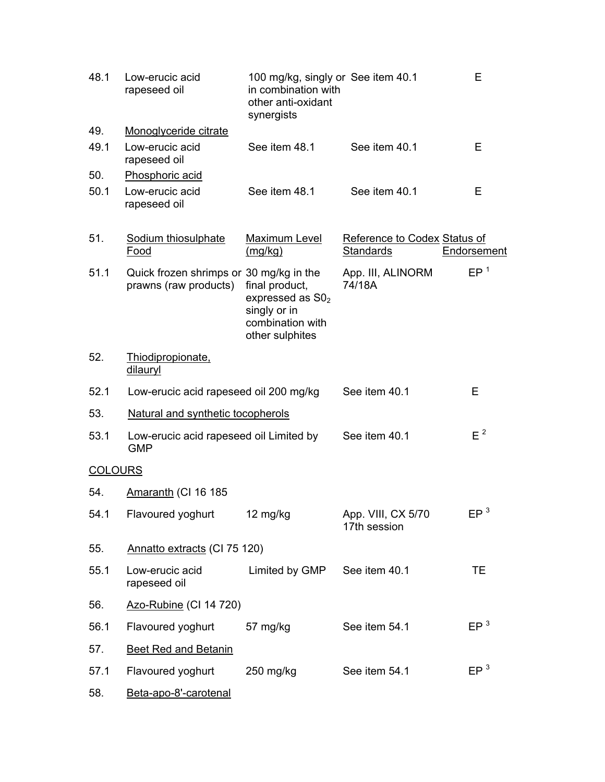| 48.1           | Low-erucic acid<br>rapeseed oil                                  | 100 mg/kg, singly or See item 40.1<br>in combination with<br>other anti-oxidant<br>synergists |                                                  | Е               |
|----------------|------------------------------------------------------------------|-----------------------------------------------------------------------------------------------|--------------------------------------------------|-----------------|
| 49.            | Monoglyceride citrate                                            |                                                                                               |                                                  |                 |
| 49.1           | Low-erucic acid<br>rapeseed oil                                  | See item 48.1                                                                                 | See item 40.1                                    | Е               |
| 50.            | Phosphoric acid                                                  |                                                                                               |                                                  |                 |
| 50.1           | Low-erucic acid<br>rapeseed oil                                  | See item 48.1                                                                                 | See item 40.1                                    | E               |
| 51.            | Sodium thiosulphate<br>Food                                      | <b>Maximum Level</b><br>(mg/kg)                                                               | Reference to Codex Status of<br><b>Standards</b> | Endorsement     |
| 51.1           | Quick frozen shrimps or 30 mg/kg in the<br>prawns (raw products) | final product,<br>expressed as $SO2$<br>singly or in<br>combination with<br>other sulphites   | App. III, ALINORM<br>74/18A                      | EP <sup>1</sup> |
| 52.            | Thiodipropionate,<br>dilauryl                                    |                                                                                               |                                                  |                 |
| 52.1           | Low-erucic acid rapeseed oil 200 mg/kg                           |                                                                                               | See item 40.1                                    | Е               |
| 53.            | Natural and synthetic tocopherols                                |                                                                                               |                                                  |                 |
| 53.1           | Low-erucic acid rapeseed oil Limited by<br><b>GMP</b>            |                                                                                               | See item 40.1                                    | $E^2$           |
| <b>COLOURS</b> |                                                                  |                                                                                               |                                                  |                 |
| 54.            | Amaranth (CI 16 185                                              |                                                                                               |                                                  |                 |
|                | 54.1 Flavoured yoghurt                                           | 12 mg/kg                                                                                      | App. VIII, CX 5/70<br>17th session               | EP <sup>3</sup> |
| 55.            | Annatto extracts (CI 75 120)                                     |                                                                                               |                                                  |                 |
| 55.1           | Low-erucic acid<br>rapeseed oil                                  | Limited by GMP                                                                                | See item 40.1                                    | TЕ              |
| 56.            | Azo-Rubine (CI 14 720)                                           |                                                                                               |                                                  |                 |
| 56.1           | Flavoured yoghurt                                                | 57 mg/kg                                                                                      | See item 54.1                                    | EP <sup>3</sup> |
| 57.            | <b>Beet Red and Betanin</b>                                      |                                                                                               |                                                  |                 |
| 57.1           | Flavoured yoghurt                                                | $250$ mg/kg                                                                                   | See item 54.1                                    | EP <sup>3</sup> |
| 58.            | Beta-apo-8'-carotenal                                            |                                                                                               |                                                  |                 |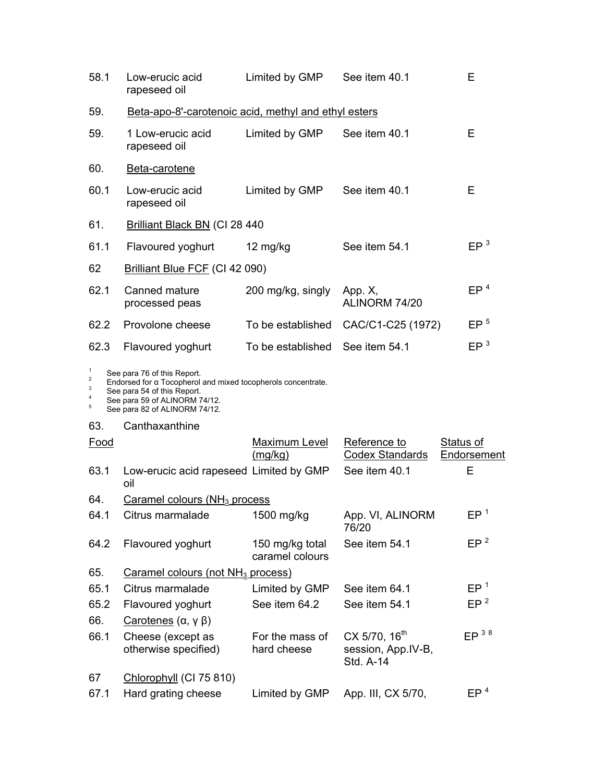| 58.1                                                       | Low-erucic acid<br>rapeseed oil                                                                                                                                                              | Limited by GMP                     | See item 40.1                                                | Е                                      |
|------------------------------------------------------------|----------------------------------------------------------------------------------------------------------------------------------------------------------------------------------------------|------------------------------------|--------------------------------------------------------------|----------------------------------------|
| 59.                                                        | Beta-apo-8'-carotenoic acid, methyl and ethyl esters                                                                                                                                         |                                    |                                                              |                                        |
| 59.                                                        | 1 Low-erucic acid<br>rapeseed oil                                                                                                                                                            | Limited by GMP                     | See item 40.1                                                | Е                                      |
| 60.                                                        | Beta-carotene                                                                                                                                                                                |                                    |                                                              |                                        |
| 60.1                                                       | Low-erucic acid<br>rapeseed oil                                                                                                                                                              | Limited by GMP                     | See item 40.1                                                | Е                                      |
| 61.                                                        | <b>Brilliant Black BN (CI 28 440</b>                                                                                                                                                         |                                    |                                                              |                                        |
| 61.1                                                       | Flavoured yoghurt                                                                                                                                                                            | 12 mg/kg                           | See item 54.1                                                | EP <sup>3</sup>                        |
| 62                                                         | Brilliant Blue FCF (CI 42 090)                                                                                                                                                               |                                    |                                                              |                                        |
| 62.1                                                       | Canned mature<br>processed peas                                                                                                                                                              | 200 mg/kg, singly                  | App. X,<br>ALINORM 74/20                                     | EP <sup>4</sup>                        |
| 62.2                                                       | Provolone cheese                                                                                                                                                                             | To be established                  | CAC/C1-C25 (1972)                                            | EP <sup>5</sup>                        |
| 62.3                                                       | Flavoured yoghurt                                                                                                                                                                            | To be established                  | See item 54.1                                                | EP <sup>3</sup>                        |
| $\mathbf{1}$<br>$\overline{2}$<br>3<br>$\overline{4}$<br>5 | See para 76 of this Report.<br>Endorsed for a Tocopherol and mixed tocopherols concentrate.<br>See para 54 of this Report.<br>See para 59 of ALINORM 74/12.<br>See para 82 of ALINORM 74/12. |                                    |                                                              |                                        |
| 63.                                                        | Canthaxanthine                                                                                                                                                                               |                                    |                                                              |                                        |
| <b>Food</b>                                                |                                                                                                                                                                                              | <b>Maximum Level</b><br>(mg/kg)    | Reference to<br><b>Codex Standards</b>                       | <b>Status of</b><br><b>Endorsement</b> |
| 63.1                                                       | Low-erucic acid rapeseed Limited by GMP<br>oil                                                                                                                                               |                                    | See item 40.1                                                | Е                                      |
| 64.                                                        | Caramel colours (NH <sub>3</sub> process                                                                                                                                                     |                                    |                                                              |                                        |
| 64.1                                                       | Citrus marmalade                                                                                                                                                                             | 1500 mg/kg                         | App. VI, ALINORM<br>76/20                                    | EP <sup>1</sup>                        |
| 64.2                                                       | Flavoured yoghurt                                                                                                                                                                            | 150 mg/kg total<br>caramel colours | See item 54.1                                                | EP <sup>2</sup>                        |
| 65.                                                        | Caramel colours (not NH <sub>3</sub> process)                                                                                                                                                |                                    |                                                              |                                        |
| 65.1                                                       | Citrus marmalade                                                                                                                                                                             | Limited by GMP                     | See item 64.1                                                | EP <sup>1</sup>                        |
| 65.2                                                       | Flavoured yoghurt                                                                                                                                                                            | See item 64.2                      | See item 54.1                                                | EP <sup>2</sup>                        |
| 66.                                                        | Carotenes $(\alpha, \gamma, \beta)$                                                                                                                                                          |                                    |                                                              |                                        |
| 66.1                                                       | Cheese (except as<br>otherwise specified)                                                                                                                                                    | For the mass of<br>hard cheese     | CX 5/70, 16 <sup>th</sup><br>session, App.IV-B,<br>Std. A-14 | EP <sup>38</sup>                       |
| 67                                                         | Chlorophyll (CI 75 810)                                                                                                                                                                      |                                    |                                                              |                                        |
| 67.1                                                       | Hard grating cheese                                                                                                                                                                          | Limited by GMP                     | App. III, CX 5/70,                                           | EP <sup>4</sup>                        |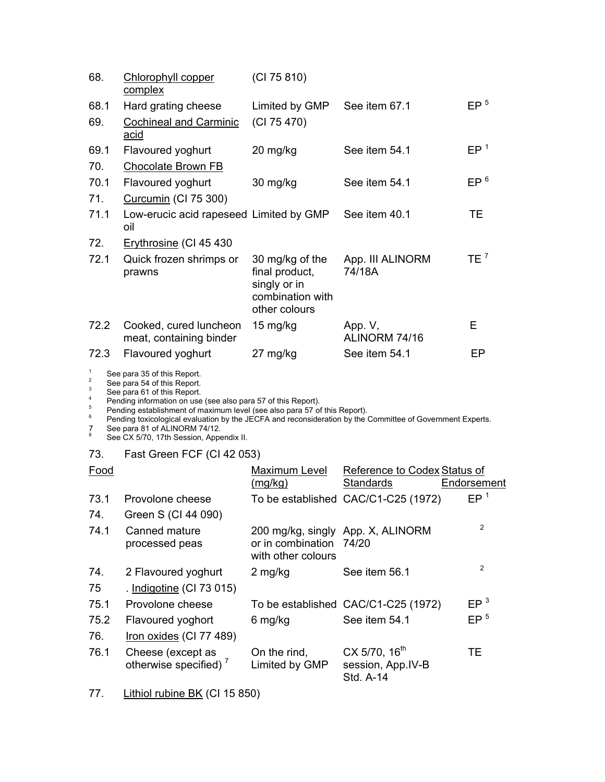| 68.                                                                              | <b>Chlorophyll copper</b><br>complex                                                                                                                                                                                                                                                                                                                                                                                             | (CI 75 810)                                                                            |                                                             |                    |
|----------------------------------------------------------------------------------|----------------------------------------------------------------------------------------------------------------------------------------------------------------------------------------------------------------------------------------------------------------------------------------------------------------------------------------------------------------------------------------------------------------------------------|----------------------------------------------------------------------------------------|-------------------------------------------------------------|--------------------|
| 68.1                                                                             | Hard grating cheese                                                                                                                                                                                                                                                                                                                                                                                                              | Limited by GMP                                                                         | See item 67.1                                               | EP <sup>5</sup>    |
| 69.                                                                              | <b>Cochineal and Carminic</b><br><u>acid</u>                                                                                                                                                                                                                                                                                                                                                                                     | (CI 75 470)                                                                            |                                                             |                    |
| 69.1                                                                             | Flavoured yoghurt                                                                                                                                                                                                                                                                                                                                                                                                                | 20 mg/kg                                                                               | See item 54.1                                               | EP <sup>1</sup>    |
| 70.                                                                              | <b>Chocolate Brown FB</b>                                                                                                                                                                                                                                                                                                                                                                                                        |                                                                                        |                                                             |                    |
| 70.1                                                                             | Flavoured yoghurt                                                                                                                                                                                                                                                                                                                                                                                                                | 30 mg/kg                                                                               | See item 54.1                                               | EP <sup>6</sup>    |
| 71.                                                                              | Curcumin (CI 75 300)                                                                                                                                                                                                                                                                                                                                                                                                             |                                                                                        |                                                             |                    |
| 71.1                                                                             | Low-erucic acid rapeseed Limited by GMP<br>oil                                                                                                                                                                                                                                                                                                                                                                                   |                                                                                        | See item 40.1                                               | TЕ                 |
| 72.                                                                              | Erythrosine (CI 45 430                                                                                                                                                                                                                                                                                                                                                                                                           |                                                                                        |                                                             |                    |
| 72.1                                                                             | Quick frozen shrimps or<br>prawns                                                                                                                                                                                                                                                                                                                                                                                                | 30 mg/kg of the<br>final product,<br>singly or in<br>combination with<br>other colours | App. III ALINORM<br>74/18A                                  | $TE^7$             |
| 72.2                                                                             | Cooked, cured luncheon<br>meat, containing binder                                                                                                                                                                                                                                                                                                                                                                                | 15 mg/kg                                                                               | App. V,<br>ALINORM 74/16                                    | E                  |
| 72.3                                                                             | Flavoured yoghurt                                                                                                                                                                                                                                                                                                                                                                                                                | 27 mg/kg                                                                               | See item 54.1                                               | EP                 |
| $\mathbf{1}$<br>$\mathbf 2$<br>$\mathsf 3$<br>$\overline{4}$<br>5<br>6<br>7<br>8 | See para 35 of this Report.<br>See para 54 of this Report.<br>See para 61 of this Report.<br>Pending information on use (see also para 57 of this Report).<br>Pending establishment of maximum level (see also para 57 of this Report).<br>Pending toxicological evaluation by the JECFA and reconsideration by the Committee of Government Experts.<br>See para 81 of ALINORM 74/12.<br>See CX 5/70, 17th Session, Appendix II. |                                                                                        |                                                             |                    |
| 73.                                                                              | Fast Green FCF (CI 42 053)                                                                                                                                                                                                                                                                                                                                                                                                       |                                                                                        |                                                             |                    |
| Food                                                                             |                                                                                                                                                                                                                                                                                                                                                                                                                                  | <b>Maximum Level</b><br><u>(mg/kg)</u>                                                 | Reference to Codex Status of<br><b>Standards</b>            | <b>Endorsement</b> |
| 73.1                                                                             | Provolone cheese                                                                                                                                                                                                                                                                                                                                                                                                                 |                                                                                        | To be established CAC/C1-C25 (1972)                         | EP <sup>1</sup>    |
| 74.                                                                              | Green S (CI 44 090)                                                                                                                                                                                                                                                                                                                                                                                                              |                                                                                        |                                                             |                    |
| 74.1                                                                             | Canned mature<br>processed peas                                                                                                                                                                                                                                                                                                                                                                                                  | or in combination<br>with other colours                                                | 200 mg/kg, singly App. X, ALINORM<br>74/20                  | 2                  |
| 74.                                                                              | 2 Flavoured yoghurt                                                                                                                                                                                                                                                                                                                                                                                                              | 2 mg/kg                                                                                | See item 56.1                                               | 2                  |
| 75                                                                               | . Indigotine (CI 73 015)                                                                                                                                                                                                                                                                                                                                                                                                         |                                                                                        |                                                             |                    |
| 75.1                                                                             | Provolone cheese                                                                                                                                                                                                                                                                                                                                                                                                                 |                                                                                        | To be established CAC/C1-C25 (1972)                         | EP <sup>3</sup>    |
| 75.2                                                                             | Flavoured yoghort                                                                                                                                                                                                                                                                                                                                                                                                                | 6 mg/kg                                                                                | See item 54.1                                               | EP <sup>5</sup>    |
| 76.                                                                              | Iron oxides (CI 77 489)                                                                                                                                                                                                                                                                                                                                                                                                          |                                                                                        |                                                             |                    |
| 76.1                                                                             | Cheese (except as<br>otherwise specified) <sup>7</sup>                                                                                                                                                                                                                                                                                                                                                                           | On the rind,<br>Limited by GMP                                                         | CX 5/70, 16 <sup>th</sup><br>session, App.IV-B<br>Std. A-14 | ТE                 |

77. Lithiol rubine BK (CI 15 850)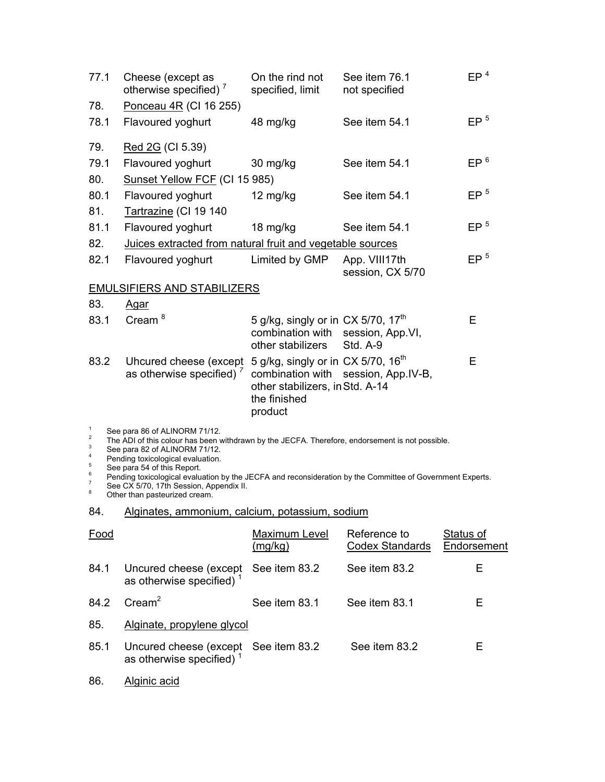| 77.1                                                                                                  | Cheese (except as<br>otherwise specified) <sup>7</sup>                                                                                                                                                                                                                                                                                                                                                                         | On the rind not<br>specified, limit                                                                      | See item 76.1<br>not specified         | EP <sup>4</sup>                 |
|-------------------------------------------------------------------------------------------------------|--------------------------------------------------------------------------------------------------------------------------------------------------------------------------------------------------------------------------------------------------------------------------------------------------------------------------------------------------------------------------------------------------------------------------------|----------------------------------------------------------------------------------------------------------|----------------------------------------|---------------------------------|
| 78.                                                                                                   | Ponceau 4R (CI 16 255)                                                                                                                                                                                                                                                                                                                                                                                                         |                                                                                                          |                                        |                                 |
| 78.1                                                                                                  | Flavoured yoghurt                                                                                                                                                                                                                                                                                                                                                                                                              | 48 mg/kg                                                                                                 | See item 54.1                          | EP <sup>5</sup>                 |
| 79.                                                                                                   | Red 2G (CI 5.39)                                                                                                                                                                                                                                                                                                                                                                                                               |                                                                                                          |                                        |                                 |
| 79.1                                                                                                  | Flavoured yoghurt                                                                                                                                                                                                                                                                                                                                                                                                              | 30 mg/kg                                                                                                 | See item 54.1                          | EP <sup>6</sup>                 |
| 80.                                                                                                   | Sunset Yellow FCF (CI 15 985)                                                                                                                                                                                                                                                                                                                                                                                                  |                                                                                                          |                                        |                                 |
| 80.1                                                                                                  | Flavoured yoghurt                                                                                                                                                                                                                                                                                                                                                                                                              | 12 mg/kg                                                                                                 | See item 54.1                          | EP <sup>5</sup>                 |
| 81.                                                                                                   | Tartrazine (CI 19 140                                                                                                                                                                                                                                                                                                                                                                                                          |                                                                                                          |                                        |                                 |
| 81.1                                                                                                  | Flavoured yoghurt                                                                                                                                                                                                                                                                                                                                                                                                              | 18 mg/kg                                                                                                 | See item 54.1                          | EP <sup>5</sup>                 |
| 82.                                                                                                   | Juices extracted from natural fruit and vegetable sources                                                                                                                                                                                                                                                                                                                                                                      |                                                                                                          |                                        |                                 |
| 82.1                                                                                                  | Flavoured yoghurt                                                                                                                                                                                                                                                                                                                                                                                                              | Limited by GMP                                                                                           | App. VIII17th<br>session, CX 5/70      | EP <sup>5</sup>                 |
|                                                                                                       | <b>EMULSIFIERS AND STABILIZERS</b>                                                                                                                                                                                                                                                                                                                                                                                             |                                                                                                          |                                        |                                 |
| 83.                                                                                                   | <u>Agar</u>                                                                                                                                                                                                                                                                                                                                                                                                                    |                                                                                                          |                                        |                                 |
| 83.1                                                                                                  | Cream <sup>8</sup>                                                                                                                                                                                                                                                                                                                                                                                                             | 5 g/kg, singly or in CX 5/70, 17 <sup>th</sup><br>combination with session, App.VI,<br>other stabilizers | Std. A-9                               | Е                               |
| 83.2                                                                                                  | Uhcured cheese (except 5 g/kg, singly or in CX 5/70, 16 <sup>th</sup><br>as otherwise specified) $7$                                                                                                                                                                                                                                                                                                                           | other stabilizers, in Std. A-14<br>the finished<br>product                                               | combination with session, App.IV-B,    | Е                               |
| $\mathbf{1}$<br>$\overline{c}$<br>$\mathsf 3$<br>$\sqrt{4}$<br>5<br>$\,6\,$<br>$\scriptstyle{7}$<br>8 | See para 86 of ALINORM 71/12.<br>The ADI of this colour has been withdrawn by the JECFA. Therefore, endorsement is not possible.<br>See para 82 of ALINORM 71/12.<br>Pending toxicological evaluation.<br>See para 54 of this Report.<br>Pending toxicological evaluation by the JECFA and reconsideration by the Committee of Government Experts.<br>See CX 5/70, 17th Session, Appendix II.<br>Other than pasteurized cream. |                                                                                                          |                                        |                                 |
| 84.                                                                                                   | Alginates, ammonium, calcium, potassium, sodium                                                                                                                                                                                                                                                                                                                                                                                |                                                                                                          |                                        |                                 |
| <u>Food</u>                                                                                           |                                                                                                                                                                                                                                                                                                                                                                                                                                | <b>Maximum Level</b><br>(mg/kg)                                                                          | Reference to<br><b>Codex Standards</b> | <b>Status of</b><br>Endorsement |
| 84.1                                                                                                  | Uncured cheese (except See item 83.2)<br>as otherwise specified)                                                                                                                                                                                                                                                                                                                                                               |                                                                                                          | See item 83.2                          | Е                               |
| 84.2                                                                                                  | $C$ ream <sup>2</sup>                                                                                                                                                                                                                                                                                                                                                                                                          | See item 83.1                                                                                            | See item 83.1                          | Е                               |
| 85.                                                                                                   | Alginate, propylene glycol                                                                                                                                                                                                                                                                                                                                                                                                     |                                                                                                          |                                        |                                 |
| 85.1                                                                                                  | Uncured cheese (except See item 83.2<br>as otherwise specified)                                                                                                                                                                                                                                                                                                                                                                |                                                                                                          | See item 83.2                          | Е                               |

86. Alginic acid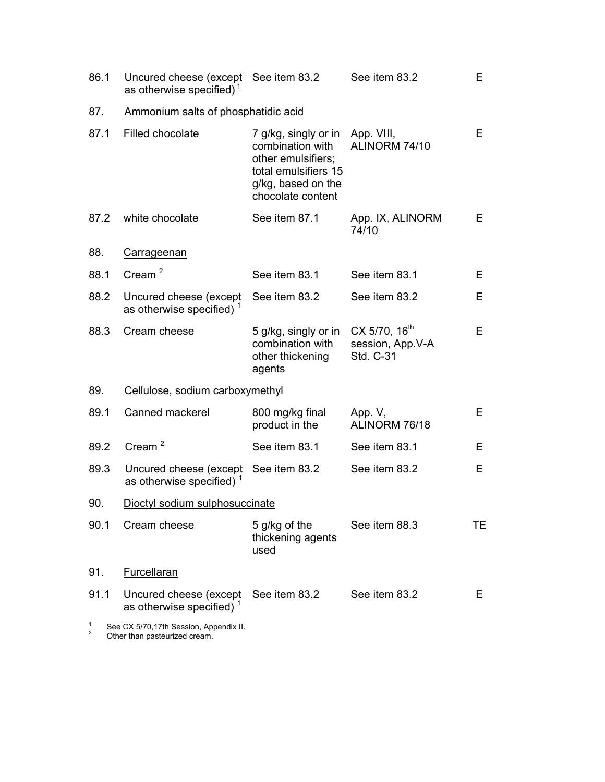| 86.1                         | Uncured cheese (except See item 83.2)<br>as otherwise specified) <sup>1</sup> |                                                                                                                                              | See item 83.2                                              | Е  |
|------------------------------|-------------------------------------------------------------------------------|----------------------------------------------------------------------------------------------------------------------------------------------|------------------------------------------------------------|----|
| 87.                          | Ammonium salts of phosphatidic acid                                           |                                                                                                                                              |                                                            |    |
| 87.1                         | Filled chocolate                                                              | 7 g/kg, singly or in App. VIII,<br>combination with<br>other emulsifiers;<br>total emulsifiers 15<br>g/kg, based on the<br>chocolate content | ALINORM 74/10                                              | Е  |
| 87.2                         | white chocolate                                                               | See item 87.1                                                                                                                                | App. IX, ALINORM<br>74/10                                  | E. |
| 88.                          | <b>Carrageenan</b>                                                            |                                                                                                                                              |                                                            |    |
| 88.1                         | Cream $2$                                                                     | See item 83.1                                                                                                                                | See item 83.1                                              | Е  |
| 88.2                         | Uncured cheese (except<br>as otherwise specified) $1$                         | See item 83.2                                                                                                                                | See item 83.2                                              | Е  |
| 88.3                         | Cream cheese                                                                  | 5 g/kg, singly or in<br>combination with<br>other thickening<br>agents                                                                       | CX 5/70, 16 <sup>th</sup><br>session, App.V-A<br>Std. C-31 | Е  |
| 89.                          | Cellulose, sodium carboxymethyl                                               |                                                                                                                                              |                                                            |    |
| 89.1                         | Canned mackerel                                                               | 800 mg/kg final<br>product in the                                                                                                            | App. V,<br>ALINORM 76/18                                   | Е  |
| 89.2                         | Cream $2$                                                                     | See item 83.1                                                                                                                                | See item 83.1                                              | E. |
| 89.3                         | Uncured cheese (except<br>as otherwise specified) $1$                         | See item 83.2                                                                                                                                | See item 83.2                                              | Е  |
| 90.                          | Dioctyl sodium sulphosuccinate                                                |                                                                                                                                              |                                                            |    |
| 90.1                         | Cream cheese                                                                  | 5 g/kg of the<br>thickening agents<br>used                                                                                                   | See item 88.3                                              | TЕ |
| 91.                          | <b>Furcellaran</b>                                                            |                                                                                                                                              |                                                            |    |
| 91.1                         | Uncured cheese (except<br>as otherwise specified) $1$                         | See item 83.2                                                                                                                                | See item 83.2                                              | Е  |
| 1<br>$\overline{\mathbf{c}}$ | See CX 5/70,17th Session, Appendix II.<br>Other than pasteurized cream.       |                                                                                                                                              |                                                            |    |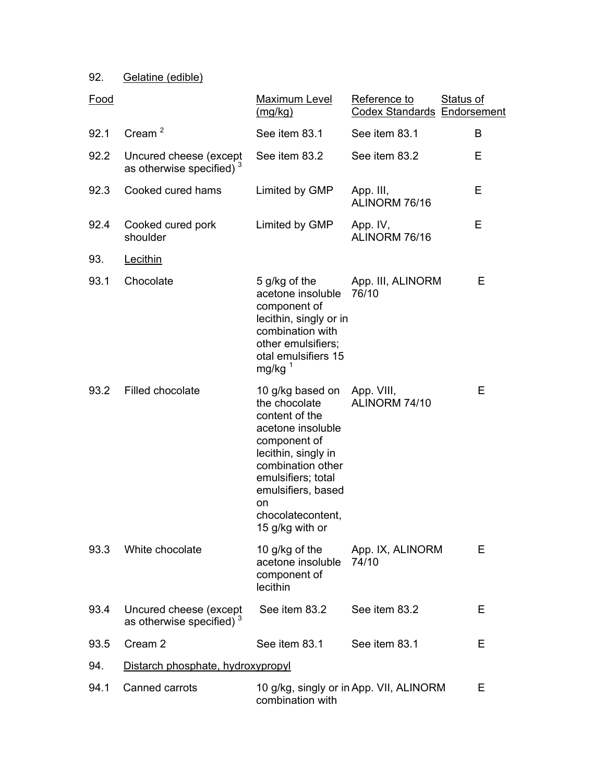# 92. Gelatine (edible)

| <u>Food</u> |                                                                | <b>Maximum Level</b><br>(mg/kg)                                                                                                                                                                                                           | Reference to<br><b>Codex Standards Endorsement</b> | <b>Status of</b> |
|-------------|----------------------------------------------------------------|-------------------------------------------------------------------------------------------------------------------------------------------------------------------------------------------------------------------------------------------|----------------------------------------------------|------------------|
| 92.1        | Cream $2$                                                      | See item 83.1                                                                                                                                                                                                                             | See item 83.1                                      | B                |
| 92.2        | Uncured cheese (except<br>as otherwise specified) <sup>3</sup> | See item 83.2                                                                                                                                                                                                                             | See item 83.2                                      | E.               |
| 92.3        | Cooked cured hams                                              | Limited by GMP                                                                                                                                                                                                                            | App. III,<br>ALINORM 76/16                         | Е                |
| 92.4        | Cooked cured pork<br>shoulder                                  | Limited by GMP                                                                                                                                                                                                                            | App. IV,<br>ALINORM 76/16                          | E                |
| 93.         | Lecithin                                                       |                                                                                                                                                                                                                                           |                                                    |                  |
| 93.1        | Chocolate                                                      | 5 g/kg of the<br>acetone insoluble<br>component of<br>lecithin, singly or in<br>combination with<br>other emulsifiers;<br>otal emulsifiers 15<br>mg/kg $1$                                                                                | App. III, ALINORM<br>76/10                         | Е                |
| 93.2        | Filled chocolate                                               | 10 g/kg based on App. VIII,<br>the chocolate<br>content of the<br>acetone insoluble<br>component of<br>lecithin, singly in<br>combination other<br>emulsifiers; total<br>emulsifiers, based<br>on<br>chocolatecontent,<br>15 g/kg with or | ALINORM 74/10                                      | Е                |
| 93.3        | White chocolate                                                | 10 g/kg of the<br>acetone insoluble<br>component of<br>lecithin                                                                                                                                                                           | App. IX, ALINORM<br>74/10                          | Е                |
| 93.4        | Uncured cheese (except<br>as otherwise specified) <sup>3</sup> | See item 83.2                                                                                                                                                                                                                             | See item 83.2                                      | Е                |
| 93.5        | Cream 2                                                        | See item 83.1                                                                                                                                                                                                                             | See item 83.1                                      | Е                |
| 94.         | Distarch phosphate, hydroxypropyl                              |                                                                                                                                                                                                                                           |                                                    |                  |
| 94.1        | Canned carrots                                                 | 10 g/kg, singly or in App. VII, ALINORM<br>combination with                                                                                                                                                                               |                                                    | Е                |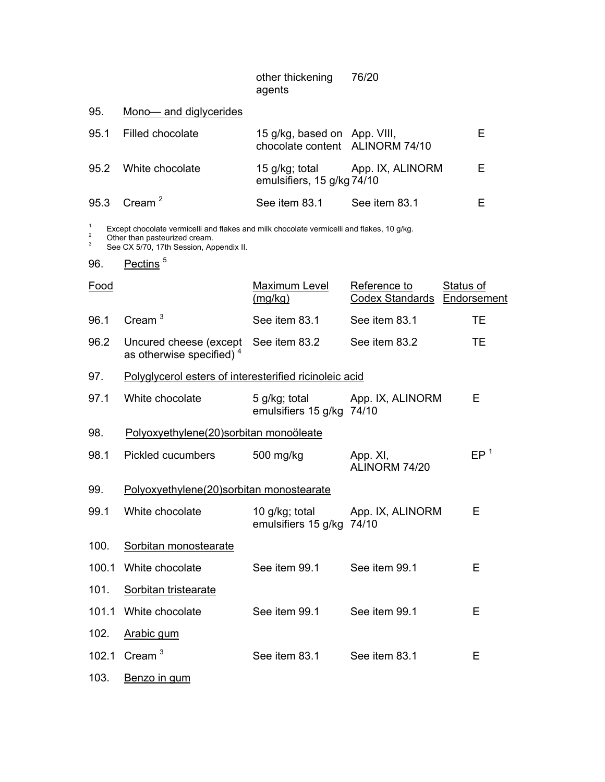| other thickening | 76/20 |
|------------------|-------|
| agents           |       |

|                                                         |                                                                                                                                                                       | uyuno                                                           |                                        |                                 |
|---------------------------------------------------------|-----------------------------------------------------------------------------------------------------------------------------------------------------------------------|-----------------------------------------------------------------|----------------------------------------|---------------------------------|
| 95.                                                     | Mono-and diglycerides                                                                                                                                                 |                                                                 |                                        |                                 |
| 95.1                                                    | Filled chocolate                                                                                                                                                      | 15 g/kg, based on App. VIII,<br>chocolate content ALINORM 74/10 |                                        | Е                               |
| 95.2                                                    | White chocolate                                                                                                                                                       | 15 g/kg; total<br>emulsifiers, 15 g/kg 74/10                    | App. IX, ALINORM                       | Е                               |
| 95.3                                                    | Cream $2$                                                                                                                                                             | See item 83.1                                                   | See item 83.1                          | Е                               |
| $\mathbf{1}$<br>$\sqrt{2}$<br>$\ensuremath{\mathsf{3}}$ | Except chocolate vermicelli and flakes and milk chocolate vermicelli and flakes, 10 g/kg.<br>Other than pasteurized cream.<br>See CX 5/70, 17th Session, Appendix II. |                                                                 |                                        |                                 |
| 96.                                                     | Pectins <sup>5</sup>                                                                                                                                                  |                                                                 |                                        |                                 |
| <u>Food</u>                                             |                                                                                                                                                                       | Maximum Level<br>(mq/kg)                                        | Reference to<br><b>Codex Standards</b> | <b>Status of</b><br>Endorsement |
| 96.1                                                    | Cream $3$                                                                                                                                                             | See item 83.1                                                   | See item 83.1                          | TE                              |
| 96.2                                                    | Uncured cheese (except<br>as otherwise specified) <sup>4</sup>                                                                                                        | See item 83.2                                                   | See item 83.2                          | TE                              |
| 97.                                                     | Polyglycerol esters of interesterified ricinoleic acid                                                                                                                |                                                                 |                                        |                                 |
| 97.1                                                    | White chocolate                                                                                                                                                       | 5 g/kg; total<br>emulsifiers 15 g/kg 74/10                      | App. IX, ALINORM                       | E                               |
| 98.                                                     | Polyoxyethylene(20)sorbitan monoöleate                                                                                                                                |                                                                 |                                        |                                 |
| 98.1                                                    | <b>Pickled cucumbers</b>                                                                                                                                              | 500 mg/kg                                                       | App. XI,<br>ALINORM 74/20              | EP <sup>1</sup>                 |
| 99.                                                     | Polyoxyethylene(20)sorbitan monostearate                                                                                                                              |                                                                 |                                        |                                 |
| 99.1                                                    | White chocolate                                                                                                                                                       | 10 g/kg; total<br>emulsifiers 15 g/kg 74/10                     | App. IX, ALINORM                       | Е                               |
| 100.                                                    | Sorbitan monostearate                                                                                                                                                 |                                                                 |                                        |                                 |
| 100.1                                                   | White chocolate                                                                                                                                                       | See item 99.1                                                   | See item 99.1                          | Е                               |

101.1 White chocolate See item 99.1 See item 99.1 E

102.1 Cream <sup>3</sup> See item 83.1 See item 83.1 E 103. Benzo in gum

101. Sorbitan tristearate

102. Arabic gum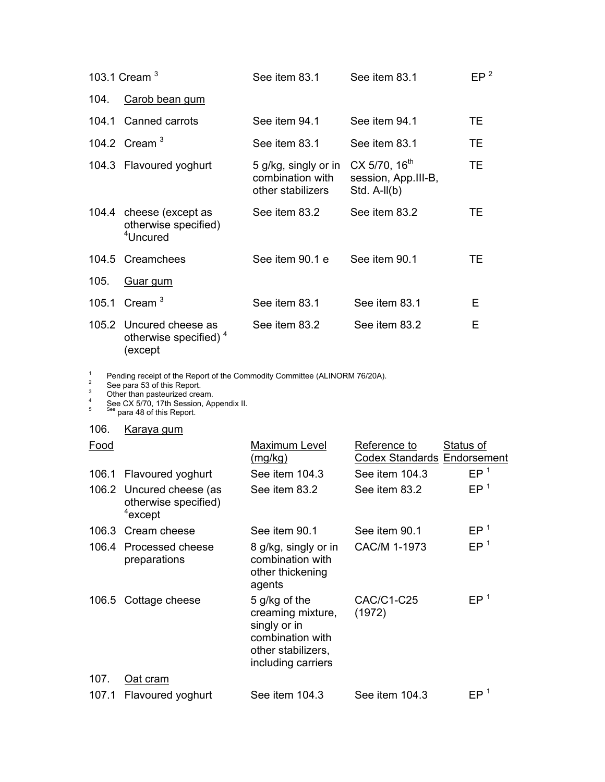|                                                                                    | 103.1 Cream $3$                                                                                                                                                                                                  | See item 83.1                                                                                                      | See item 83.1                                                      | EP <sup>2</sup> |
|------------------------------------------------------------------------------------|------------------------------------------------------------------------------------------------------------------------------------------------------------------------------------------------------------------|--------------------------------------------------------------------------------------------------------------------|--------------------------------------------------------------------|-----------------|
| 104.                                                                               | Carob bean gum                                                                                                                                                                                                   |                                                                                                                    |                                                                    |                 |
| 104.1                                                                              | Canned carrots                                                                                                                                                                                                   | See item 94.1                                                                                                      | See item 94.1                                                      | TЕ              |
|                                                                                    | 104.2 Cream <sup>3</sup>                                                                                                                                                                                         | See item 83.1                                                                                                      | See item 83.1                                                      | TЕ              |
|                                                                                    | 104.3 Flavoured yoghurt                                                                                                                                                                                          | 5 g/kg, singly or in<br>combination with<br>other stabilizers                                                      | CX 5/70, 16 <sup>th</sup><br>session, App.III-B,<br>Std. $A-II(b)$ | TE              |
| 104.4                                                                              | cheese (except as<br>otherwise specified)<br><sup>4</sup> Uncured                                                                                                                                                | See item 83.2                                                                                                      | See item 83.2                                                      | <b>TE</b>       |
| 104.5                                                                              | Creamchees                                                                                                                                                                                                       | See item 90.1 e                                                                                                    | See item 90.1                                                      | TЕ              |
| 105.                                                                               | Guar gum                                                                                                                                                                                                         |                                                                                                                    |                                                                    |                 |
| 105.1                                                                              | Cream $3$                                                                                                                                                                                                        | See item 83.1                                                                                                      | See item 83.1                                                      | Е               |
|                                                                                    | 105.2 Uncured cheese as<br>otherwise specified) <sup>4</sup><br>(except                                                                                                                                          | See item 83.2                                                                                                      | See item 83.2                                                      | Е               |
| $\mathbf{1}$<br>$\overline{2}$<br>$\ensuremath{\mathsf{3}}$<br>$\overline{4}$<br>5 | Pending receipt of the Report of the Commodity Committee (ALINORM 76/20A).<br>See para 53 of this Report.<br>Other than pasteurized cream.<br>See CX 5/70, 17th Session, Appendix II.<br>para 48 of this Report. |                                                                                                                    |                                                                    |                 |
| 106.                                                                               | <u>Karaya gum</u>                                                                                                                                                                                                |                                                                                                                    |                                                                    |                 |
| <b>Food</b>                                                                        |                                                                                                                                                                                                                  | <b>Maximum Level</b><br>(mq/kg)                                                                                    | Reference to<br><b>Codex Standards Endorsement</b>                 | Status of       |
| 106.1                                                                              | Flavoured yoghurt                                                                                                                                                                                                | See item 104.3                                                                                                     | See item 104.3                                                     | EP <sup>1</sup> |
| 106.2                                                                              | Uncured cheese (as<br>otherwise specified)<br><sup>4</sup> except                                                                                                                                                | See item 83.2                                                                                                      | See item 83.2                                                      | EP <sup>1</sup> |
| 106.3                                                                              | Cream cheese                                                                                                                                                                                                     | See item 90.1                                                                                                      | See item 90.1                                                      | EP <sup>1</sup> |
|                                                                                    | 106.4 Processed cheese<br>preparations                                                                                                                                                                           | 8 g/kg, singly or in<br>combination with<br>other thickening<br>agents                                             | CAC/M 1-1973                                                       | EP <sup>1</sup> |
|                                                                                    | 106.5 Cottage cheese                                                                                                                                                                                             | 5 g/kg of the<br>creaming mixture,<br>singly or in<br>combination with<br>other stabilizers,<br>including carriers | <b>CAC/C1-C25</b><br>(1972)                                        | EP <sup>1</sup> |
| 107.                                                                               | Oat cram                                                                                                                                                                                                         |                                                                                                                    |                                                                    |                 |

107.1 Flavoured yoghurt See item 104.3 See item 104.3 EP  $^1$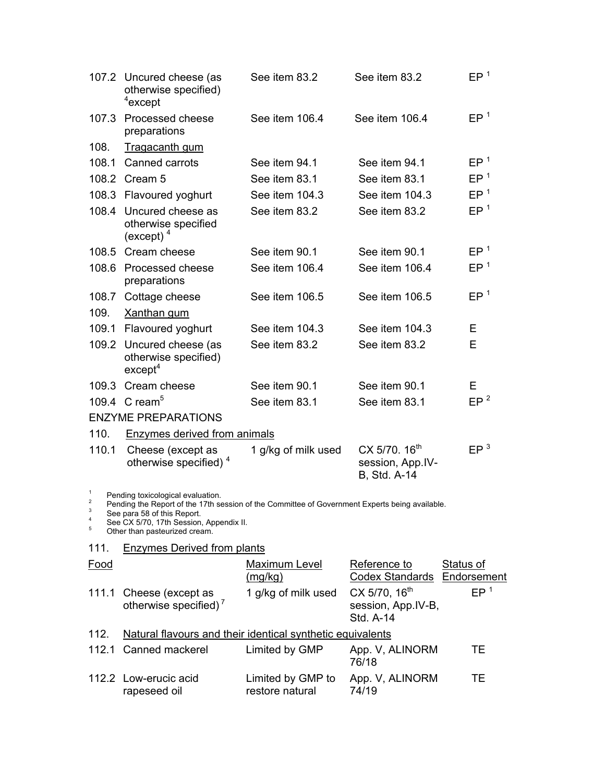|                                               | 107.2 Uncured cheese (as<br>otherwise specified)<br><sup>4</sup> except                                                                                                                                                                        | See item 83.2                          | See item 83.2                                                        | EP <sup>1</sup> |
|-----------------------------------------------|------------------------------------------------------------------------------------------------------------------------------------------------------------------------------------------------------------------------------------------------|----------------------------------------|----------------------------------------------------------------------|-----------------|
| 107.3                                         | Processed cheese<br>preparations                                                                                                                                                                                                               | See item 106.4                         | See item 106.4                                                       | EP <sup>1</sup> |
| 108.                                          | Tragacanth gum                                                                                                                                                                                                                                 |                                        |                                                                      |                 |
| 108.1                                         | Canned carrots                                                                                                                                                                                                                                 | See item 94.1                          | See item 94.1                                                        | EP <sup>1</sup> |
| 108.2                                         | Cream <sub>5</sub>                                                                                                                                                                                                                             | See item 83.1                          | See item 83.1                                                        | EP <sup>1</sup> |
|                                               | 108.3 Flavoured yoghurt                                                                                                                                                                                                                        | See item 104.3                         | See item 104.3                                                       | EP <sup>1</sup> |
| 108.4                                         | Uncured cheese as<br>otherwise specified<br>(except) $4$                                                                                                                                                                                       | See item 83.2                          | See item 83.2                                                        | EP <sup>1</sup> |
|                                               | 108.5 Cream cheese                                                                                                                                                                                                                             | See item 90.1                          | See item 90.1                                                        | EP <sup>1</sup> |
| 108.6                                         | Processed cheese<br>preparations                                                                                                                                                                                                               | See item 106.4                         | See item 106.4                                                       | EP <sup>1</sup> |
| 108.7                                         | Cottage cheese                                                                                                                                                                                                                                 | See item 106.5                         | See item 106.5                                                       | EP <sup>1</sup> |
| 109.                                          | <b>Xanthan gum</b>                                                                                                                                                                                                                             |                                        |                                                                      |                 |
|                                               | 109.1 Flavoured yoghurt                                                                                                                                                                                                                        | See item 104.3                         | See item 104.3                                                       | Е               |
|                                               | 109.2 Uncured cheese (as<br>otherwise specified)<br>except <sup>4</sup>                                                                                                                                                                        | See item 83.2                          | See item 83.2                                                        | E               |
| 109.3                                         | Cream cheese                                                                                                                                                                                                                                   | See item 90.1                          | See item 90.1                                                        | Е               |
|                                               | 109.4 C ream <sup>5</sup>                                                                                                                                                                                                                      | See item 83.1                          | See item 83.1                                                        | EP <sup>2</sup> |
|                                               | <b>ENZYME PREPARATIONS</b>                                                                                                                                                                                                                     |                                        |                                                                      |                 |
| 110.                                          | <b>Enzymes derived from animals</b>                                                                                                                                                                                                            |                                        |                                                                      |                 |
| 110.1                                         | Cheese (except as<br>otherwise specified) <sup>4</sup>                                                                                                                                                                                         | 1 g/kg of milk used                    | CX 5/70. 16 <sup>th</sup><br>session, App.IV-<br><b>B.</b> Std. A-14 | EP <sup>3</sup> |
| $\mathbf{1}$<br>$\overline{2}$<br>3<br>4<br>5 | Pending toxicological evaluation.<br>Pending the Report of the 17th session of the Committee of Government Experts being available.<br>See para 58 of this Report.<br>See CX 5/70, 17th Session, Appendix II.<br>Other than pasteurized cream. |                                        |                                                                      |                 |
| 111.                                          | Enzymes Derived from plants                                                                                                                                                                                                                    |                                        |                                                                      |                 |
| Food                                          |                                                                                                                                                                                                                                                | <b>Maximum Level</b><br><u>(mg/kg)</u> | Reference to<br>Codex Standards Endorsement                          | Status of       |
| 111.1                                         | Cheese (except as<br>otherwise specified) <sup>7</sup>                                                                                                                                                                                         | 1 g/kg of milk used                    | CX 5/70, 16 <sup>th</sup><br>session, App.IV-B,<br>Std. A-14         | EP <sup>1</sup> |
| 112.                                          | Natural flavours and their identical synthetic equivalents                                                                                                                                                                                     |                                        |                                                                      |                 |
| 112.1                                         | Canned mackerel                                                                                                                                                                                                                                | Limited by GMP                         | App. V, ALINORM<br>76/18                                             | TE              |
|                                               | 112.2 Low-erucic acid<br>rapeseed oil                                                                                                                                                                                                          | Limited by GMP to<br>restore natural   | App. V, ALINORM<br>74/19                                             | TЕ              |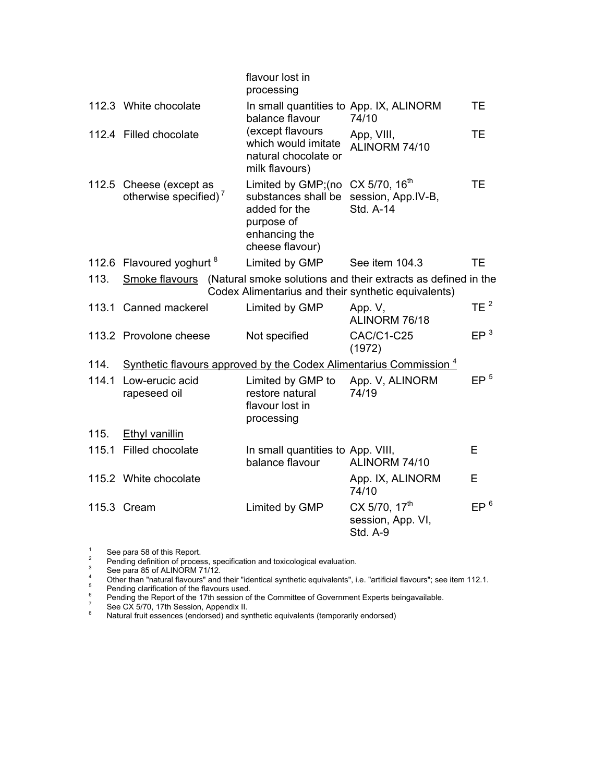|       |                                                                               | flavour lost in<br>processing                                                                                                          |                                                                                                                      |                 |
|-------|-------------------------------------------------------------------------------|----------------------------------------------------------------------------------------------------------------------------------------|----------------------------------------------------------------------------------------------------------------------|-----------------|
|       | 112.3 White chocolate                                                         | In small quantities to App. IX, ALINORM<br>balance flavour                                                                             | 74/10                                                                                                                | TE              |
|       | 112.4 Filled chocolate                                                        | (except flavours<br>which would imitate<br>natural chocolate or<br>milk flavours)                                                      | App, VIII,<br>ALINORM 74/10                                                                                          | <b>TE</b>       |
|       | 112.5 Cheese (except as<br>otherwise specified) <sup>7</sup>                  | Limited by GMP;(no CX 5/70, 16 <sup>th</sup><br>substances shall be<br>added for the<br>purpose of<br>enhancing the<br>cheese flavour) | session, App.IV-B,<br><b>Std. A-14</b>                                                                               | <b>TE</b>       |
|       | 112.6 Flavoured yoghurt <sup>8</sup>                                          | Limited by GMP                                                                                                                         | See item 104.3                                                                                                       | <b>TE</b>       |
| 113.  | Smoke flavours                                                                |                                                                                                                                        | (Natural smoke solutions and their extracts as defined in the<br>Codex Alimentarius and their synthetic equivalents) |                 |
|       | 113.1 Canned mackerel                                                         | Limited by GMP                                                                                                                         | App. V,<br>ALINORM 76/18                                                                                             | $TE^2$          |
|       | 113.2 Provolone cheese                                                        | Not specified                                                                                                                          | <b>CAC/C1-C25</b><br>(1972)                                                                                          | EP <sup>3</sup> |
| 114.  | Synthetic flavours approved by the Codex Alimentarius Commission <sup>4</sup> |                                                                                                                                        |                                                                                                                      |                 |
| 114.1 | Low-erucic acid<br>rapeseed oil                                               | Limited by GMP to<br>restore natural<br>flavour lost in<br>processing                                                                  | App. V, ALINORM<br>74/19                                                                                             | EP <sup>5</sup> |
| 115.  | <b>Ethyl vanillin</b>                                                         |                                                                                                                                        |                                                                                                                      |                 |
|       | 115.1 Filled chocolate                                                        | In small quantities to App. VIII,<br>balance flavour                                                                                   | ALINORM 74/10                                                                                                        | Е               |
|       | 115.2 White chocolate                                                         |                                                                                                                                        | App. IX, ALINORM<br>74/10                                                                                            | E               |
|       | 115.3 Cream                                                                   | Limited by GMP                                                                                                                         | CX 5/70, 17 <sup>th</sup><br>session, App. VI,<br>Std. A-9                                                           | EP <sup>6</sup> |

<sup>1</sup><br>
See para 58 of this Report.<br>
<sup>2</sup><br>
Pending definition of process, specification and toxicological evaluation.<br>
<sup>3</sup><br>
See para 85 of ALINORM 71/12.<br>
Other than "natural flavours" and their "identical synthetic equivalen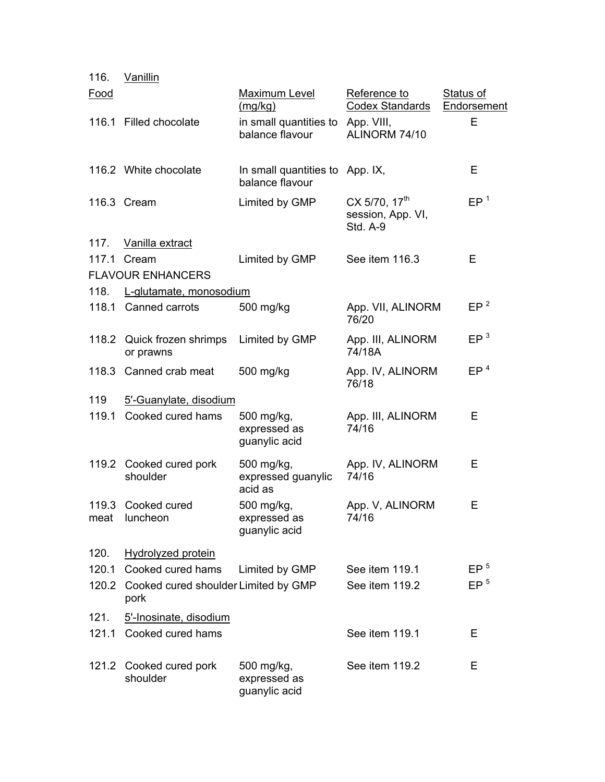| 116.  | Vanillin                                           |                                                    |                                                            |                  |
|-------|----------------------------------------------------|----------------------------------------------------|------------------------------------------------------------|------------------|
| Food  |                                                    | Maximum Level                                      | Reference to                                               | Status of        |
|       | 116.1 Filled chocolate                             | (mg/kg)<br>in small quantities to App. VIII,       | <b>Codex Standards</b>                                     | Endorsement<br>E |
|       |                                                    | balance flavour                                    | ALINORM 74/10                                              |                  |
|       |                                                    |                                                    |                                                            |                  |
|       | 116.2 White chocolate                              | In small quantities to App. IX,<br>balance flavour |                                                            | Е                |
|       | 116.3 Cream                                        | Limited by GMP                                     | CX 5/70, 17 <sup>th</sup><br>session, App. VI,<br>Std. A-9 | EP <sup>1</sup>  |
| 117.  | Vanilla extract                                    |                                                    |                                                            |                  |
|       | 117.1 Cream                                        | Limited by GMP                                     | See item 116.3                                             | Е                |
|       | <b>FLAVOUR ENHANCERS</b>                           |                                                    |                                                            |                  |
| 118.  | L-glutamate, monosodium                            |                                                    |                                                            |                  |
|       | 118.1 Canned carrots                               | 500 mg/kg                                          | App. VII, ALINORM<br>76/20                                 | EP <sup>2</sup>  |
|       | 118.2 Quick frozen shrimps<br>or prawns            | Limited by GMP                                     | App. III, ALINORM<br>74/18A                                | EP <sup>3</sup>  |
|       | 118.3 Canned crab meat                             | 500 mg/kg                                          | App. IV, ALINORM<br>76/18                                  | EP <sup>4</sup>  |
| 119   | 5'-Guanylate, disodium                             |                                                    |                                                            |                  |
| 119.1 | Cooked cured hams                                  | 500 mg/kg,<br>expressed as<br>guanylic acid        | App. III, ALINORM<br>74/16                                 | Е                |
|       | 119.2 Cooked cured pork<br>shoulder                | 500 mg/kg,<br>expressed guanylic<br>acid as        | App. IV, ALINORM<br>74/16                                  | Е                |
| meat  | 119.3 Cooked cured<br>luncheon                     | 500 mg/kg,<br>expressed as<br>guanylic acid        | App. V, ALINORM<br>74/16                                   | Ε                |
| 120.  | <b>Hydrolyzed protein</b>                          |                                                    |                                                            |                  |
| 120.1 | Cooked cured hams                                  | Limited by GMP                                     | See item 119.1                                             | EP <sup>5</sup>  |
|       | 120.2 Cooked cured shoulder Limited by GMP<br>pork |                                                    | See item 119.2                                             | EP <sup>5</sup>  |
| 121.  | 5'-Inosinate, disodium                             |                                                    |                                                            |                  |
|       | 121.1 Cooked cured hams                            |                                                    | See item 119.1                                             | Е                |
|       | 121.2 Cooked cured pork<br>shoulder                | 500 mg/kg,<br>expressed as<br>guanylic acid        | See item 119.2                                             | Е                |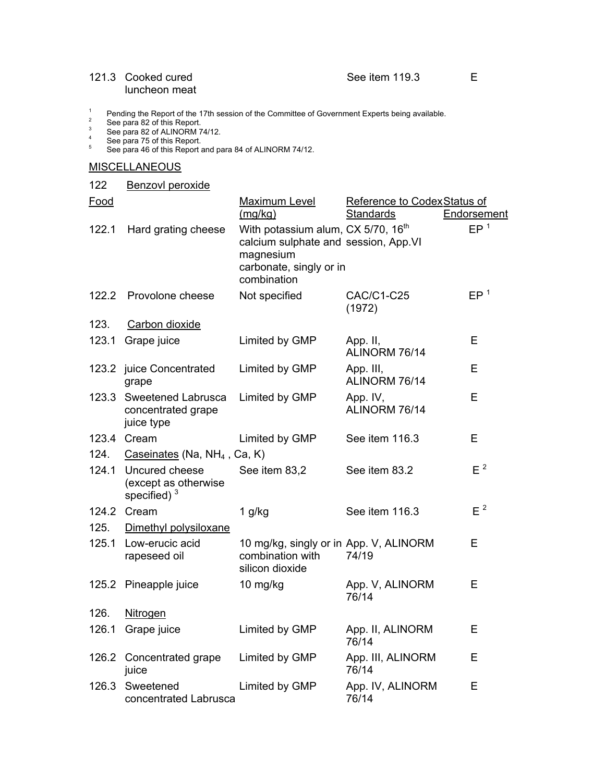<sup>1</sup> Pending the Report of the 17th session of the Committee of Government Experts being available.<br>
<sup>2</sup> See para 82 of ALINORM 74/12.<br>
<sup>3</sup> See para 82 of ALINORM 74/12.<br>
<sup>4</sup> See para 75 of this Report.<br>
See para 46 of thi

#### **MISCELLANEOUS**

| 122         | Benzovl peroxide                                             |                                                                                                                                               |                                           |                 |
|-------------|--------------------------------------------------------------|-----------------------------------------------------------------------------------------------------------------------------------------------|-------------------------------------------|-----------------|
| <u>Food</u> |                                                              | <b>Maximum Level</b><br>(mg/kg)                                                                                                               | Reference to Codex Status of<br>Standards | Endorsement     |
| 122.1       | Hard grating cheese                                          | With potassium alum, CX 5/70, 16 <sup>th</sup><br>calcium sulphate and session, App.VI<br>magnesium<br>carbonate, singly or in<br>combination |                                           | EP <sup>1</sup> |
|             | 122.2 Provolone cheese                                       | Not specified                                                                                                                                 | <b>CAC/C1-C25</b><br>(1972)               | EP <sup>1</sup> |
| 123.        | Carbon dioxide                                               |                                                                                                                                               |                                           |                 |
| 123.1       | Grape juice                                                  | Limited by GMP                                                                                                                                | App. II,<br>ALINORM 76/14                 | Е               |
|             | 123.2 juice Concentrated<br>grape                            | Limited by GMP                                                                                                                                | App. III,<br>ALINORM 76/14                | Е               |
|             | 123.3 Sweetened Labrusca<br>concentrated grape<br>juice type | Limited by GMP                                                                                                                                | App. IV,<br>ALINORM 76/14                 | E               |
|             | 123.4 Cream                                                  | Limited by GMP                                                                                                                                | See item 116.3                            | E               |
| 124.        | Caseinates (Na, $NH_4$ , Ca, K)                              |                                                                                                                                               |                                           |                 |
| 124.1       | Uncured cheese<br>(except as otherwise<br>specified) $3$     | See item 83,2                                                                                                                                 | See item 83.2                             | $E^2$           |
| 124.2       | Cream                                                        | $1$ g/kg                                                                                                                                      | See item 116.3                            | $E^2$           |
| 125.        | Dimethyl polysiloxane                                        |                                                                                                                                               |                                           |                 |
| 125.1       | Low-erucic acid<br>rapeseed oil                              | 10 mg/kg, singly or in App. V, ALINORM<br>combination with<br>silicon dioxide                                                                 | 74/19                                     | Е               |
|             | 125.2 Pineapple juice                                        | 10 mg/kg                                                                                                                                      | App. V, ALINORM<br>76/14                  | Е               |
| 126.        | <b>Nitrogen</b>                                              |                                                                                                                                               |                                           |                 |
| 126.1       | Grape juice                                                  | Limited by GMP                                                                                                                                | App. II, ALINORM<br>76/14                 | Е               |
|             | 126.2 Concentrated grape<br>juice                            | Limited by GMP                                                                                                                                | App. III, ALINORM<br>76/14                | Е               |
| 126.3       | Sweetened<br>concentrated Labrusca                           | Limited by GMP                                                                                                                                | App. IV, ALINORM<br>76/14                 | Ε               |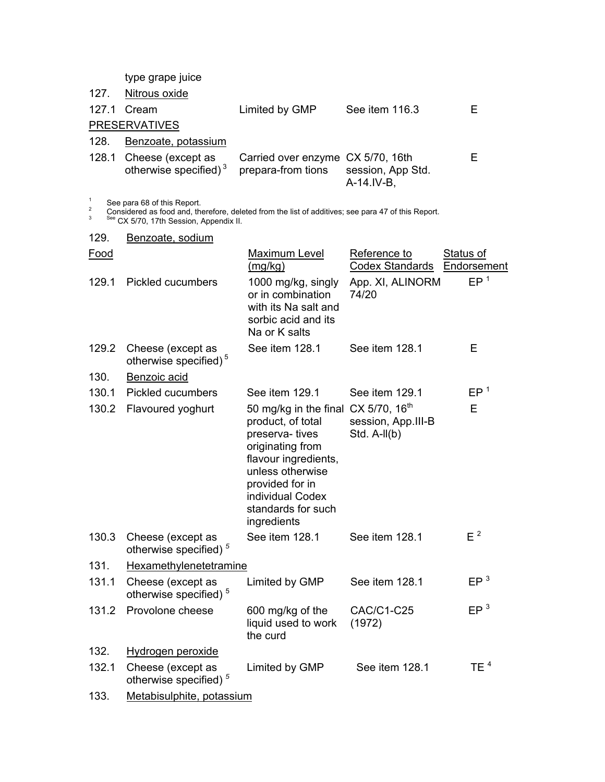|                                     | type grape juice                                                                                                                                                         |                                                                                                                                                                                                                                    |                                      |                                 |
|-------------------------------------|--------------------------------------------------------------------------------------------------------------------------------------------------------------------------|------------------------------------------------------------------------------------------------------------------------------------------------------------------------------------------------------------------------------------|--------------------------------------|---------------------------------|
| 127.                                | Nitrous oxide                                                                                                                                                            |                                                                                                                                                                                                                                    |                                      |                                 |
| 127.1                               | Cream                                                                                                                                                                    | Limited by GMP                                                                                                                                                                                                                     | See item 116.3                       | Е                               |
|                                     | <b>PRESERVATIVES</b>                                                                                                                                                     |                                                                                                                                                                                                                                    |                                      |                                 |
| 128.                                | Benzoate, potassium                                                                                                                                                      |                                                                                                                                                                                                                                    |                                      |                                 |
| 128.1                               | Cheese (except as<br>otherwise specified) <sup>3</sup>                                                                                                                   | Carried over enzyme CX 5/70, 16th<br>prepara-from tions                                                                                                                                                                            | session, App Std.<br>$A-14$ . IV-B,  | Е                               |
| $\mathbf{1}$<br>$\overline{2}$<br>3 | See para 68 of this Report.<br>Considered as food and, therefore, deleted from the list of additives; see para 47 of this Report.<br>CX 5/70, 17th Session, Appendix II. |                                                                                                                                                                                                                                    |                                      |                                 |
| 129.                                | Benzoate, sodium                                                                                                                                                         |                                                                                                                                                                                                                                    |                                      |                                 |
| <u>Food</u>                         |                                                                                                                                                                          | <b>Maximum Level</b><br>(mg/kg)                                                                                                                                                                                                    | Reference to<br>Codex Standards      | <b>Status of</b><br>Endorsement |
| 129.1                               | <b>Pickled cucumbers</b>                                                                                                                                                 | 1000 mg/kg, singly<br>or in combination<br>with its Na salt and<br>sorbic acid and its<br>Na or K salts                                                                                                                            | App. XI, ALINORM<br>74/20            | EP <sup>1</sup>                 |
| 129.2                               | Cheese (except as<br>otherwise specified) <sup>5</sup>                                                                                                                   | See item 128.1                                                                                                                                                                                                                     | See item 128.1                       | E                               |
| 130.                                | Benzoic acid                                                                                                                                                             |                                                                                                                                                                                                                                    |                                      |                                 |
| 130.1                               | <b>Pickled cucumbers</b>                                                                                                                                                 | See item 129.1                                                                                                                                                                                                                     | See item 129.1                       | EP <sup>1</sup>                 |
| 130.2                               | Flavoured yoghurt                                                                                                                                                        | 50 mg/kg in the final CX 5/70, 16 <sup>th</sup><br>product, of total<br>preserva-tives<br>originating from<br>flavour ingredients,<br>unless otherwise<br>provided for in<br>individual Codex<br>standards for such<br>ingredients | session, App.III-B<br>$Std. A-II(b)$ | E                               |
| 130.3                               | Cheese (except as<br>otherwise specified) <sup>5</sup>                                                                                                                   | See item 128.1                                                                                                                                                                                                                     | See item 128.1                       | $E^2$                           |
| 131.                                | Hexamethylenetetramine                                                                                                                                                   |                                                                                                                                                                                                                                    |                                      |                                 |
| 131.1                               | Cheese (except as<br>otherwise specified) <sup>5</sup>                                                                                                                   | Limited by GMP                                                                                                                                                                                                                     | See item 128.1                       | EP <sup>3</sup>                 |
| 131.2                               | Provolone cheese                                                                                                                                                         | 600 mg/kg of the<br>liquid used to work<br>the curd                                                                                                                                                                                | CAC/C1-C25<br>(1972)                 | EP <sup>3</sup>                 |
| 132.                                | <b>Hydrogen peroxide</b>                                                                                                                                                 |                                                                                                                                                                                                                                    |                                      |                                 |
| 132.1                               | Cheese (except as<br>otherwise specified) <sup>5</sup>                                                                                                                   | Limited by GMP                                                                                                                                                                                                                     | See item 128.1                       | TE $4$                          |
| 133.                                | Metabisulphite, potassium                                                                                                                                                |                                                                                                                                                                                                                                    |                                      |                                 |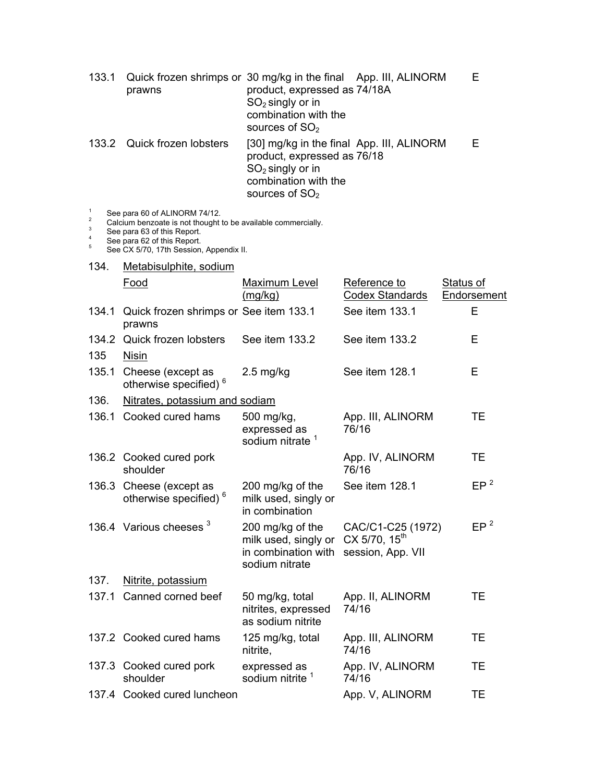| 133.1                                                                                | Quick frozen shrimps or 30 mg/kg in the final App. III, ALINORM<br>prawns                                                                                                                               | product, expressed as 74/18A<br>$SO2$ singly or in<br>combination with the<br>sources of SO <sub>2</sub> |                                                              | E                                      |
|--------------------------------------------------------------------------------------|---------------------------------------------------------------------------------------------------------------------------------------------------------------------------------------------------------|----------------------------------------------------------------------------------------------------------|--------------------------------------------------------------|----------------------------------------|
|                                                                                      | 133.2 Quick frozen lobsters                                                                                                                                                                             | product, expressed as 76/18<br>$SO2$ singly or in<br>combination with the<br>sources of $SO2$            | [30] mg/kg in the final App. III, ALINORM                    | Е                                      |
| $\overline{1}$<br>$\overline{2}$<br>$\ensuremath{\mathsf{3}}$<br>$\overline{4}$<br>5 | See para 60 of ALINORM 74/12.<br>Calcium benzoate is not thought to be available commercially.<br>See para 63 of this Report.<br>See para 62 of this Report.<br>See CX 5/70, 17th Session, Appendix II. |                                                                                                          |                                                              |                                        |
| 134.                                                                                 | Metabisulphite, sodium                                                                                                                                                                                  |                                                                                                          |                                                              |                                        |
|                                                                                      | <u>Food</u>                                                                                                                                                                                             | Maximum Level<br>(mg/kg)                                                                                 | Reference to<br><b>Codex Standards</b>                       | <b>Status of</b><br><b>Endorsement</b> |
| 134.1                                                                                | Quick frozen shrimps or See item 133.1<br>prawns                                                                                                                                                        |                                                                                                          | See item 133.1                                               | Е                                      |
|                                                                                      | 134.2 Quick frozen lobsters                                                                                                                                                                             | See item 133.2                                                                                           | See item 133.2                                               | Е                                      |
| 135                                                                                  | <b>Nisin</b>                                                                                                                                                                                            |                                                                                                          |                                                              |                                        |
| 135.1                                                                                | Cheese (except as<br>otherwise specified) <sup>6</sup>                                                                                                                                                  | $2.5$ mg/kg                                                                                              | See item 128.1                                               | Е                                      |
| 136.                                                                                 | Nitrates, potassium and sodiam                                                                                                                                                                          |                                                                                                          |                                                              |                                        |
| 136.1                                                                                | Cooked cured hams                                                                                                                                                                                       | 500 mg/kg,<br>expressed as<br>sodium nitrate <sup>1</sup>                                                | App. III, ALINORM<br>76/16                                   | TE                                     |
|                                                                                      | 136.2 Cooked cured pork<br>shoulder                                                                                                                                                                     |                                                                                                          | App. IV, ALINORM<br>76/16                                    | TЕ                                     |
|                                                                                      | 136.3 Cheese (except as<br>otherwise specified) <sup>6</sup>                                                                                                                                            | 200 mg/kg of the<br>milk used, singly or<br>in combination                                               | See item 128.1                                               | EP <sup>2</sup>                        |
|                                                                                      | 136.4 Various cheeses 3                                                                                                                                                                                 | 200 mg/kg of the<br>milk used, singly or<br>in combination with<br>sodium nitrate                        | CAC/C1-C25 (1972)<br>$CX 5/70, 15^{th}$<br>session, App. VII | EP <sup>2</sup>                        |
| 137.                                                                                 | Nitrite, potassium                                                                                                                                                                                      |                                                                                                          |                                                              |                                        |
| 137.1                                                                                | Canned corned beef                                                                                                                                                                                      | 50 mg/kg, total<br>nitrites, expressed<br>as sodium nitrite                                              | App. II, ALINORM<br>74/16                                    | TE                                     |
|                                                                                      | 137.2 Cooked cured hams                                                                                                                                                                                 | 125 mg/kg, total<br>nitrite,                                                                             | App. III, ALINORM<br>74/16                                   | TЕ                                     |
|                                                                                      | 137.3 Cooked cured pork<br>shoulder                                                                                                                                                                     | expressed as<br>sodium nitrite <sup>1</sup>                                                              | App. IV, ALINORM<br>74/16                                    | TЕ                                     |
|                                                                                      | 137.4 Cooked cured luncheon                                                                                                                                                                             |                                                                                                          | App. V, ALINORM                                              | TЕ                                     |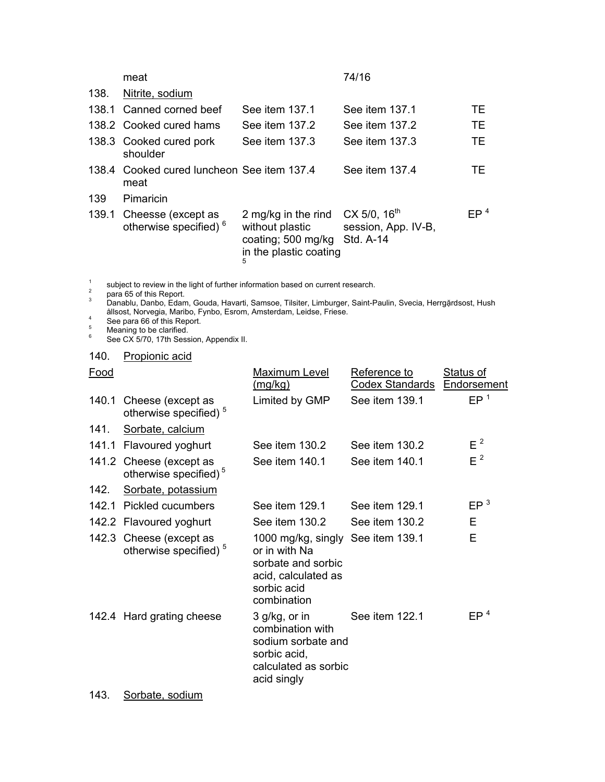|      | meat                                                          |                                                                                                                        | 74/16                            |                 |
|------|---------------------------------------------------------------|------------------------------------------------------------------------------------------------------------------------|----------------------------------|-----------------|
| 138. | Nitrite, sodium                                               |                                                                                                                        |                                  |                 |
|      | 138.1 Canned corned beef                                      | See item 137.1                                                                                                         | See item 137.1                   | TE              |
|      | 138.2 Cooked cured hams                                       | See item 137.2                                                                                                         | See item 137.2                   | TЕ              |
|      | 138.3 Cooked cured pork<br>shoulder                           | See item 137.3                                                                                                         | See item 137.3                   | <b>TE</b>       |
|      | 138.4 Cooked cured luncheon See item 137.4<br>meat            |                                                                                                                        | See item 137.4                   | TE.             |
| 139  | Pimaricin                                                     |                                                                                                                        |                                  |                 |
|      | 139.1 Cheesse (except as<br>otherwise specified) <sup>6</sup> | 2 mg/kg in the rind $CX$ 5/0, 16 <sup>th</sup><br>without plastic<br>coating; 500 mg/kg<br>in the plastic coating<br>5 | session, App. IV-B,<br>Std. A-14 | EP <sup>4</sup> |

<sup>1</sup> subject to review in the light of further information based on current research.<br><sup>2</sup> para 65 of this Report.

3 Danablu, Danbo, Edam, Gouda, Havarti, Samsoe, Tilsiter, Limburger, Saint-Paulin, Svecia, Herrgặrdsost, Hush ållsost, Norvegia, Maribo, Fynbo, Esrom, Amsterdam, Leidse, Friese. 4 See para 66 of this Report.

- 
- 5 Meaning to be clarified.
- 6 See CX 5/70, 17th Session, Appendix II.

140. Propionic acid

| Food  |                                                              | <b>Maximum Level</b><br>(mg/kg)                                                                                               | Reference to<br>Codex Standards | Status of<br><b>Endorsement</b> |
|-------|--------------------------------------------------------------|-------------------------------------------------------------------------------------------------------------------------------|---------------------------------|---------------------------------|
| 140.1 | Cheese (except as<br>otherwise specified) <sup>5</sup>       | Limited by GMP                                                                                                                | See item 139.1                  | EP <sup>1</sup>                 |
| 141.  | Sorbate, calcium                                             |                                                                                                                               |                                 |                                 |
|       | 141.1 Flavoured yoghurt                                      | See item 130.2                                                                                                                | See item 130.2                  | $E^2$                           |
|       | 141.2 Cheese (except as<br>otherwise specified) <sup>5</sup> | See item 140.1                                                                                                                | See item 140.1                  | $E^2$                           |
| 142.  | Sorbate, potassium                                           |                                                                                                                               |                                 |                                 |
|       | 142.1 Pickled cucumbers                                      | See item 129.1                                                                                                                | See item 129.1                  | EP <sup>3</sup>                 |
|       | 142.2 Flavoured yoghurt                                      | See item 130.2                                                                                                                | See item 130.2                  | E                               |
|       | 142.3 Cheese (except as<br>otherwise specified) <sup>5</sup> | 1000 mg/kg, singly See item 139.1<br>or in with Na<br>sorbate and sorbic<br>acid, calculated as<br>sorbic acid<br>combination |                                 | Е                               |
|       | 142.4 Hard grating cheese                                    | 3 g/kg, or in<br>combination with<br>sodium sorbate and<br>sorbic acid,<br>calculated as sorbic<br>acid singly                | See item 122.1                  | EP <sup>4</sup>                 |
| 1 1 O | Carbota andium                                               |                                                                                                                               |                                 |                                 |

143. Sorbate, sodium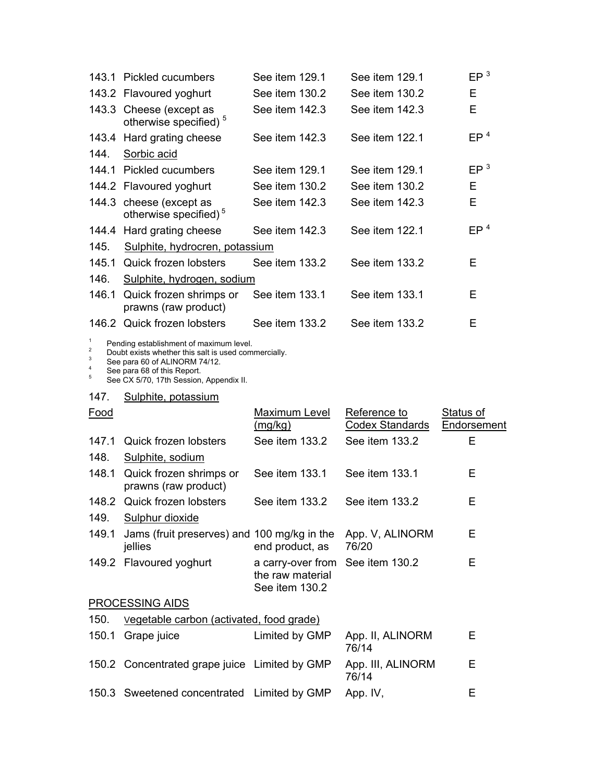|                                    | 143.1 Pickled cucumbers                                                                                                                                         | See item 129.1                                          | See item 129.1                         | EP <sup>3</sup>          |
|------------------------------------|-----------------------------------------------------------------------------------------------------------------------------------------------------------------|---------------------------------------------------------|----------------------------------------|--------------------------|
|                                    | 143.2 Flavoured yoghurt                                                                                                                                         | See item 130.2                                          | See item 130.2                         | Е                        |
|                                    | 143.3 Cheese (except as<br>otherwise specified) <sup>5</sup>                                                                                                    | See item 142.3                                          | See item 142.3                         | E                        |
|                                    | 143.4 Hard grating cheese                                                                                                                                       | See item 142.3                                          | See item 122.1                         | EP <sup>4</sup>          |
| 144.                               | Sorbic acid                                                                                                                                                     |                                                         |                                        |                          |
|                                    | 144.1 Pickled cucumbers                                                                                                                                         | See item 129.1                                          | See item 129.1                         | EP <sup>3</sup>          |
|                                    | 144.2 Flavoured yoghurt                                                                                                                                         | See item 130.2                                          | See item 130.2                         | Е                        |
| 144.3                              | cheese (except as<br>otherwise specified) <sup>5</sup>                                                                                                          | See item 142.3                                          | See item 142.3                         | E                        |
| 144.4                              | Hard grating cheese                                                                                                                                             | See item 142.3                                          | See item 122.1                         | EP <sup>4</sup>          |
| 145.                               | Sulphite, hydrocren, potassium                                                                                                                                  |                                                         |                                        |                          |
| 145.1                              | Quick frozen lobsters                                                                                                                                           | See item 133.2                                          | See item 133.2                         | Е                        |
| 146.                               | Sulphite, hydrogen, sodium                                                                                                                                      |                                                         |                                        |                          |
| 146.1                              | Quick frozen shrimps or<br>prawns (raw product)                                                                                                                 | See item 133.1                                          | See item 133.1                         | Е                        |
|                                    | 146.2 Quick frozen lobsters                                                                                                                                     | See item 133.2                                          | See item 133.2                         | Е                        |
| 1<br>$\overline{c}$<br>3<br>4<br>5 | Pending establishment of maximum level.<br>Doubt exists whether this salt is used commercially.<br>See para 60 of ALINORM 74/12.<br>See para 68 of this Report. |                                                         |                                        |                          |
|                                    | See CX 5/70, 17th Session, Appendix II.                                                                                                                         |                                                         |                                        |                          |
| 147.                               | <b>Sulphite, potassium</b>                                                                                                                                      |                                                         |                                        |                          |
| Food                               |                                                                                                                                                                 | <b>Maximum Level</b><br>(mg/kg)                         | Reference to<br><b>Codex Standards</b> | Status of<br>Endorsement |
| 147.1                              | Quick frozen lobsters                                                                                                                                           | See item 133.2                                          | See item 133.2                         | Е                        |
| 148.                               | Sulphite, sodium                                                                                                                                                |                                                         |                                        |                          |
| 148.1                              | Quick frozen shrimps or<br>prawns (raw product)                                                                                                                 | See item 133.1                                          | See item 133.1                         | Е                        |
|                                    | 148.2 Quick frozen lobsters                                                                                                                                     | See item 133.2                                          | See item 133.2                         | Е                        |
| 149.                               | Sulphur dioxide                                                                                                                                                 |                                                         |                                        |                          |
| 149.1                              | Jams (fruit preserves) and 100 mg/kg in the<br>jellies                                                                                                          | end product, as                                         | App. V, ALINORM<br>76/20               | Е                        |
|                                    | 149.2 Flavoured yoghurt                                                                                                                                         | a carry-over from<br>the raw material<br>See item 130.2 | See item 130.2                         | Е                        |
|                                    | <b>PROCESSING AIDS</b>                                                                                                                                          |                                                         |                                        |                          |
| 150.                               | vegetable carbon (activated, food grade)                                                                                                                        |                                                         |                                        |                          |
|                                    | 150.1 Grape juice                                                                                                                                               | Limited by GMP                                          | App. II, ALINORM<br>76/14              | Ε                        |
|                                    | 150.2 Concentrated grape juice Limited by GMP                                                                                                                   |                                                         | App. III, ALINORM<br>76/14             | Е                        |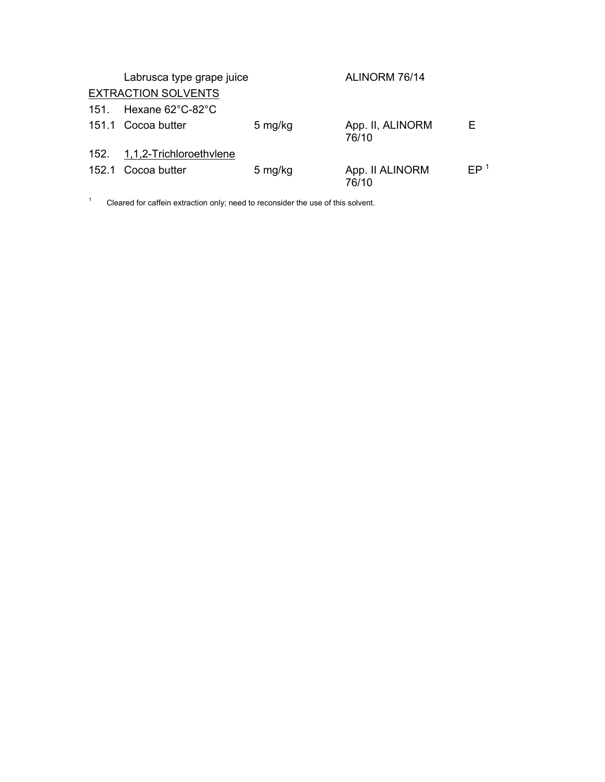|      | Labrusca type grape juice  |         | ALINORM 76/14             |                 |
|------|----------------------------|---------|---------------------------|-----------------|
|      | <b>EXTRACTION SOLVENTS</b> |         |                           |                 |
| 151. | Hexane 62°C-82°C           |         |                           |                 |
|      | 151.1 Cocoa butter         | 5 mg/kg | App. II, ALINORM<br>76/10 | E.              |
| 152. | 1,1,2-Trichloroethvlene    |         |                           |                 |
|      | 152.1 Cocoa butter         | 5 mg/kg | App. II ALINORM<br>76/10  | FP <sup>1</sup> |

<sup>1</sup> Cleared for caffein extraction only; need to reconsider the use of this solvent.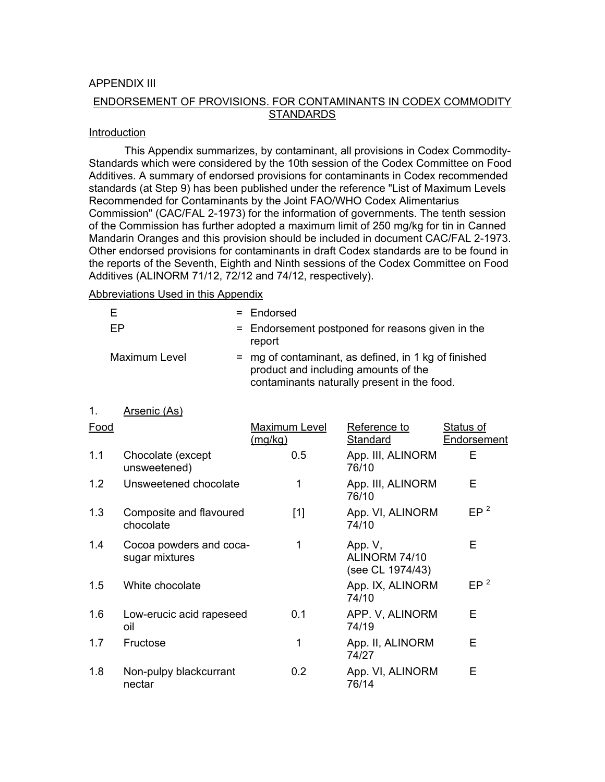#### APPENDIX III

# ENDORSEMENT OF PROVISIONS. FOR CONTAMINANTS IN CODEX COMMODITY **STANDARDS**

#### Introduction

This Appendix summarizes, by contaminant, all provisions in Codex Commodity-Standards which were considered by the 10th session of the Codex Committee on Food Additives. A summary of endorsed provisions for contaminants in Codex recommended standards (at Step 9) has been published under the reference "List of Maximum Levels Recommended for Contaminants by the Joint FAO/WHO Codex Alimentarius Commission" (CAC/FAL 2-1973) for the information of governments. The tenth session of the Commission has further adopted a maximum limit of 250 mg/kg for tin in Canned Mandarin Oranges and this provision should be included in document CAC/FAL 2-1973. Other endorsed provisions for contaminants in draft Codex standards are to be found in the reports of the Seventh, Eighth and Ninth sessions of the Codex Committee on Food Additives (ALINORM 71/12, 72/12 and 74/12, respectively).

#### Abbreviations Used in this Appendix

|               | = Endorsed                                                                                                                                    |  |
|---------------|-----------------------------------------------------------------------------------------------------------------------------------------------|--|
| FP            | = Endorsement postponed for reasons given in the<br>report                                                                                    |  |
| Maximum Level | $=$ mg of contaminant, as defined, in 1 kg of finished<br>product and including amounts of the<br>contaminants naturally present in the food. |  |

1. Arsenic (As)

| Food |                                           | Maximum Level<br>(mq/kg) | Reference to<br><b>Standard</b>              | Status of<br>Endorsement |
|------|-------------------------------------------|--------------------------|----------------------------------------------|--------------------------|
| 1.1  | Chocolate (except<br>unsweetened)         | 0.5                      | App. III, ALINORM<br>76/10                   | Е                        |
| 1.2  | Unsweetened chocolate                     | 1                        | App. III, ALINORM<br>76/10                   | Е                        |
| 1.3  | Composite and flavoured<br>chocolate      | $[1]$                    | App. VI, ALINORM<br>74/10                    | EP <sup>2</sup>          |
| 1.4  | Cocoa powders and coca-<br>sugar mixtures | 1                        | App. V,<br>ALINORM 74/10<br>(see CL 1974/43) | Е                        |
| 1.5  | White chocolate                           |                          | App. IX, ALINORM<br>74/10                    | EP <sup>2</sup>          |
| 1.6  | Low-erucic acid rapeseed<br>oil           | 0.1                      | APP. V, ALINORM<br>74/19                     | Е                        |
| 1.7  | Fructose                                  | 1                        | App. II, ALINORM<br>74/27                    | Е                        |
| 1.8  | Non-pulpy blackcurrant<br>nectar          | 0.2                      | App. VI, ALINORM<br>76/14                    | Е                        |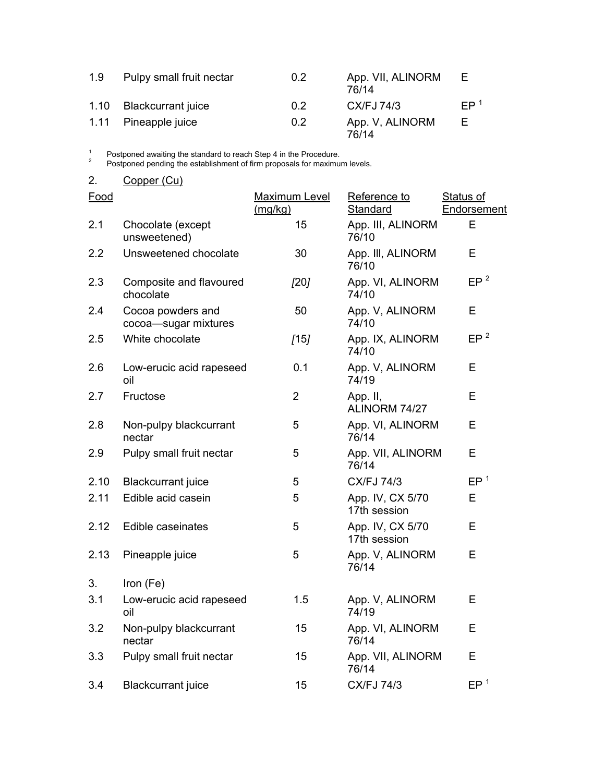| 1.9  | Pulpy small fruit nectar  | 0.2 | App. VII, ALINORM<br>76/14 | <b>F</b>        |
|------|---------------------------|-----|----------------------------|-----------------|
| 1.10 | <b>Blackcurrant juice</b> | 0.2 | CX/FJ 74/3                 | FP <sup>1</sup> |
| 1.11 | Pineapple juice           | 0.2 | App. V, ALINORM<br>76/14   | E               |

 $\begin{array}{c} 1 \\ 2 \end{array}$ 

3.3 Pulpy small fruit nectar 15

Postponed awaiting the standard to reach Step 4 in the Procedure.<br><sup>2</sup> Postponed pending the establishment of firm proposals for maximum levels.

| 2.   | Copper (Cu)                               |                                 |                                  |                          |
|------|-------------------------------------------|---------------------------------|----------------------------------|--------------------------|
| Food |                                           | <b>Maximum Level</b><br>(mq/kg) | Reference to<br>Standard         | Status of<br>Endorsement |
| 2.1  | Chocolate (except<br>unsweetened)         | 15                              | App. III, ALINORM<br>76/10       | E                        |
| 2.2  | Unsweetened chocolate                     | 30                              | App. III, ALINORM<br>76/10       | Е                        |
| 2.3  | Composite and flavoured<br>chocolate      | [20]                            | App. VI, ALINORM<br>74/10        | EP <sup>2</sup>          |
| 2.4  | Cocoa powders and<br>cocoa-sugar mixtures | 50                              | App. V, ALINORM<br>74/10         | E                        |
| 2.5  | White chocolate                           | [15]                            | App. IX, ALINORM<br>74/10        | EP <sup>2</sup>          |
| 2.6  | Low-erucic acid rapeseed<br>oil           | 0.1                             | App. V, ALINORM<br>74/19         | E                        |
| 2.7  | Fructose                                  | $\overline{2}$                  | App. II,<br>ALINORM 74/27        | E                        |
| 2.8  | Non-pulpy blackcurrant<br>nectar          | 5                               | App. VI, ALINORM<br>76/14        | E                        |
| 2.9  | Pulpy small fruit nectar                  | 5                               | App. VII, ALINORM<br>76/14       | E                        |
| 2.10 | <b>Blackcurrant</b> juice                 | 5                               | <b>CX/FJ74/3</b>                 | EP <sup>1</sup>          |
| 2.11 | Edible acid casein                        | 5                               | App. IV, CX 5/70<br>17th session | E                        |
| 2.12 | <b>Edible caseinates</b>                  | 5                               | App. IV, CX 5/70<br>17th session | Е                        |
| 2.13 | Pineapple juice                           | 5                               | App. V, ALINORM<br>76/14         | E                        |
| 3.   | Iron (Fe)                                 |                                 |                                  |                          |
| 3.1  | Low-erucic acid rapeseed<br>oil           | 1.5                             | App. V, ALINORM<br>74/19         | E                        |
| 3.2  | Non-pulpy blackcurrant<br>nectar          | 15                              | App. VI, ALINORM<br>76/14        | E                        |

3.4 Blackcurrant juice 15 CX/FJ 74/3 EP<sup>1</sup>

App. VII, ALINORM<br>76/14

E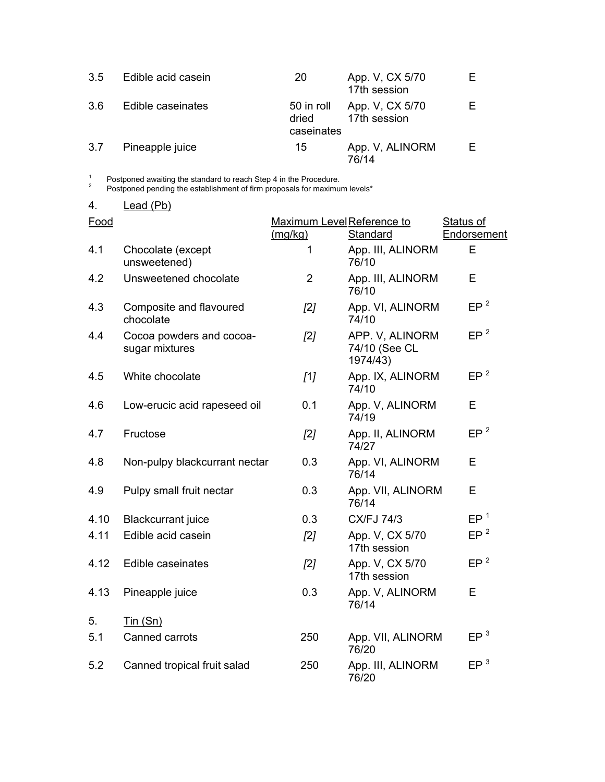| 3.5 | Edible acid casein | 20                                | App. V, CX 5/70<br>17th session | F. |
|-----|--------------------|-----------------------------------|---------------------------------|----|
| 3.6 | Edible caseinates  | 50 in roll<br>dried<br>caseinates | App. V, CX 5/70<br>17th session | F. |
| 3.7 | Pineapple juice    | 15                                | App. V, ALINORM<br>76/14        | E. |

<sup>1</sup> Postponed awaiting the standard to reach Step 4 in the Procedure.<br><sup>2</sup> Postponed pending the establishment of firm proposals for maximum levels<sup>\*</sup>

4. Lead (Pb)

| <u>Food</u> |                                            | <b>Maximum Level Reference to</b> |                                              | <b>Status of</b> |
|-------------|--------------------------------------------|-----------------------------------|----------------------------------------------|------------------|
|             |                                            | (mg/kg)                           | Standard                                     | Endorsement      |
| 4.1         | Chocolate (except<br>unsweetened)          | 1                                 | App. III, ALINORM<br>76/10                   | E                |
| 4.2         | Unsweetened chocolate                      | $\overline{2}$                    | App. III, ALINORM<br>76/10                   | E                |
| 4.3         | Composite and flavoured<br>chocolate       | [2]                               | App. VI, ALINORM<br>74/10                    | EP <sup>2</sup>  |
| 4.4         | Cocoa powders and cocoa-<br>sugar mixtures | [2]                               | APP. V, ALINORM<br>74/10 (See CL<br>1974/43) | EP <sup>2</sup>  |
| 4.5         | White chocolate                            | [1]                               | App. IX, ALINORM<br>74/10                    | EP <sup>2</sup>  |
| 4.6         | Low-erucic acid rapeseed oil               | 0.1                               | App. V, ALINORM<br>74/19                     | E                |
| 4.7         | Fructose                                   | $\sqrt{2}$                        | App. II, ALINORM<br>74/27                    | EP <sup>2</sup>  |
| 4.8         | Non-pulpy blackcurrant nectar              | 0.3                               | App. VI, ALINORM<br>76/14                    | E                |
| 4.9         | Pulpy small fruit nectar                   | 0.3                               | App. VII, ALINORM<br>76/14                   | E                |
| 4.10        | <b>Blackcurrant</b> juice                  | 0.3                               | <b>CX/FJ74/3</b>                             | EP <sup>1</sup>  |
| 4.11        | Edible acid casein                         | [2]                               | App. V, CX 5/70<br>17th session              | EP <sup>2</sup>  |
| 4.12        | Edible caseinates                          | [2]                               | App. V, CX 5/70<br>17th session              | EP <sup>2</sup>  |
| 4.13        | Pineapple juice                            | 0.3                               | App. V, ALINORM<br>76/14                     | E                |
| 5.          | $T$ in (Sn)                                |                                   |                                              |                  |
| 5.1         | Canned carrots                             | 250                               | App. VII, ALINORM<br>76/20                   | EP <sup>3</sup>  |
| 5.2         | Canned tropical fruit salad                | 250                               | App. III, ALINORM<br>76/20                   | EP <sup>3</sup>  |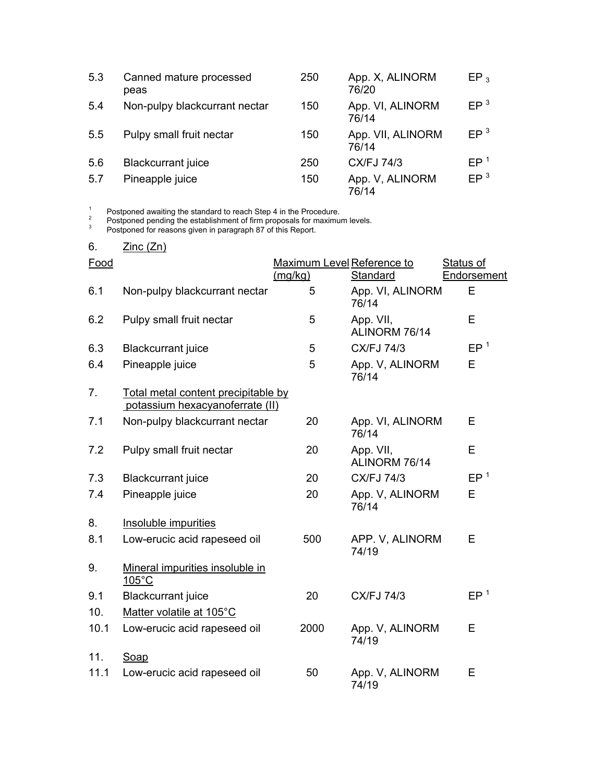| 5.3 | Canned mature processed<br>peas | 250 | App. X, ALINORM<br>76/20   | $EP_3$          |
|-----|---------------------------------|-----|----------------------------|-----------------|
| 5.4 | Non-pulpy blackcurrant nectar   | 150 | App. VI, ALINORM<br>76/14  | EP <sup>3</sup> |
| 5.5 | Pulpy small fruit nectar        | 150 | App. VII, ALINORM<br>76/14 | FP <sup>3</sup> |
| 5.6 | <b>Blackcurrant</b> juice       | 250 | <b>CX/FJ74/3</b>           | EP <sup>1</sup> |
| 5.7 | Pineapple juice                 | 150 | App. V, ALINORM<br>76/14   | FP <sup>3</sup> |

<sup>1</sup> Postponed awaiting the standard to reach Step 4 in the Procedure.<br><sup>2</sup> Postponed pending the establishment of firm proposals for maximum levels.<br><sup>3</sup> Postponed for reasons given in paragraph 87 of this Report.

| 6.   | Zinc (Zn)                                                              |                            |                            |                  |
|------|------------------------------------------------------------------------|----------------------------|----------------------------|------------------|
| Food |                                                                        | Maximum Level Reference to |                            | <b>Status of</b> |
|      |                                                                        | (mg/kg)                    | <b>Standard</b>            | Endorsement      |
| 6.1  | Non-pulpy blackcurrant nectar                                          | 5                          | App. VI, ALINORM<br>76/14  | E                |
| 6.2  | Pulpy small fruit nectar                                               | 5                          | App. VII,<br>ALINORM 76/14 | Е                |
| 6.3  | <b>Blackcurrant</b> juice                                              | 5                          | <b>CX/FJ74/3</b>           | EP <sup>1</sup>  |
| 6.4  | Pineapple juice                                                        | 5                          | App. V, ALINORM<br>76/14   | E                |
| 7.   | Total metal content precipitable by<br>potassium hexacyanoferrate (II) |                            |                            |                  |
| 7.1  | Non-pulpy blackcurrant nectar                                          | 20                         | App. VI, ALINORM<br>76/14  | E                |
| 7.2  | Pulpy small fruit nectar                                               | 20                         | App. VII,<br>ALINORM 76/14 | E                |
| 7.3  | <b>Blackcurrant</b> juice                                              | 20                         | <b>CX/FJ74/3</b>           | EP <sup>1</sup>  |
| 7.4  | Pineapple juice                                                        | 20                         | App. V, ALINORM<br>76/14   | E                |
| 8.   | Insoluble impurities                                                   |                            |                            |                  |
| 8.1  | Low-erucic acid rapeseed oil                                           | 500                        | APP. V, ALINORM<br>74/19   | E                |
| 9.   | Mineral impurities insoluble in<br>$105^{\circ}$ C                     |                            |                            |                  |
| 9.1  | <b>Blackcurrant</b> juice                                              | 20                         | <b>CX/FJ74/3</b>           | EP <sup>1</sup>  |
| 10.  | Matter volatile at 105°C                                               |                            |                            |                  |
| 10.1 | Low-erucic acid rapeseed oil                                           | 2000                       | App. V, ALINORM<br>74/19   | E                |
| 11.  | Soap                                                                   |                            |                            |                  |
| 11.1 | Low-erucic acid rapeseed oil                                           | 50                         | App. V, ALINORM<br>74/19   | E                |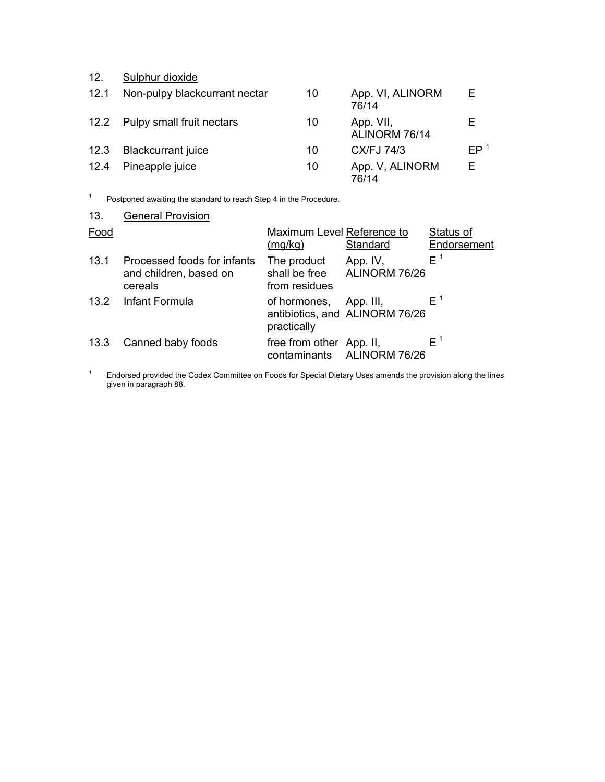| 12.<br>Sulphur dioxide |  |
|------------------------|--|
|------------------------|--|

| 12.1 | Non-pulpy blackcurrant nectar | 10 | App. VI, ALINORM<br>76/14  | E.              |
|------|-------------------------------|----|----------------------------|-----------------|
| 12.2 | Pulpy small fruit nectars     | 10 | App. VII,<br>ALINORM 76/14 | E.              |
| 12.3 | <b>Blackcurrant</b> juice     | 10 | CX/FJ 74/3                 | EP <sup>1</sup> |
| 12.4 | Pineapple juice               | 10 | App. V, ALINORM<br>76/14   | E.              |

<sup>1</sup> Postponed awaiting the standard to reach Step 4 in the Procedure.

| 13.  | <b>General Provision</b>                                         |                                              |                                             |                          |
|------|------------------------------------------------------------------|----------------------------------------------|---------------------------------------------|--------------------------|
| Food |                                                                  | Maximum Level Reference to<br><u>(mg/kg)</u> | Standard                                    | Status of<br>Endorsement |
| 13.1 | Processed foods for infants<br>and children, based on<br>cereals | The product<br>from residues                 | App. IV,<br>shall be free ALINORM 76/26     | E <sup>1</sup>           |
|      | 13.2 Infant Formula                                              | of hormones,<br>practically                  | App. III,<br>antibiotics, and ALINORM 76/26 | F <sup>1</sup>           |
| 13.3 | Canned baby foods                                                | free from other App. II,<br>contaminants     | ALINORM 76/26                               | $E^1$                    |

 $1 -$  Endorsed provided the Codex Committee on Foods for Special Dietary Uses amends the provision along the lines given in paragraph 88.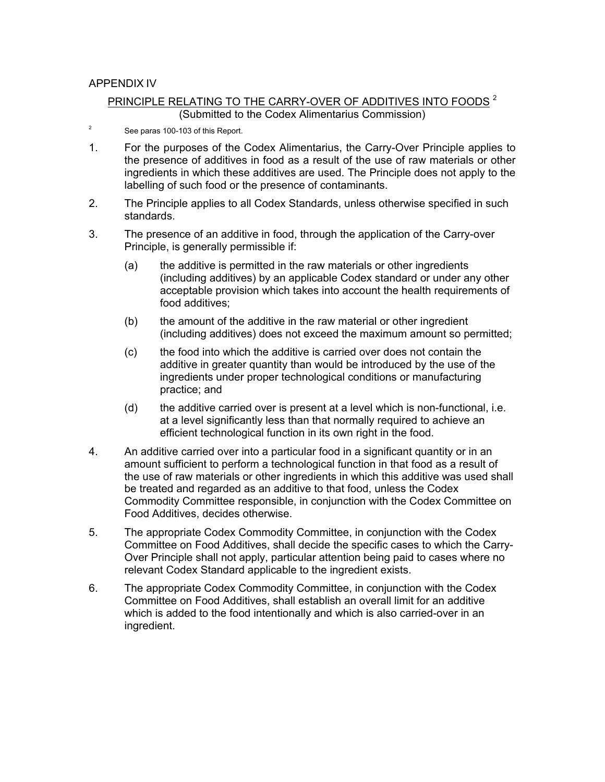# APPENDIX IV

# PRINCIPLE RELATING TO THE CARRY-OVER OF ADDITIVES INTO FOODS<sup>2</sup>

(Submitted to the Codex Alimentarius Commission)

- <sup>2</sup> See paras 100-103 of this Report.
- 1. For the purposes of the Codex Alimentarius, the Carry-Over Principle applies to the presence of additives in food as a result of the use of raw materials or other ingredients in which these additives are used. The Principle does not apply to the labelling of such food or the presence of contaminants.
- 2. The Principle applies to all Codex Standards, unless otherwise specified in such standards.
- 3. The presence of an additive in food, through the application of the Carry-over Principle, is generally permissible if:
	- (a) the additive is permitted in the raw materials or other ingredients (including additives) by an applicable Codex standard or under any other acceptable provision which takes into account the health requirements of food additives;
	- (b) the amount of the additive in the raw material or other ingredient (including additives) does not exceed the maximum amount so permitted;
	- (c) the food into which the additive is carried over does not contain the additive in greater quantity than would be introduced by the use of the ingredients under proper technological conditions or manufacturing practice; and
	- (d) the additive carried over is present at a level which is non-functional, i.e. at a level significantly less than that normally required to achieve an efficient technological function in its own right in the food.
- 4. An additive carried over into a particular food in a significant quantity or in an amount sufficient to perform a technological function in that food as a result of the use of raw materials or other ingredients in which this additive was used shall be treated and regarded as an additive to that food, unless the Codex Commodity Committee responsible, in conjunction with the Codex Committee on Food Additives, decides otherwise.
- 5. The appropriate Codex Commodity Committee, in conjunction with the Codex Committee on Food Additives, shall decide the specific cases to which the Carry-Over Principle shall not apply, particular attention being paid to cases where no relevant Codex Standard applicable to the ingredient exists.
- 6. The appropriate Codex Commodity Committee, in conjunction with the Codex Committee on Food Additives, shall establish an overall limit for an additive which is added to the food intentionally and which is also carried-over in an ingredient.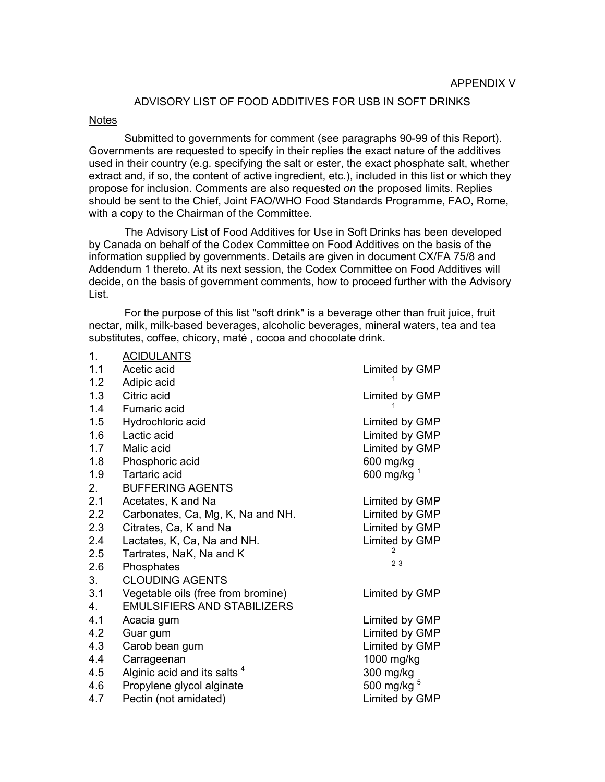# ADVISORY LIST OF FOOD ADDITIVES FOR USB IN SOFT DRINKS

# **Notes**

Submitted to governments for comment (see paragraphs 90-99 of this Report). Governments are requested to specify in their replies the exact nature of the additives used in their country (e.g. specifying the salt or ester, the exact phosphate salt, whether extract and, if so, the content of active ingredient, etc.), included in this list or which they propose for inclusion. Comments are also requested *on* the proposed limits. Replies should be sent to the Chief, Joint FAO/WHO Food Standards Programme, FAO, Rome, with a copy to the Chairman of the Committee.

The Advisory List of Food Additives for Use in Soft Drinks has been developed by Canada on behalf of the Codex Committee on Food Additives on the basis of the information supplied by governments. Details are given in document CX/FA 75/8 and Addendum 1 thereto. At its next session, the Codex Committee on Food Additives will decide, on the basis of government comments, how to proceed further with the Advisory List.

For the purpose of this list "soft drink" is a beverage other than fruit juice, fruit nectar, milk, milk-based beverages, alcoholic beverages, mineral waters, tea and tea substitutes, coffee, chicory, maté , cocoa and chocolate drink.

| 1.  | <b>ACIDULANTS</b>                       |                        |
|-----|-----------------------------------------|------------------------|
| 1.1 | Acetic acid                             | Limited by GMP         |
| 1.2 | Adipic acid                             | 1                      |
| 1.3 | Citric acid                             | Limited by GMP         |
| 1.4 | Fumaric acid                            |                        |
| 1.5 | Hydrochloric acid                       | Limited by GMP         |
| 1.6 | Lactic acid                             | Limited by GMP         |
| 1.7 | Malic acid                              | Limited by GMP         |
| 1.8 | Phosphoric acid                         | 600 mg/kg              |
| 1.9 | <b>Tartaric acid</b>                    | 600 mg/kg $^{1}$       |
| 2.  | <b>BUFFERING AGENTS</b>                 |                        |
| 2.1 | Acetates, K and Na                      | Limited by GMP         |
| 2.2 | Carbonates, Ca, Mg, K, Na and NH.       | Limited by GMP         |
| 2.3 | Citrates, Ca, K and Na                  | Limited by GMP         |
| 2.4 | Lactates, K, Ca, Na and NH.             | Limited by GMP         |
| 2.5 | Tartrates, NaK, Na and K                | 2                      |
| 2.6 | Phosphates                              | 23                     |
| 3.  | <b>CLOUDING AGENTS</b>                  |                        |
| 3.1 | Vegetable oils (free from bromine)      | Limited by GMP         |
| 4.  | <b>EMULSIFIERS AND STABILIZERS</b>      |                        |
| 4.1 | Acacia gum                              | Limited by GMP         |
| 4.2 | Guar gum                                | Limited by GMP         |
| 4.3 | Carob bean gum                          | Limited by GMP         |
| 4.4 | Carrageenan                             | 1000 mg/kg             |
| 4.5 | Alginic acid and its salts <sup>4</sup> | 300 mg/kg              |
| 4.6 | Propylene glycol alginate               | 500 mg/kg <sup>5</sup> |
| 4.7 | Pectin (not amidated)                   | Limited by GMP         |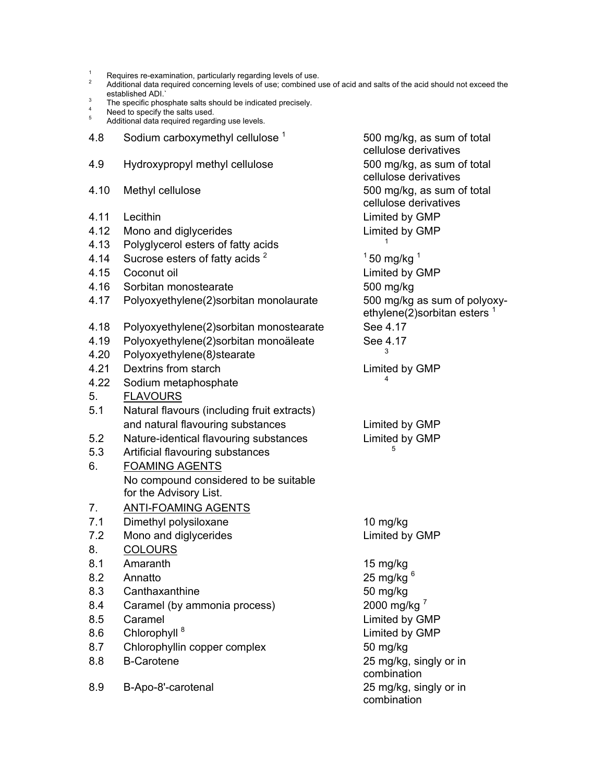- 
- <sup>1</sup> Requires re-examination, particularly regarding levels of use.<br><sup>2</sup> Additional data required concerning levels of use; combined use of acid and salts of the acid should not exceed the established ADI.
- established ADI.<br>
The specific phosphate salts should be indicated precisely.<br>
<sup>4</sup> Need to specify the salts used.<br>
5 Additional data required regarding use levels.
- 
- 

| 4.8  | Sodium carboxymethyl cellulose <sup>1</sup> | 500 mg/kg, as sum of total<br>cellulose derivatives                     |
|------|---------------------------------------------|-------------------------------------------------------------------------|
| 4.9  | Hydroxypropyl methyl cellulose              | 500 mg/kg, as sum of total                                              |
| 4.10 | Methyl cellulose                            | cellulose derivatives<br>500 mg/kg, as sum of total                     |
|      |                                             | cellulose derivatives                                                   |
| 4.11 | Lecithin                                    | Limited by GMP                                                          |
| 4.12 | Mono and diglycerides                       | Limited by GMP                                                          |
| 4.13 | Polyglycerol esters of fatty acids          |                                                                         |
| 4.14 | Sucrose esters of fatty acids <sup>2</sup>  | $1$ 50 mg/kg $1$                                                        |
| 4.15 | Coconut oil                                 | Limited by GMP                                                          |
| 4.16 | Sorbitan monostearate                       | 500 mg/kg                                                               |
| 4.17 | Polyoxyethylene(2)sorbitan monolaurate      | 500 mg/kg as sum of polyoxy-<br>ethylene(2)sorbitan esters <sup>1</sup> |
| 4.18 | Polyoxyethylene(2)sorbitan monostearate     | See 4.17                                                                |
| 4.19 | Polyoxyethylene(2)sorbitan monoäleate       | See 4.17                                                                |
| 4.20 | Polyoxyethylene(8)stearate                  | 3                                                                       |
| 4.21 | Dextrins from starch                        | Limited by GMP                                                          |
| 4.22 | Sodium metaphosphate                        | 4                                                                       |
| 5.   | <b>FLAVOURS</b>                             |                                                                         |
| 5.1  | Natural flavours (including fruit extracts) |                                                                         |
|      | and natural flavouring substances           | Limited by GMP                                                          |
| 5.2  | Nature-identical flavouring substances      | Limited by GMP                                                          |
| 5.3  | Artificial flavouring substances            | 5                                                                       |
| 6.   | <b>FOAMING AGENTS</b>                       |                                                                         |
|      | No compound considered to be suitable       |                                                                         |
|      | for the Advisory List.                      |                                                                         |
| 7.   | <b>ANTI-FOAMING AGENTS</b>                  |                                                                         |
| 7.1  | Dimethyl polysiloxane                       | 10 mg/kg                                                                |
| 7.2  | Mono and diglycerides                       | Limited by GMP                                                          |
| 8.   | <b>COLOURS</b>                              |                                                                         |
| 8.1  | Amaranth                                    | 15 mg/kg                                                                |
| 8.2  | Annatto                                     | 25 mg/kg $^6$                                                           |
| 8.3  | Canthaxanthine                              | 50 mg/kg                                                                |
| 8.4  | Caramel (by ammonia process)                | 2000 mg/kg $^7$                                                         |
| 8.5  | Caramel                                     | Limited by GMP                                                          |
| 8.6  | Chlorophyll <sup>8</sup>                    | Limited by GMP                                                          |
| 8.7  | Chlorophyllin copper complex                | 50 mg/kg                                                                |
| 8.8  | <b>B-Carotene</b>                           | 25 mg/kg, singly or in<br>combination                                   |
| 8.9  | B-Apo-8'-carotenal                          | 25 mg/kg, singly or in<br>combination                                   |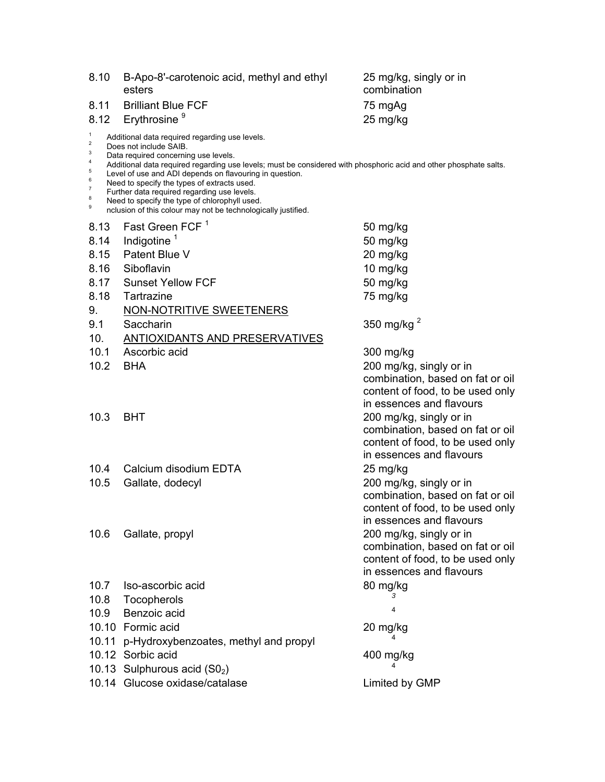| 8.10                                                                                               | B-Apo-8'-carotenoic acid, methyl and ethyl<br>esters                                                                                                                                                                                                                                                                                                                                                                                                                                                             | 25 mg/kg, singly or in<br>combination                                                                                                                                                                                           |
|----------------------------------------------------------------------------------------------------|------------------------------------------------------------------------------------------------------------------------------------------------------------------------------------------------------------------------------------------------------------------------------------------------------------------------------------------------------------------------------------------------------------------------------------------------------------------------------------------------------------------|---------------------------------------------------------------------------------------------------------------------------------------------------------------------------------------------------------------------------------|
| 8.11                                                                                               | <b>Brilliant Blue FCF</b>                                                                                                                                                                                                                                                                                                                                                                                                                                                                                        | 75 mgAg                                                                                                                                                                                                                         |
| 8.12                                                                                               | Erythrosine <sup>9</sup>                                                                                                                                                                                                                                                                                                                                                                                                                                                                                         | 25 mg/kg                                                                                                                                                                                                                        |
| 1<br>$\overline{\mathbf{c}}$<br>3<br>$\overline{\mathbf{4}}$<br>5<br>6<br>$\overline{7}$<br>8<br>9 | Additional data required regarding use levels.<br>Does not include SAIB.<br>Data required concerning use levels.<br>Additional data required regarding use levels; must be considered with phosphoric acid and other phosphate salts.<br>Level of use and ADI depends on flavouring in question.<br>Need to specify the types of extracts used.<br>Further data required regarding use levels.<br>Need to specify the type of chlorophyll used.<br>nclusion of this colour may not be technologically justified. |                                                                                                                                                                                                                                 |
| 8.13                                                                                               | Fast Green FCF <sup>1</sup>                                                                                                                                                                                                                                                                                                                                                                                                                                                                                      | 50 mg/kg                                                                                                                                                                                                                        |
| 8.14                                                                                               | Indigotine $1$                                                                                                                                                                                                                                                                                                                                                                                                                                                                                                   | 50 mg/kg                                                                                                                                                                                                                        |
| 8.15                                                                                               | Patent Blue V                                                                                                                                                                                                                                                                                                                                                                                                                                                                                                    | 20 mg/kg                                                                                                                                                                                                                        |
| 8.16                                                                                               | Siboflavin                                                                                                                                                                                                                                                                                                                                                                                                                                                                                                       | 10 mg/kg                                                                                                                                                                                                                        |
| 8.17                                                                                               | <b>Sunset Yellow FCF</b>                                                                                                                                                                                                                                                                                                                                                                                                                                                                                         | 50 mg/kg                                                                                                                                                                                                                        |
| 8.18                                                                                               | Tartrazine                                                                                                                                                                                                                                                                                                                                                                                                                                                                                                       | 75 mg/kg                                                                                                                                                                                                                        |
| 9.                                                                                                 | NON-NOTRITIVE SWEETENERS                                                                                                                                                                                                                                                                                                                                                                                                                                                                                         |                                                                                                                                                                                                                                 |
| 9.1                                                                                                | Saccharin                                                                                                                                                                                                                                                                                                                                                                                                                                                                                                        | 350 mg/kg <sup>2</sup>                                                                                                                                                                                                          |
| 10.                                                                                                | <b>ANTIOXIDANTS AND PRESERVATIVES</b>                                                                                                                                                                                                                                                                                                                                                                                                                                                                            |                                                                                                                                                                                                                                 |
| 10.1                                                                                               | Ascorbic acid                                                                                                                                                                                                                                                                                                                                                                                                                                                                                                    | 300 mg/kg                                                                                                                                                                                                                       |
| 10.2                                                                                               | <b>BHA</b>                                                                                                                                                                                                                                                                                                                                                                                                                                                                                                       | 200 mg/kg, singly or in                                                                                                                                                                                                         |
| 10.3                                                                                               | <b>BHT</b>                                                                                                                                                                                                                                                                                                                                                                                                                                                                                                       | combination, based on fat or oil<br>content of food, to be used only<br>in essences and flavours<br>200 mg/kg, singly or in<br>combination, based on fat or oil<br>content of food, to be used only<br>in essences and flavours |
| 10.4                                                                                               | Calcium disodium EDTA                                                                                                                                                                                                                                                                                                                                                                                                                                                                                            | 25 mg/kg                                                                                                                                                                                                                        |
| 10.5                                                                                               | Gallate, dodecyl                                                                                                                                                                                                                                                                                                                                                                                                                                                                                                 | 200 mg/kg, singly or in<br>combination, based on fat or oil<br>content of food, to be used only<br>in essences and flavours                                                                                                     |
| 10.6                                                                                               | Gallate, propyl                                                                                                                                                                                                                                                                                                                                                                                                                                                                                                  | 200 mg/kg, singly or in<br>combination, based on fat or oil<br>content of food, to be used only<br>in essences and flavours                                                                                                     |
| 10.7                                                                                               | Iso-ascorbic acid                                                                                                                                                                                                                                                                                                                                                                                                                                                                                                | 80 mg/kg                                                                                                                                                                                                                        |
| 10.8                                                                                               | Tocopherols                                                                                                                                                                                                                                                                                                                                                                                                                                                                                                      |                                                                                                                                                                                                                                 |
| 10.9                                                                                               | Benzoic acid                                                                                                                                                                                                                                                                                                                                                                                                                                                                                                     | 4                                                                                                                                                                                                                               |
|                                                                                                    | 10.10 Formic acid                                                                                                                                                                                                                                                                                                                                                                                                                                                                                                | 20 mg/kg                                                                                                                                                                                                                        |
|                                                                                                    | 10.11 p-Hydroxybenzoates, methyl and propyl                                                                                                                                                                                                                                                                                                                                                                                                                                                                      |                                                                                                                                                                                                                                 |
|                                                                                                    | 10.12 Sorbic acid                                                                                                                                                                                                                                                                                                                                                                                                                                                                                                | 400 mg/kg                                                                                                                                                                                                                       |
|                                                                                                    | 10.13 Sulphurous acid (S0 <sub>2</sub> )                                                                                                                                                                                                                                                                                                                                                                                                                                                                         |                                                                                                                                                                                                                                 |
|                                                                                                    | 10.14 Glucose oxidase/catalase                                                                                                                                                                                                                                                                                                                                                                                                                                                                                   | Limited by GMP                                                                                                                                                                                                                  |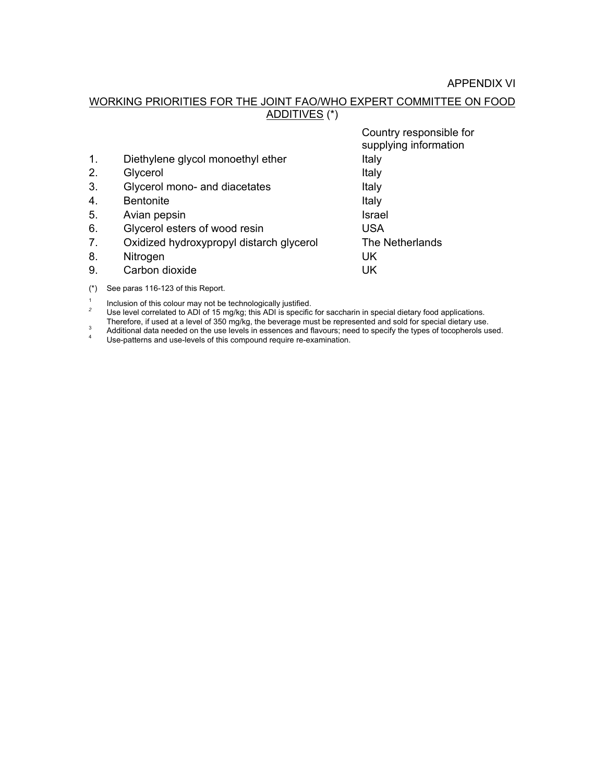APPENDIX VI

## WORKING PRIORITIES FOR THE JOINT FAO/WHO EXPERT COMMITTEE ON FOOD ADDITIVES (\*)

- 1. Diethylene glycol monoethyl ether Italy
- 2. Glycerol and a state of the latest state of the latest state of the latest state of the latest state of the latest state of the latest state of the latest state of the latest state of the latest state of the latest stat
- 3. Glycerol mono- and diacetates The Italy
- 4. Bentonite Italy
- 5. Avian pepsin **Israel**
- 6. Glycerol esters of wood resin USA
- 7. Oxidized hydroxypropyl distarch glycerol The Netherlands
- 8. Nitrogen UK
- 9. Carbon dioxide UK

supplying information

Country responsible for

- (\*) See paras 116-123 of this Report.
- 1
- <sup>1</sup> Inclusion of this colour may not be technologically justified.<br><sup>2</sup> Use level correlated to ADI of 15 mg/kg; this ADI is specific for saccharin in special dietary food applications. Therefore, if used at a level of 350 mg/kg, the beverage must be represented and sold for special dietary use.
- <sup>3</sup> Additional data needed on the use levels in essences and flavours; need to specify the types of tocopherols used.

Use-patterns and use-levels of this compound require re-examination.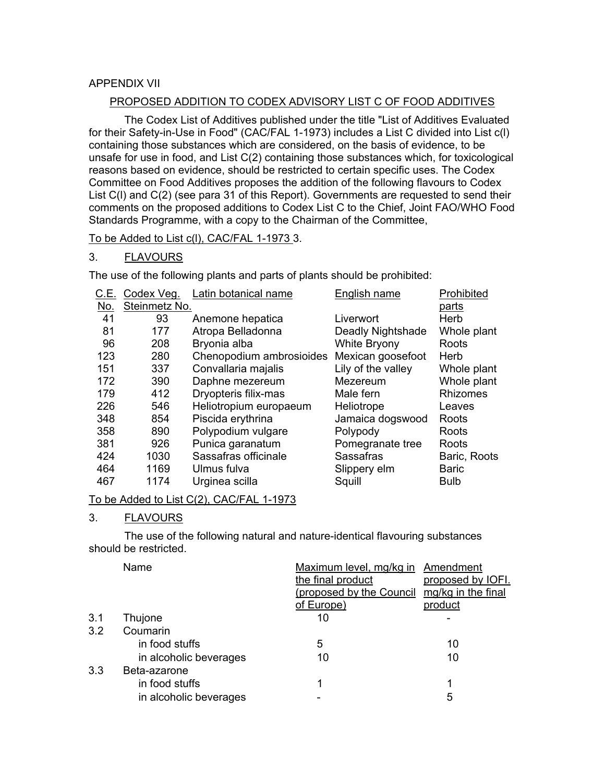## APPENDIX VII

## PROPOSED ADDITION TO CODEX ADVISORY LIST C OF FOOD ADDITIVES

The Codex List of Additives published under the title "List of Additives Evaluated for their Safety-in-Use in Food" (CAC/FAL 1-1973) includes a List C divided into List c(l) containing those substances which are considered, on the basis of evidence, to be unsafe for use in food, and List C(2) containing those substances which, for toxicological reasons based on evidence, should be restricted to certain specific uses. The Codex Committee on Food Additives proposes the addition of the following flavours to Codex List C(l) and C(2) (see para 31 of this Report). Governments are requested to send their comments on the proposed additions to Codex List C to the Chief, Joint FAO/WHO Food Standards Programme, with a copy to the Chairman of the Committee,

To be Added to List c(l), CAC/FAL 1-1973 3.

## 3. FLAVOURS

The use of the following plants and parts of plants should be prohibited:

| C.E. | Codex Veg.    | Latin botanical name     | English name       | Prohibited   |
|------|---------------|--------------------------|--------------------|--------------|
| No.  | Steinmetz No. |                          |                    | parts        |
| 41   | 93            | Anemone hepatica         | Liverwort          | Herb         |
| 81   | 177           | Atropa Belladonna        | Deadly Nightshade  | Whole plant  |
| 96   | 208           | Bryonia alba             | White Bryony       | Roots        |
| 123  | 280           | Chenopodium ambrosioides | Mexican goosefoot  | Herb         |
| 151  | 337           | Convallaria majalis      | Lily of the valley | Whole plant  |
| 172  | 390           | Daphne mezereum          | Mezereum           | Whole plant  |
| 179  | 412           | Dryopteris filix-mas     | Male fern          | Rhizomes     |
| 226  | 546           | Heliotropium europaeum   | Heliotrope         | Leaves       |
| 348  | 854           | Piscida erythrina        | Jamaica dogswood   | Roots        |
| 358  | 890           | Polypodium vulgare       | Polypody           | Roots        |
| 381  | 926           | Punica garanatum         | Pomegranate tree   | Roots        |
| 424  | 1030          | Sassafras officinale     | Sassafras          | Baric, Roots |
| 464  | 1169          | Ulmus fulva              | Slippery elm       | <b>Baric</b> |
| 467  | 1174          | Urginea scilla           | Squill             | <b>Bulb</b>  |

#### To be Added to List C(2), CAC/FAL 1-1973

#### 3. FLAVOURS

The use of the following natural and nature-identical flavouring substances should be restricted.

| Maximum level, mg/kg in Amendment           |
|---------------------------------------------|
| proposed by IOFI.                           |
| (proposed by the Council mg/kg in the final |
| product                                     |
|                                             |
|                                             |
| 10                                          |
| 10                                          |
|                                             |
|                                             |
| 5                                           |
|                                             |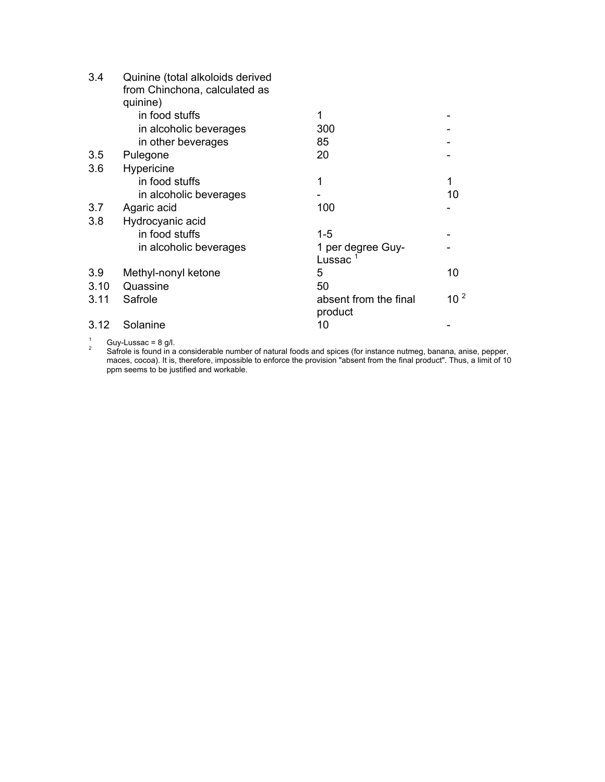| Quinine (total alkoloids derived |                                                                                                              |                   |
|----------------------------------|--------------------------------------------------------------------------------------------------------------|-------------------|
|                                  |                                                                                                              |                   |
|                                  |                                                                                                              |                   |
|                                  | 1                                                                                                            |                   |
| in alcoholic beverages           | 300                                                                                                          |                   |
| in other beverages               | 85                                                                                                           |                   |
| Pulegone                         | 20                                                                                                           |                   |
| Hypericine                       |                                                                                                              |                   |
| in food stuffs                   | 1                                                                                                            | 1                 |
| in alcoholic beverages           |                                                                                                              | 10                |
| Agaric acid                      | 100                                                                                                          |                   |
| Hydrocyanic acid                 |                                                                                                              |                   |
| in food stuffs                   | 1-5                                                                                                          |                   |
|                                  |                                                                                                              |                   |
|                                  | Lussac                                                                                                       |                   |
|                                  | 5                                                                                                            | 10                |
| Quassine                         | 50                                                                                                           |                   |
| Safrole                          | absent from the final                                                                                        | 10 <sup>2</sup>   |
|                                  | product                                                                                                      |                   |
| Solanine                         | 10                                                                                                           |                   |
|                                  | from Chinchona, calculated as<br>quinine)<br>in food stuffs<br>in alcoholic beverages<br>Methyl-nonyl ketone | 1 per degree Guy- |

1 Guy-Lussac = 8 g/l. 2

 Safrole is found in a considerable number of natural foods and spices (for instance nutmeg, banana, anise, pepper, maces, cocoa). It is, therefore, impossible to enforce the provision "absent from the final product". Thus, a limit of 10 ppm seems to be justified and workable.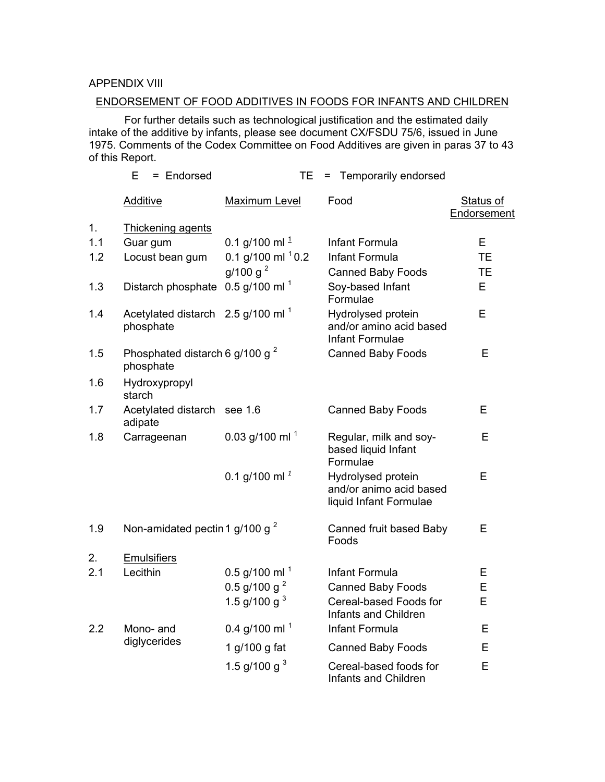# APPENDIX VIII

## ENDORSEMENT OF FOOD ADDITIVES IN FOODS FOR INFANTS AND CHILDREN

For further details such as technological justification and the estimated daily intake of the additive by infants, please see document CX/FSDU 75/6, issued in June 1975. Comments of the Codex Committee on Food Additives are given in paras 37 to 43 of this Report.

|     | Е<br>= Endorsed                                            | ТE                         | = Temporarily endorsed                                                  |                          |
|-----|------------------------------------------------------------|----------------------------|-------------------------------------------------------------------------|--------------------------|
|     | <b>Additive</b>                                            | Maximum Level              | Food                                                                    | Status of<br>Endorsement |
| 1.  | Thickening agents                                          |                            |                                                                         |                          |
| 1.1 | Guar gum                                                   | 0.1 g/100 ml $^1$          | Infant Formula                                                          | E                        |
| 1.2 | Locust bean gum                                            | 0.1 g/100 ml $10.2$        | Infant Formula                                                          | <b>TE</b>                |
|     |                                                            | g/100 g <sup>2</sup>       | <b>Canned Baby Foods</b>                                                | <b>TE</b>                |
| 1.3 | Distarch phosphate $0.5$ g/100 ml <sup>1</sup>             |                            | Soy-based Infant<br>Formulae                                            | E                        |
| 1.4 | Acetylated distarch 2.5 g/100 ml <sup>1</sup><br>phosphate |                            | Hydrolysed protein<br>and/or amino acid based<br>Infant Formulae        | E                        |
| 1.5 | Phosphated distarch 6 g/100 g <sup>2</sup><br>phosphate    |                            | <b>Canned Baby Foods</b>                                                | E                        |
| 1.6 | Hydroxypropyl<br>starch                                    |                            |                                                                         |                          |
| 1.7 | Acetylated distarch see 1.6<br>adipate                     |                            | <b>Canned Baby Foods</b>                                                | E                        |
| 1.8 | Carrageenan                                                | 0.03 g/100 ml <sup>1</sup> | Regular, milk and soy-<br>based liquid Infant<br>Formulae               | E                        |
|     |                                                            | 0.1 g/100 ml $^1$          | Hydrolysed protein<br>and/or animo acid based<br>liquid Infant Formulae | E                        |
| 1.9 | Non-amidated pectin 1 g/100 g <sup>2</sup>                 |                            | Canned fruit based Baby<br>Foods                                        | E                        |
| 2.  | <b>Emulsifiers</b>                                         |                            |                                                                         |                          |
| 2.1 | Lecithin                                                   | 0.5 g/100 ml <sup>1</sup>  | Infant Formula                                                          | E                        |
|     |                                                            | 0.5 g/100 g <sup>2</sup>   | <b>Canned Baby Foods</b>                                                | E                        |
|     |                                                            | 1.5 g/100 g $^3$           | Cereal-based Foods for<br>Infants and Children                          | E                        |
| 2.2 | Mono- and                                                  | 0.4 g/100 ml <sup>1</sup>  | Infant Formula                                                          | E                        |
|     | diglycerides                                               | 1 g/100 g fat              | <b>Canned Baby Foods</b>                                                | E                        |
|     |                                                            | 1.5 g/100 g $^3$           | Cereal-based foods for<br>Infants and Children                          | E                        |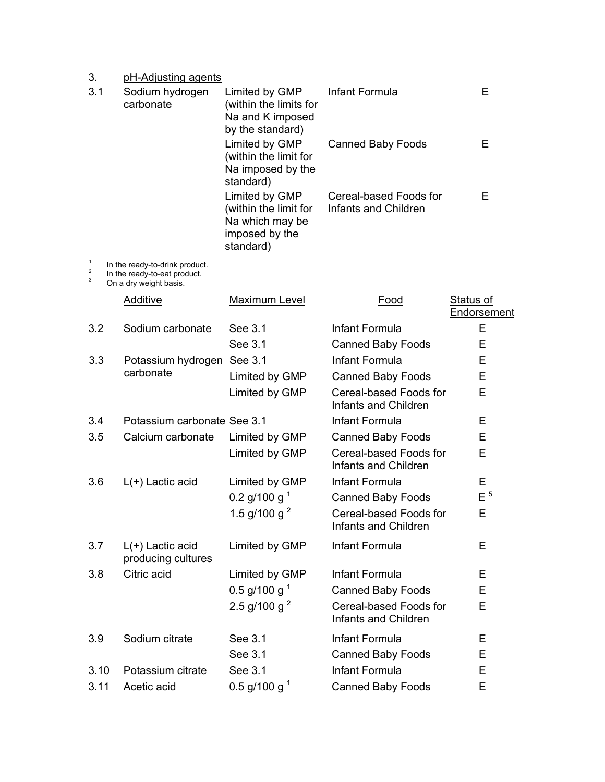| 3.1 | Sodium hydrogen<br>carbonate | Limited by GMP<br>(within the limits for<br>Na and K imposed<br>by the standard)          | Infant Formula                                 | Е  |
|-----|------------------------------|-------------------------------------------------------------------------------------------|------------------------------------------------|----|
|     |                              | Limited by GMP<br>(within the limit for<br>Na imposed by the<br>standard)                 | <b>Canned Baby Foods</b>                       | E. |
|     |                              | Limited by GMP<br>(within the limit for<br>Na which may be<br>imposed by the<br>standard) | Cereal-based Foods for<br>Infants and Children | E. |

<sup>1</sup> In the ready-to-drink product.<br><sup>2</sup> In the ready-to-eat product.<br><sup>3</sup> On a dry weight basis.

| <b>Additive</b>                          | <b>Maximum Level</b>       | Food                                                      | Status of                                                                  |
|------------------------------------------|----------------------------|-----------------------------------------------------------|----------------------------------------------------------------------------|
|                                          |                            |                                                           | Endorsement                                                                |
| Sodium carbonate                         | See 3.1                    | Infant Formula                                            | E                                                                          |
|                                          | See 3.1                    | <b>Canned Baby Foods</b>                                  | E                                                                          |
|                                          |                            | Infant Formula                                            | E                                                                          |
|                                          | Limited by GMP             | <b>Canned Baby Foods</b>                                  | E                                                                          |
|                                          | Limited by GMP             | Infants and Children                                      | E                                                                          |
|                                          |                            | Infant Formula                                            | E                                                                          |
| Calcium carbonate                        | Limited by GMP             | <b>Canned Baby Foods</b>                                  | E                                                                          |
|                                          | Limited by GMP             | Cereal-based Foods for<br>Infants and Children            | E                                                                          |
| $L(+)$ Lactic acid                       | Limited by GMP             | Infant Formula                                            | E                                                                          |
|                                          | 0.2 g/100 g <sup>1</sup>   | <b>Canned Baby Foods</b>                                  | E <sup>5</sup>                                                             |
|                                          | 1.5 g/100 g <sup>2</sup>   | Infants and Children                                      | E                                                                          |
| $L(+)$ Lactic acid<br>producing cultures | Limited by GMP             | Infant Formula                                            | E                                                                          |
| Citric acid                              | Limited by GMP             | Infant Formula                                            | E                                                                          |
|                                          | 0.5 g/100 g <sup>1</sup>   | <b>Canned Baby Foods</b>                                  | E                                                                          |
|                                          | 2.5 g/100 g <sup>2</sup>   | Infants and Children                                      | E                                                                          |
| Sodium citrate                           | See 3.1                    | Infant Formula                                            | Е                                                                          |
|                                          | See 3.1                    | <b>Canned Baby Foods</b>                                  | Е                                                                          |
| Potassium citrate                        | See 3.1                    | Infant Formula                                            | E                                                                          |
| Acetic acid                              | $0.5$ g/100 g <sup>1</sup> | <b>Canned Baby Foods</b>                                  | E                                                                          |
|                                          | carbonate                  | Potassium hydrogen See 3.1<br>Potassium carbonate See 3.1 | Cereal-based Foods for<br>Cereal-based Foods for<br>Cereal-based Foods for |